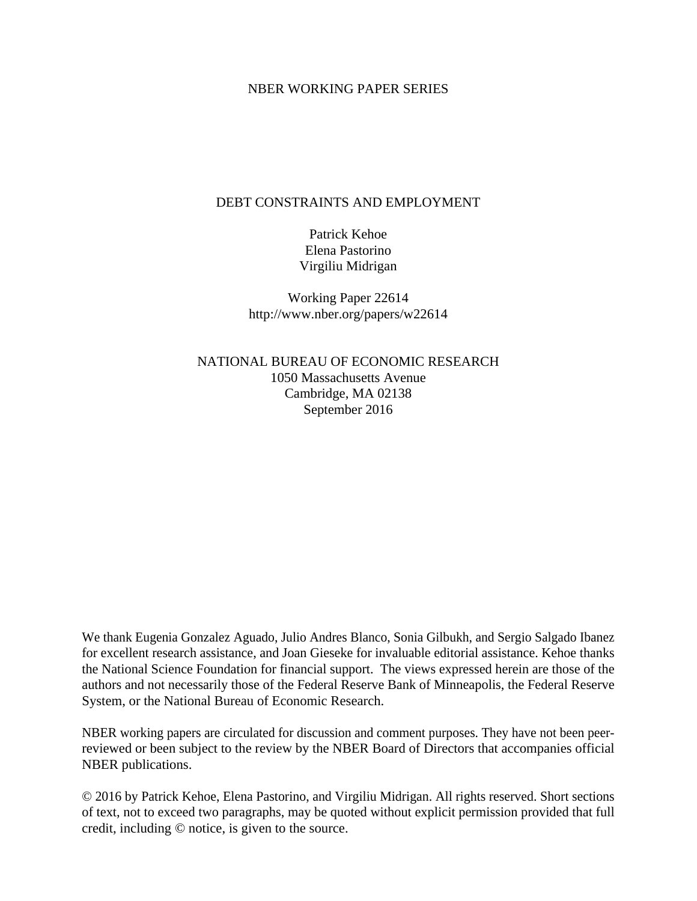#### NBER WORKING PAPER SERIES

### DEBT CONSTRAINTS AND EMPLOYMENT

Patrick Kehoe Elena Pastorino Virgiliu Midrigan

Working Paper 22614 http://www.nber.org/papers/w22614

NATIONAL BUREAU OF ECONOMIC RESEARCH 1050 Massachusetts Avenue Cambridge, MA 02138 September 2016

We thank Eugenia Gonzalez Aguado, Julio Andres Blanco, Sonia Gilbukh, and Sergio Salgado Ibanez for excellent research assistance, and Joan Gieseke for invaluable editorial assistance. Kehoe thanks the National Science Foundation for financial support. The views expressed herein are those of the authors and not necessarily those of the Federal Reserve Bank of Minneapolis, the Federal Reserve System, or the National Bureau of Economic Research.

NBER working papers are circulated for discussion and comment purposes. They have not been peerreviewed or been subject to the review by the NBER Board of Directors that accompanies official NBER publications.

© 2016 by Patrick Kehoe, Elena Pastorino, and Virgiliu Midrigan. All rights reserved. Short sections of text, not to exceed two paragraphs, may be quoted without explicit permission provided that full credit, including © notice, is given to the source.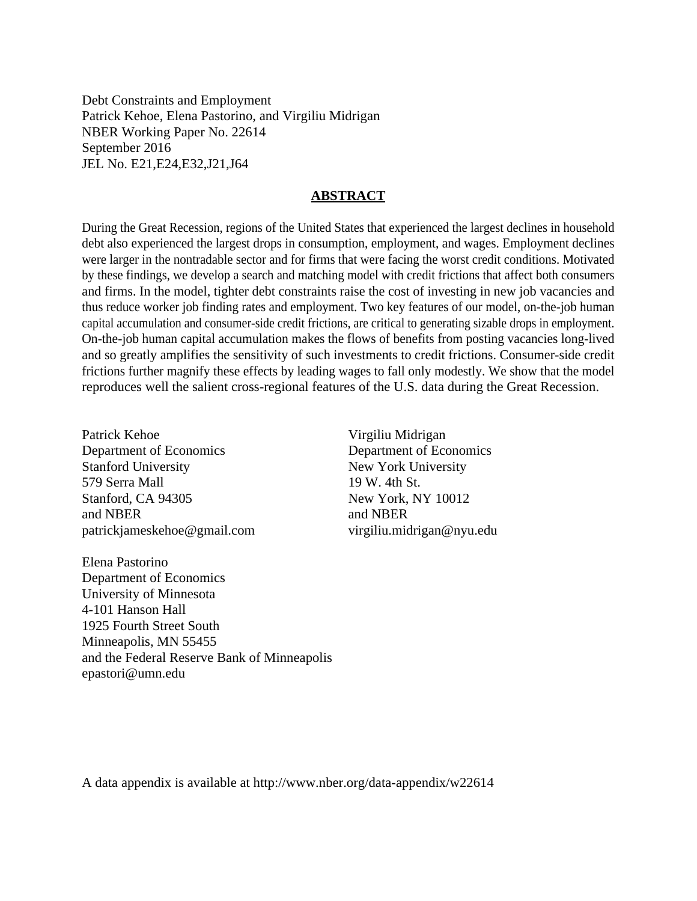Debt Constraints and Employment Patrick Kehoe, Elena Pastorino, and Virgiliu Midrigan NBER Working Paper No. 22614 September 2016 JEL No. E21,E24,E32,J21,J64

#### **ABSTRACT**

During the Great Recession, regions of the United States that experienced the largest declines in household debt also experienced the largest drops in consumption, employment, and wages. Employment declines were larger in the nontradable sector and for firms that were facing the worst credit conditions. Motivated by these findings, we develop a search and matching model with credit frictions that affect both consumers and firms. In the model, tighter debt constraints raise the cost of investing in new job vacancies and thus reduce worker job finding rates and employment. Two key features of our model, on-the-job human capital accumulation and consumer-side credit frictions, are critical to generating sizable drops in employment. On-the-job human capital accumulation makes the flows of benefits from posting vacancies long-lived and so greatly amplifies the sensitivity of such investments to credit frictions. Consumer-side credit frictions further magnify these effects by leading wages to fall only modestly. We show that the model reproduces well the salient cross-regional features of the U.S. data during the Great Recession.

Patrick Kehoe Department of Economics Stanford University 579 Serra Mall Stanford, CA 94305 and NBER patrickjameskehoe@gmail.com

Elena Pastorino Department of Economics University of Minnesota 4-101 Hanson Hall 1925 Fourth Street South Minneapolis, MN 55455 and the Federal Reserve Bank of Minneapolis epastori@umn.edu

Virgiliu Midrigan Department of Economics New York University 19 W. 4th St. New York, NY 10012 and NBER virgiliu.midrigan@nyu.edu

A data appendix is available at http://www.nber.org/data-appendix/w22614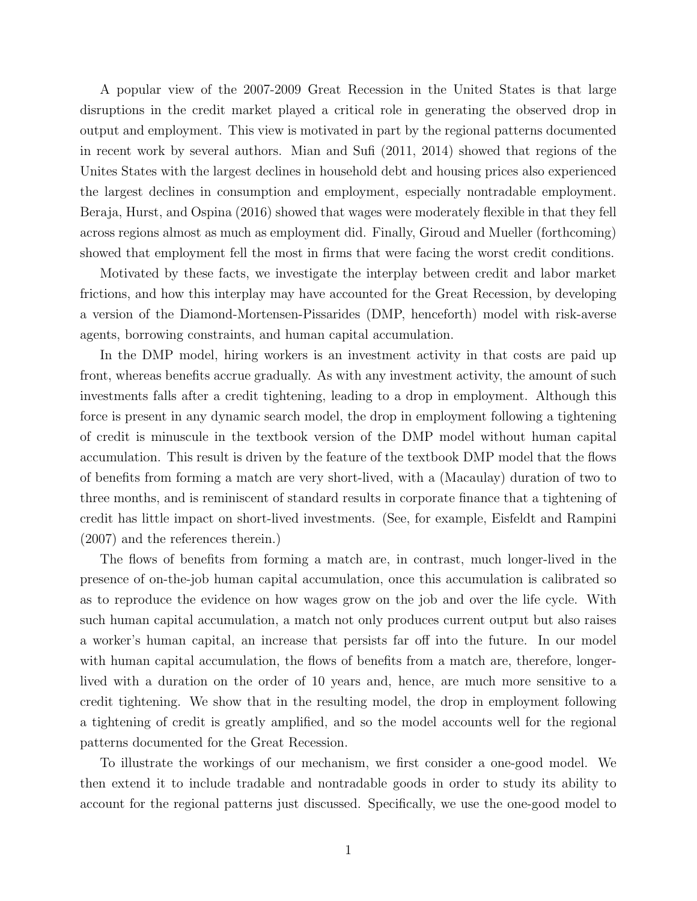A popular view of the 2007-2009 Great Recession in the United States is that large disruptions in the credit market played a critical role in generating the observed drop in output and employment. This view is motivated in part by the regional patterns documented in recent work by several authors. Mian and Sufi (2011, 2014) showed that regions of the Unites States with the largest declines in household debt and housing prices also experienced the largest declines in consumption and employment, especially nontradable employment. Beraja, Hurst, and Ospina (2016) showed that wages were moderately flexible in that they fell across regions almost as much as employment did. Finally, Giroud and Mueller (forthcoming) showed that employment fell the most in firms that were facing the worst credit conditions.

Motivated by these facts, we investigate the interplay between credit and labor market frictions, and how this interplay may have accounted for the Great Recession, by developing a version of the Diamond-Mortensen-Pissarides (DMP, henceforth) model with risk-averse agents, borrowing constraints, and human capital accumulation.

In the DMP model, hiring workers is an investment activity in that costs are paid up front, whereas benefits accrue gradually. As with any investment activity, the amount of such investments falls after a credit tightening, leading to a drop in employment. Although this force is present in any dynamic search model, the drop in employment following a tightening of credit is minuscule in the textbook version of the DMP model without human capital accumulation. This result is driven by the feature of the textbook DMP model that the flows of benefits from forming a match are very short-lived, with a (Macaulay) duration of two to three months, and is reminiscent of standard results in corporate finance that a tightening of credit has little impact on short-lived investments. (See, for example, Eisfeldt and Rampini (2007) and the references therein.)

The flows of benefits from forming a match are, in contrast, much longer-lived in the presence of on-the-job human capital accumulation, once this accumulation is calibrated so as to reproduce the evidence on how wages grow on the job and over the life cycle. With such human capital accumulation, a match not only produces current output but also raises a worker's human capital, an increase that persists far off into the future. In our model with human capital accumulation, the flows of benefits from a match are, therefore, longerlived with a duration on the order of 10 years and, hence, are much more sensitive to a credit tightening. We show that in the resulting model, the drop in employment following a tightening of credit is greatly amplified, and so the model accounts well for the regional patterns documented for the Great Recession.

To illustrate the workings of our mechanism, we first consider a one-good model. We then extend it to include tradable and nontradable goods in order to study its ability to account for the regional patterns just discussed. Specifically, we use the one-good model to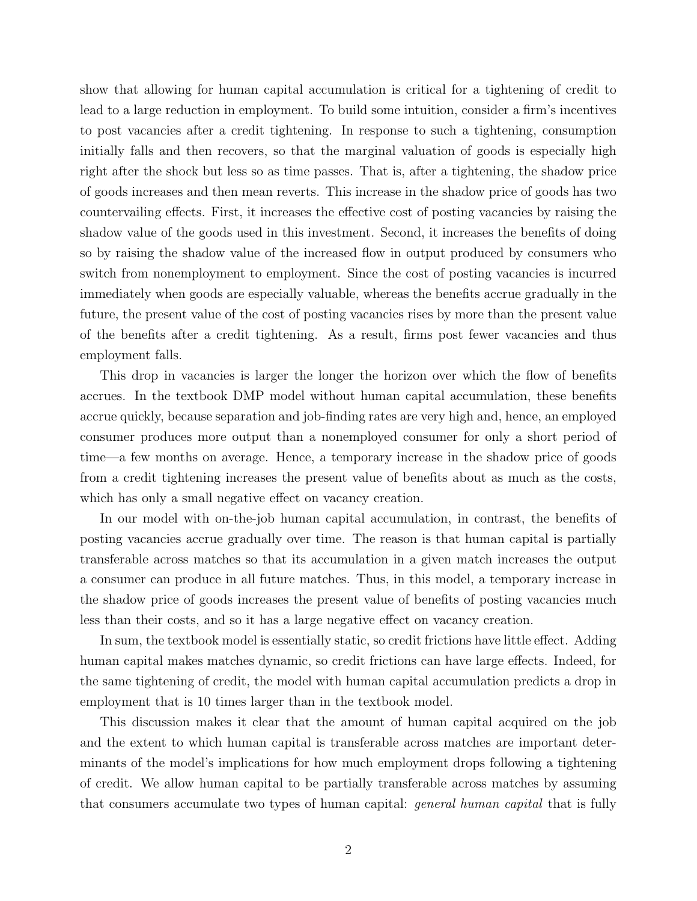show that allowing for human capital accumulation is critical for a tightening of credit to lead to a large reduction in employment. To build some intuition, consider a firm's incentives to post vacancies after a credit tightening. In response to such a tightening, consumption initially falls and then recovers, so that the marginal valuation of goods is especially high right after the shock but less so as time passes. That is, after a tightening, the shadow price of goods increases and then mean reverts. This increase in the shadow price of goods has two countervailing effects. First, it increases the effective cost of posting vacancies by raising the shadow value of the goods used in this investment. Second, it increases the benefits of doing so by raising the shadow value of the increased flow in output produced by consumers who switch from nonemployment to employment. Since the cost of posting vacancies is incurred immediately when goods are especially valuable, whereas the benefits accrue gradually in the future, the present value of the cost of posting vacancies rises by more than the present value of the benefits after a credit tightening. As a result, firms post fewer vacancies and thus employment falls.

This drop in vacancies is larger the longer the horizon over which the flow of benefits accrues. In the textbook DMP model without human capital accumulation, these benefits accrue quickly, because separation and job-finding rates are very high and, hence, an employed consumer produces more output than a nonemployed consumer for only a short period of time—a few months on average. Hence, a temporary increase in the shadow price of goods from a credit tightening increases the present value of benefits about as much as the costs, which has only a small negative effect on vacancy creation.

In our model with on-the-job human capital accumulation, in contrast, the benefits of posting vacancies accrue gradually over time. The reason is that human capital is partially transferable across matches so that its accumulation in a given match increases the output a consumer can produce in all future matches. Thus, in this model, a temporary increase in the shadow price of goods increases the present value of benefits of posting vacancies much less than their costs, and so it has a large negative effect on vacancy creation.

In sum, the textbook model is essentially static, so credit frictions have little effect. Adding human capital makes matches dynamic, so credit frictions can have large effects. Indeed, for the same tightening of credit, the model with human capital accumulation predicts a drop in employment that is 10 times larger than in the textbook model.

This discussion makes it clear that the amount of human capital acquired on the job and the extent to which human capital is transferable across matches are important determinants of the model's implications for how much employment drops following a tightening of credit. We allow human capital to be partially transferable across matches by assuming that consumers accumulate two types of human capital: general human capital that is fully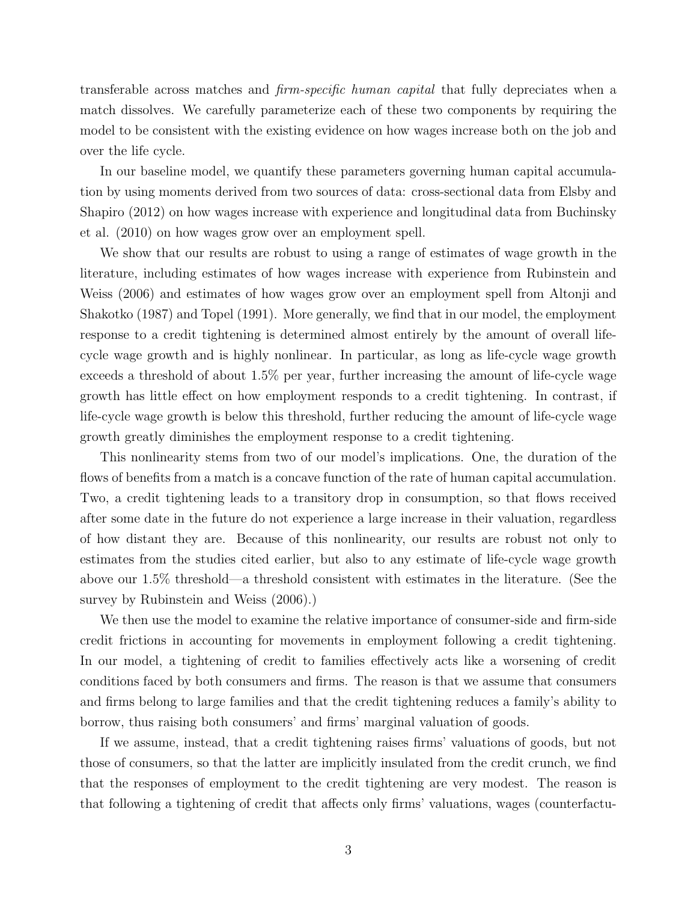transferable across matches and firm-specific human capital that fully depreciates when a match dissolves. We carefully parameterize each of these two components by requiring the model to be consistent with the existing evidence on how wages increase both on the job and over the life cycle.

In our baseline model, we quantify these parameters governing human capital accumulation by using moments derived from two sources of data: cross-sectional data from Elsby and Shapiro (2012) on how wages increase with experience and longitudinal data from Buchinsky et al. (2010) on how wages grow over an employment spell.

We show that our results are robust to using a range of estimates of wage growth in the literature, including estimates of how wages increase with experience from Rubinstein and Weiss (2006) and estimates of how wages grow over an employment spell from Altonji and Shakotko (1987) and Topel (1991). More generally, we find that in our model, the employment response to a credit tightening is determined almost entirely by the amount of overall lifecycle wage growth and is highly nonlinear. In particular, as long as life-cycle wage growth exceeds a threshold of about 1.5% per year, further increasing the amount of life-cycle wage growth has little effect on how employment responds to a credit tightening. In contrast, if life-cycle wage growth is below this threshold, further reducing the amount of life-cycle wage growth greatly diminishes the employment response to a credit tightening.

This nonlinearity stems from two of our model's implications. One, the duration of the flows of benefits from a match is a concave function of the rate of human capital accumulation. Two, a credit tightening leads to a transitory drop in consumption, so that flows received after some date in the future do not experience a large increase in their valuation, regardless of how distant they are. Because of this nonlinearity, our results are robust not only to estimates from the studies cited earlier, but also to any estimate of life-cycle wage growth above our 1.5% threshold—a threshold consistent with estimates in the literature. (See the survey by Rubinstein and Weiss (2006).)

We then use the model to examine the relative importance of consumer-side and firm-side credit frictions in accounting for movements in employment following a credit tightening. In our model, a tightening of credit to families effectively acts like a worsening of credit conditions faced by both consumers and firms. The reason is that we assume that consumers and firms belong to large families and that the credit tightening reduces a family's ability to borrow, thus raising both consumers' and firms' marginal valuation of goods.

If we assume, instead, that a credit tightening raises firms' valuations of goods, but not those of consumers, so that the latter are implicitly insulated from the credit crunch, we find that the responses of employment to the credit tightening are very modest. The reason is that following a tightening of credit that affects only firms' valuations, wages (counterfactu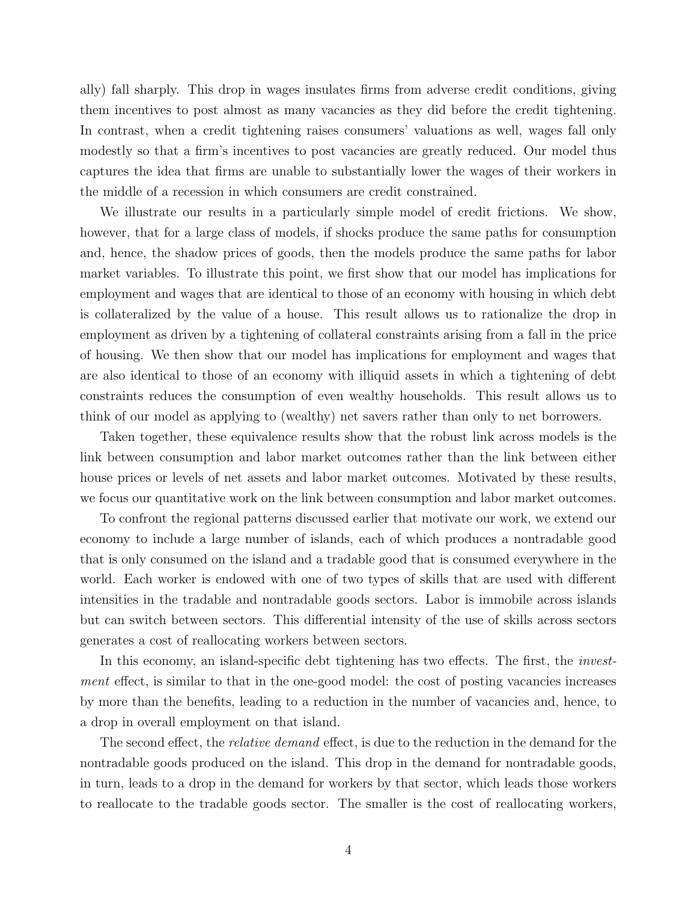ally) fall sharply. This drop in wages insulates firms from adverse credit conditions, giving them incentives to post almost as many vacancies as they did before the credit tightening. In contrast, when a credit tightening raises consumers' valuations as well, wages fall only modestly so that a firm's incentives to post vacancies are greatly reduced. Our model thus captures the idea that firms are unable to substantially lower the wages of their workers in the middle of a recession in which consumers are credit constrained.

We illustrate our results in a particularly simple model of credit frictions. We show, however, that for a large class of models, if shocks produce the same paths for consumption and, hence, the shadow prices of goods, then the models produce the same paths for labor market variables. To illustrate this point, we first show that our model has implications for employment and wages that are identical to those of an economy with housing in which debt is collateralized by the value of a house. This result allows us to rationalize the drop in employment as driven by a tightening of collateral constraints arising from a fall in the price of housing. We then show that our model has implications for employment and wages that are also identical to those of an economy with illiquid assets in which a tightening of debt constraints reduces the consumption of even wealthy households. This result allows us to think of our model as applying to (wealthy) net savers rather than only to net borrowers.

Taken together, these equivalence results show that the robust link across models is the link between consumption and labor market outcomes rather than the link between either house prices or levels of net assets and labor market outcomes. Motivated by these results, we focus our quantitative work on the link between consumption and labor market outcomes.

To confront the regional patterns discussed earlier that motivate our work, we extend our economy to include a large number of islands, each of which produces a nontradable good that is only consumed on the island and a tradable good that is consumed everywhere in the world. Each worker is endowed with one of two types of skills that are used with different intensities in the tradable and nontradable goods sectors. Labor is immobile across islands but can switch between sectors. This differential intensity of the use of skills across sectors generates a cost of reallocating workers between sectors.

In this economy, an island-specific debt tightening has two effects. The first, the *invest*ment effect, is similar to that in the one-good model: the cost of posting vacancies increases by more than the benefits, leading to a reduction in the number of vacancies and, hence, to a drop in overall employment on that island.

The second effect, the *relative demand* effect, is due to the reduction in the demand for the nontradable goods produced on the island. This drop in the demand for nontradable goods, in turn, leads to a drop in the demand for workers by that sector, which leads those workers to reallocate to the tradable goods sector. The smaller is the cost of reallocating workers,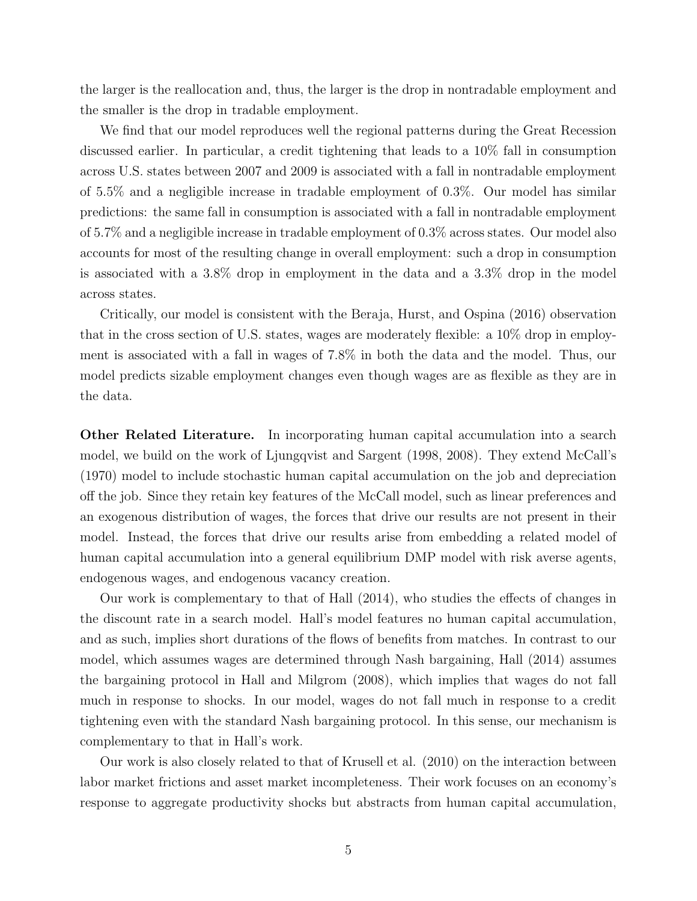the larger is the reallocation and, thus, the larger is the drop in nontradable employment and the smaller is the drop in tradable employment.

We find that our model reproduces well the regional patterns during the Great Recession discussed earlier. In particular, a credit tightening that leads to a 10% fall in consumption across U.S. states between 2007 and 2009 is associated with a fall in nontradable employment of 5.5% and a negligible increase in tradable employment of 0.3%. Our model has similar predictions: the same fall in consumption is associated with a fall in nontradable employment of 5.7% and a negligible increase in tradable employment of 0.3% across states. Our model also accounts for most of the resulting change in overall employment: such a drop in consumption is associated with a 3.8% drop in employment in the data and a 3.3% drop in the model across states.

Critically, our model is consistent with the Beraja, Hurst, and Ospina (2016) observation that in the cross section of U.S. states, wages are moderately flexible: a 10% drop in employment is associated with a fall in wages of 7.8% in both the data and the model. Thus, our model predicts sizable employment changes even though wages are as flexible as they are in the data.

Other Related Literature. In incorporating human capital accumulation into a search model, we build on the work of Ljungqvist and Sargent (1998, 2008). They extend McCall's (1970) model to include stochastic human capital accumulation on the job and depreciation off the job. Since they retain key features of the McCall model, such as linear preferences and an exogenous distribution of wages, the forces that drive our results are not present in their model. Instead, the forces that drive our results arise from embedding a related model of human capital accumulation into a general equilibrium DMP model with risk averse agents, endogenous wages, and endogenous vacancy creation.

Our work is complementary to that of Hall (2014), who studies the effects of changes in the discount rate in a search model. Hall's model features no human capital accumulation, and as such, implies short durations of the flows of benefits from matches. In contrast to our model, which assumes wages are determined through Nash bargaining, Hall (2014) assumes the bargaining protocol in Hall and Milgrom (2008), which implies that wages do not fall much in response to shocks. In our model, wages do not fall much in response to a credit tightening even with the standard Nash bargaining protocol. In this sense, our mechanism is complementary to that in Hall's work.

Our work is also closely related to that of Krusell et al. (2010) on the interaction between labor market frictions and asset market incompleteness. Their work focuses on an economy's response to aggregate productivity shocks but abstracts from human capital accumulation,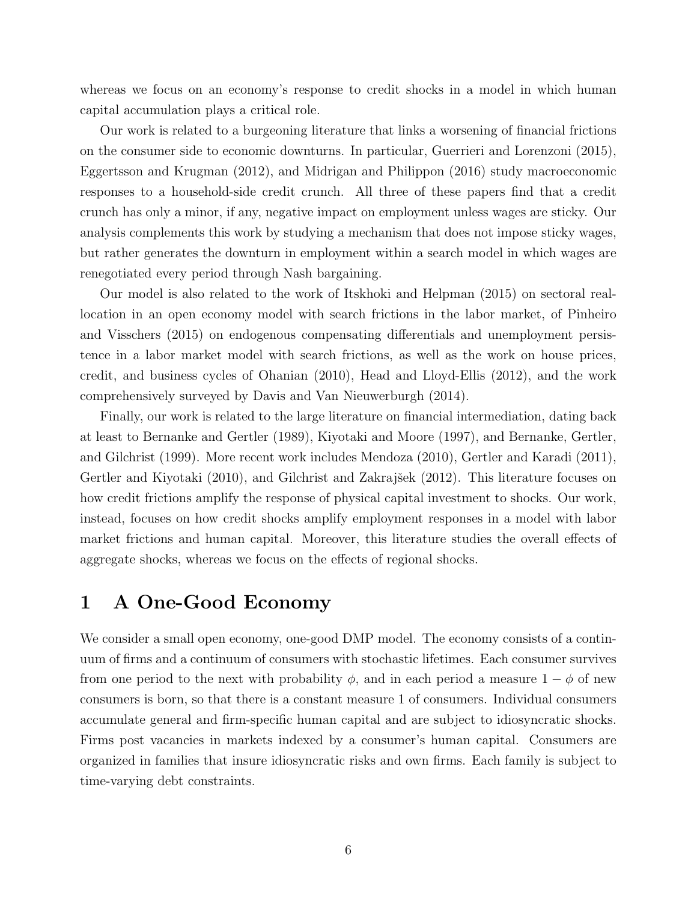whereas we focus on an economy's response to credit shocks in a model in which human capital accumulation plays a critical role.

Our work is related to a burgeoning literature that links a worsening of financial frictions on the consumer side to economic downturns. In particular, Guerrieri and Lorenzoni (2015), Eggertsson and Krugman (2012), and Midrigan and Philippon (2016) study macroeconomic responses to a household-side credit crunch. All three of these papers find that a credit crunch has only a minor, if any, negative impact on employment unless wages are sticky. Our analysis complements this work by studying a mechanism that does not impose sticky wages, but rather generates the downturn in employment within a search model in which wages are renegotiated every period through Nash bargaining.

Our model is also related to the work of Itskhoki and Helpman (2015) on sectoral reallocation in an open economy model with search frictions in the labor market, of Pinheiro and Visschers (2015) on endogenous compensating differentials and unemployment persistence in a labor market model with search frictions, as well as the work on house prices, credit, and business cycles of Ohanian (2010), Head and Lloyd-Ellis (2012), and the work comprehensively surveyed by Davis and Van Nieuwerburgh (2014).

Finally, our work is related to the large literature on financial intermediation, dating back at least to Bernanke and Gertler (1989), Kiyotaki and Moore (1997), and Bernanke, Gertler, and Gilchrist (1999). More recent work includes Mendoza (2010), Gertler and Karadi (2011), Gertler and Kiyotaki (2010), and Gilchrist and Zakrajšek (2012). This literature focuses on how credit frictions amplify the response of physical capital investment to shocks. Our work, instead, focuses on how credit shocks amplify employment responses in a model with labor market frictions and human capital. Moreover, this literature studies the overall effects of aggregate shocks, whereas we focus on the effects of regional shocks.

# 1 A One-Good Economy

We consider a small open economy, one-good DMP model. The economy consists of a continuum of firms and a continuum of consumers with stochastic lifetimes. Each consumer survives from one period to the next with probability  $\phi$ , and in each period a measure  $1 - \phi$  of new consumers is born, so that there is a constant measure 1 of consumers. Individual consumers accumulate general and firm-specific human capital and are subject to idiosyncratic shocks. Firms post vacancies in markets indexed by a consumer's human capital. Consumers are organized in families that insure idiosyncratic risks and own firms. Each family is subject to time-varying debt constraints.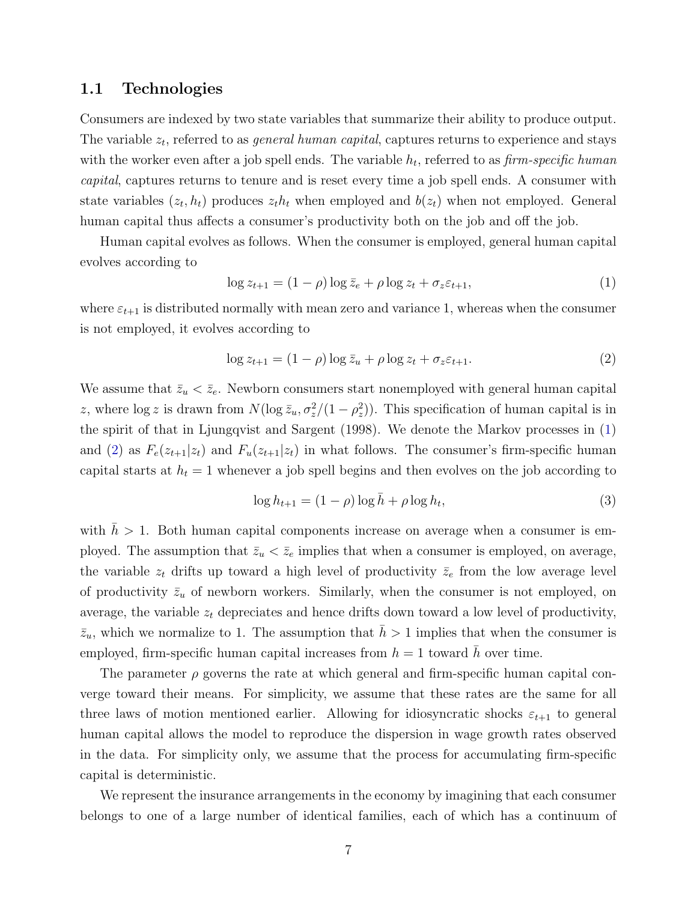#### 1.1 Technologies

Consumers are indexed by two state variables that summarize their ability to produce output. The variable  $z_t$ , referred to as *general human capital*, captures returns to experience and stays with the worker even after a job spell ends. The variable  $h_t$ , referred to as  $\lim\limits_{n\to\infty}$  specific human capital, captures returns to tenure and is reset every time a job spell ends. A consumer with state variables  $(z_t, h_t)$  produces  $z_t h_t$  when employed and  $b(z_t)$  when not employed. General human capital thus affects a consumer's productivity both on the job and off the job.

Human capital evolves as follows. When the consumer is employed, general human capital evolves according to

<span id="page-8-0"></span>
$$
\log z_{t+1} = (1 - \rho) \log \bar{z}_e + \rho \log z_t + \sigma_z \varepsilon_{t+1},\tag{1}
$$

where  $\varepsilon_{t+1}$  is distributed normally with mean zero and variance 1, whereas when the consumer is not employed, it evolves according to

<span id="page-8-1"></span>
$$
\log z_{t+1} = (1 - \rho) \log \bar{z}_u + \rho \log z_t + \sigma_z \varepsilon_{t+1}.
$$
\n(2)

We assume that  $\bar{z}_u < \bar{z}_e$ . Newborn consumers start nonemployed with general human capital z, where  $\log z$  is drawn from  $N(\log \bar{z}_u, \sigma_z^2/(1-\rho_z^2))$ . This specification of human capital is in the spirit of that in Ljungqvist and Sargent (1998). We denote the Markov processes in [\(1\)](#page-8-0) and [\(2\)](#page-8-1) as  $F_e(z_{t+1}|z_t)$  and  $F_u(z_{t+1}|z_t)$  in what follows. The consumer's firm-specific human capital starts at  $h_t = 1$  whenever a job spell begins and then evolves on the job according to

<span id="page-8-2"></span>
$$
\log h_{t+1} = (1 - \rho) \log \bar{h} + \rho \log h_t,\tag{3}
$$

with  $h > 1$ . Both human capital components increase on average when a consumer is employed. The assumption that  $\bar{z}_u < \bar{z}_e$  implies that when a consumer is employed, on average, the variable  $z_t$  drifts up toward a high level of productivity  $\bar{z}_e$  from the low average level of productivity  $\bar{z}_u$  of newborn workers. Similarly, when the consumer is not employed, on average, the variable  $z_t$  depreciates and hence drifts down toward a low level of productivity,  $\bar{z}_u$ , which we normalize to 1. The assumption that  $\bar{h} > 1$  implies that when the consumer is employed, firm-specific human capital increases from  $h = 1$  toward  $\bar{h}$  over time.

The parameter  $\rho$  governs the rate at which general and firm-specific human capital converge toward their means. For simplicity, we assume that these rates are the same for all three laws of motion mentioned earlier. Allowing for idiosyncratic shocks  $\varepsilon_{t+1}$  to general human capital allows the model to reproduce the dispersion in wage growth rates observed in the data. For simplicity only, we assume that the process for accumulating firm-specific capital is deterministic.

We represent the insurance arrangements in the economy by imagining that each consumer belongs to one of a large number of identical families, each of which has a continuum of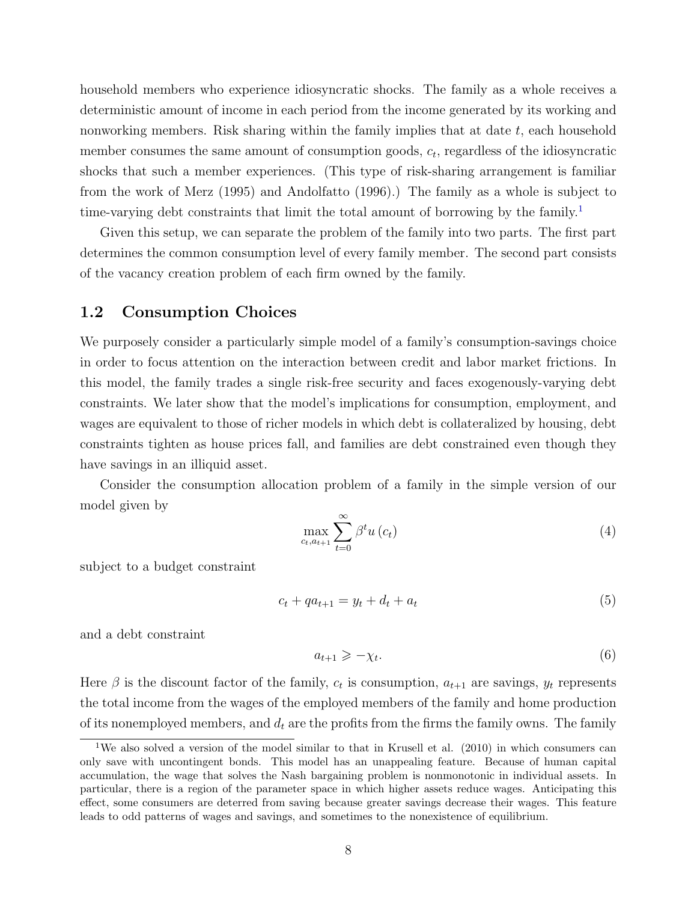household members who experience idiosyncratic shocks. The family as a whole receives a deterministic amount of income in each period from the income generated by its working and nonworking members. Risk sharing within the family implies that at date  $t$ , each household member consumes the same amount of consumption goods,  $c_t$ , regardless of the idiosyncratic shocks that such a member experiences. (This type of risk-sharing arrangement is familiar from the work of Merz (1995) and Andolfatto (1996).) The family as a whole is subject to time-varying debt constraints that limit the total amount of borrowing by the family.<sup>[1](#page-9-0)</sup>

Given this setup, we can separate the problem of the family into two parts. The first part determines the common consumption level of every family member. The second part consists of the vacancy creation problem of each firm owned by the family.

### 1.2 Consumption Choices

We purposely consider a particularly simple model of a family's consumption-savings choice in order to focus attention on the interaction between credit and labor market frictions. In this model, the family trades a single risk-free security and faces exogenously-varying debt constraints. We later show that the model's implications for consumption, employment, and wages are equivalent to those of richer models in which debt is collateralized by housing, debt constraints tighten as house prices fall, and families are debt constrained even though they have savings in an illiquid asset.

Consider the consumption allocation problem of a family in the simple version of our model given by

<span id="page-9-3"></span>
$$
\max_{c_t, a_{t+1}} \sum_{t=0}^{\infty} \beta^t u(c_t) \tag{4}
$$

subject to a budget constraint

<span id="page-9-1"></span>
$$
c_t + qa_{t+1} = y_t + d_t + a_t \tag{5}
$$

and a debt constraint

<span id="page-9-2"></span>
$$
a_{t+1} \geqslant -\chi_t. \tag{6}
$$

Here  $\beta$  is the discount factor of the family,  $c_t$  is consumption,  $a_{t+1}$  are savings,  $y_t$  represents the total income from the wages of the employed members of the family and home production of its nonemployed members, and  $d_t$  are the profits from the firms the family owns. The family

<span id="page-9-0"></span><sup>&</sup>lt;sup>1</sup>We also solved a version of the model similar to that in Krusell et al.  $(2010)$  in which consumers can only save with uncontingent bonds. This model has an unappealing feature. Because of human capital accumulation, the wage that solves the Nash bargaining problem is nonmonotonic in individual assets. In particular, there is a region of the parameter space in which higher assets reduce wages. Anticipating this effect, some consumers are deterred from saving because greater savings decrease their wages. This feature leads to odd patterns of wages and savings, and sometimes to the nonexistence of equilibrium.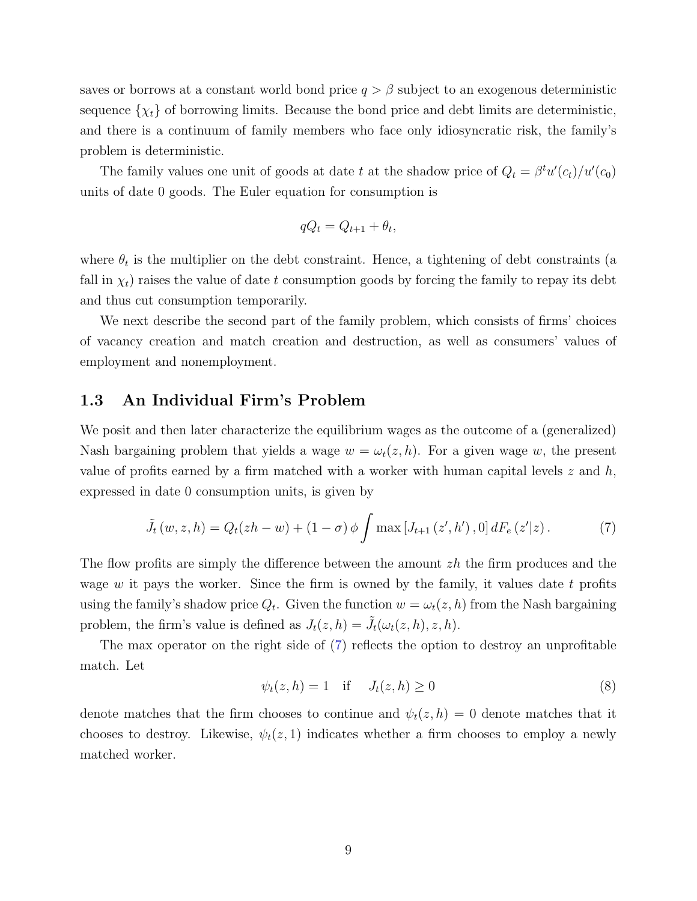saves or borrows at a constant world bond price  $q > \beta$  subject to an exogenous deterministic sequence  $\{\chi_t\}$  of borrowing limits. Because the bond price and debt limits are deterministic, and there is a continuum of family members who face only idiosyncratic risk, the family's problem is deterministic.

The family values one unit of goods at date t at the shadow price of  $Q_t = \beta^t u'(c_t)/u'(c_0)$ units of date 0 goods. The Euler equation for consumption is

$$
qQ_t = Q_{t+1} + \theta_t,
$$

where  $\theta_t$  is the multiplier on the debt constraint. Hence, a tightening of debt constraints (a fall in  $\chi_t$ ) raises the value of date t consumption goods by forcing the family to repay its debt and thus cut consumption temporarily.

We next describe the second part of the family problem, which consists of firms' choices of vacancy creation and match creation and destruction, as well as consumers' values of employment and nonemployment.

### 1.3 An Individual Firm's Problem

We posit and then later characterize the equilibrium wages as the outcome of a (generalized) Nash bargaining problem that yields a wage  $w = \omega_t(z, h)$ . For a given wage w, the present value of profits earned by a firm matched with a worker with human capital levels  $z$  and  $h$ , expressed in date 0 consumption units, is given by

<span id="page-10-0"></span>
$$
\tilde{J}_t(w, z, h) = Q_t(zh - w) + (1 - \sigma) \phi \int \max [J_{t+1}(z', h'), 0] dF_e(z'|z).
$$
 (7)

The flow profits are simply the difference between the amount  $zh$  the firm produces and the wage w it pays the worker. Since the firm is owned by the family, it values date t profits using the family's shadow price  $Q_t$ . Given the function  $w = \omega_t(z, h)$  from the Nash bargaining problem, the firm's value is defined as  $J_t(z, h) = \tilde{J}_t(\omega_t(z, h), z, h)$ .

The max operator on the right side of [\(7\)](#page-10-0) reflects the option to destroy an unprofitable match. Let

$$
\psi_t(z, h) = 1 \quad \text{if} \quad J_t(z, h) \ge 0 \tag{8}
$$

denote matches that the firm chooses to continue and  $\psi_t(z, h) = 0$  denote matches that it chooses to destroy. Likewise,  $\psi_t(z, 1)$  indicates whether a firm chooses to employ a newly matched worker.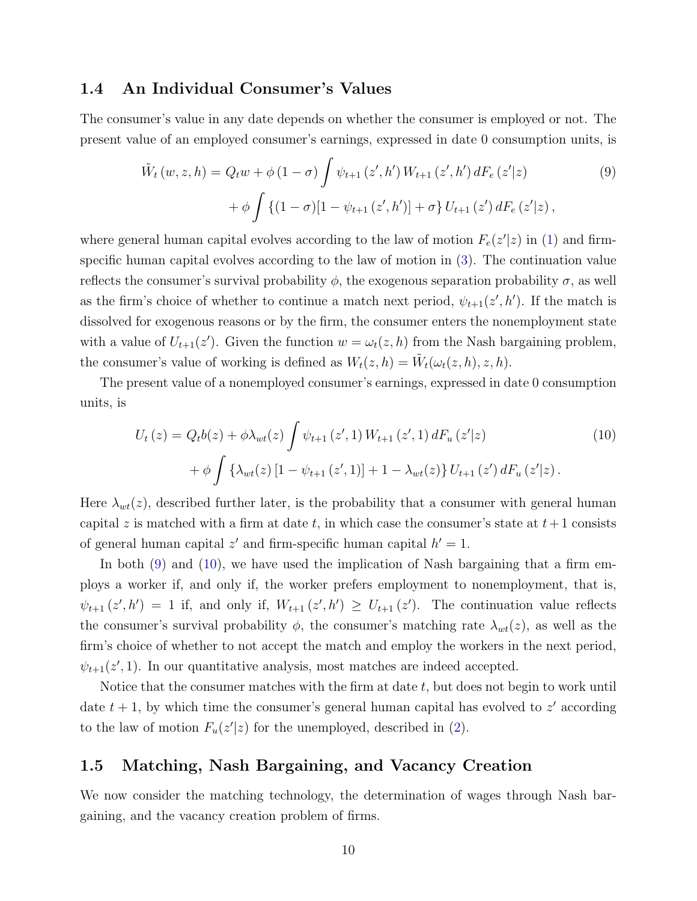### 1.4 An Individual Consumer's Values

The consumer's value in any date depends on whether the consumer is employed or not. The present value of an employed consumer's earnings, expressed in date 0 consumption units, is

<span id="page-11-0"></span>
$$
\tilde{W}_t(w, z, h) = Q_t w + \phi (1 - \sigma) \int \psi_{t+1}(z', h') W_{t+1}(z', h') dF_e (z'|z) \n+ \phi \int \{ (1 - \sigma) [1 - \psi_{t+1}(z', h')] + \sigma \} U_{t+1}(z') dF_e (z'|z) ,
$$
\n(9)

where general human capital evolves according to the law of motion  $F_e(z'|z)$  in [\(1\)](#page-8-0) and firmspecific human capital evolves according to the law of motion in [\(3\)](#page-8-2). The continuation value reflects the consumer's survival probability  $\phi$ , the exogenous separation probability  $\sigma$ , as well as the firm's choice of whether to continue a match next period,  $\psi_{t+1}(z', h')$ . If the match is dissolved for exogenous reasons or by the firm, the consumer enters the nonemployment state with a value of  $U_{t+1}(z')$ . Given the function  $w = \omega_t(z, h)$  from the Nash bargaining problem, the consumer's value of working is defined as  $W_t(z, h) = \tilde{W}_t(\omega_t(z, h), z, h)$ .

The present value of a nonemployed consumer's earnings, expressed in date 0 consumption units, is

<span id="page-11-1"></span>
$$
U_{t}(z) = Q_{t}b(z) + \phi \lambda_{wt}(z) \int \psi_{t+1}(z', 1) W_{t+1}(z', 1) dF_{u}(z'|z)
$$
  
+ 
$$
\phi \int {\lambda_{wt}(z) [1 - \psi_{t+1}(z', 1)] + 1 - \lambda_{wt}(z) } U_{t+1}(z') dF_{u}(z'|z).
$$
 (10)

Here  $\lambda_{wt}(z)$ , described further later, is the probability that a consumer with general human capital z is matched with a firm at date t, in which case the consumer's state at  $t+1$  consists of general human capital  $z'$  and firm-specific human capital  $h' = 1$ .

In both [\(9\)](#page-11-0) and [\(10\)](#page-11-1), we have used the implication of Nash bargaining that a firm employs a worker if, and only if, the worker prefers employment to nonemployment, that is,  $\psi_{t+1}(z',h') = 1$  if, and only if,  $W_{t+1}(z',h') \ge U_{t+1}(z')$ . The continuation value reflects the consumer's survival probability  $\phi$ , the consumer's matching rate  $\lambda_{wt}(z)$ , as well as the firm's choice of whether to not accept the match and employ the workers in the next period,  $\psi_{t+1}(z', 1)$ . In our quantitative analysis, most matches are indeed accepted.

Notice that the consumer matches with the firm at date  $t$ , but does not begin to work until date  $t + 1$ , by which time the consumer's general human capital has evolved to  $z'$  according to the law of motion  $F_u(z'|z)$  for the unemployed, described in [\(2\)](#page-8-1).

## 1.5 Matching, Nash Bargaining, and Vacancy Creation

We now consider the matching technology, the determination of wages through Nash bargaining, and the vacancy creation problem of firms.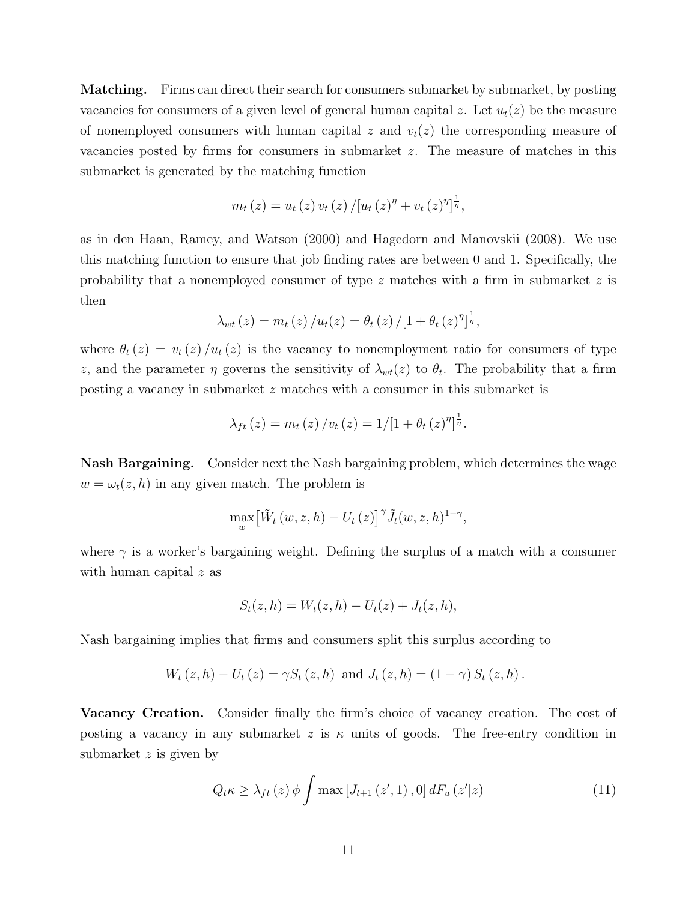**Matching.** Firms can direct their search for consumers submarket by submarket, by posting vacancies for consumers of a given level of general human capital z. Let  $u_t(z)$  be the measure of nonemployed consumers with human capital z and  $v_t(z)$  the corresponding measure of vacancies posted by firms for consumers in submarket z. The measure of matches in this submarket is generated by the matching function

$$
m_t(z) = u_t(z) v_t(z) / [u_t(z)^{\eta} + v_t(z)^{\eta}]^{\frac{1}{\eta}},
$$

as in den Haan, Ramey, and Watson (2000) and Hagedorn and Manovskii (2008). We use this matching function to ensure that job finding rates are between 0 and 1. Specifically, the probability that a nonemployed consumer of type  $z$  matches with a firm in submarket  $z$  is then

$$
\lambda_{wt}(z) = m_t(z) / u_t(z) = \theta_t(z) / [1 + \theta_t(z)^{\eta}]^{\frac{1}{\eta}},
$$

where  $\theta_t(z) = v_t(z)/u_t(z)$  is the vacancy to nonemployment ratio for consumers of type z, and the parameter  $\eta$  governs the sensitivity of  $\lambda_{wt}(z)$  to  $\theta_t$ . The probability that a firm posting a vacancy in submarket z matches with a consumer in this submarket is

$$
\lambda_{ft}(z) = m_t(z) / v_t(z) = 1/[1 + \theta_t(z)^{\eta}]^{\frac{1}{\eta}}.
$$

Nash Bargaining. Consider next the Nash bargaining problem, which determines the wage  $w = \omega_t(z, h)$  in any given match. The problem is

$$
\max_{w} \left[ \tilde{W}_t \left( w, z, h \right) - U_t \left( z \right) \right]^\gamma \tilde{J}_t(w, z, h)^{1 - \gamma},
$$

where  $\gamma$  is a worker's bargaining weight. Defining the surplus of a match with a consumer with human capital z as

$$
S_t(z, h) = W_t(z, h) - U_t(z) + J_t(z, h),
$$

Nash bargaining implies that firms and consumers split this surplus according to

$$
W_t(z, h) - U_t(z) = \gamma S_t(z, h)
$$
 and  $J_t(z, h) = (1 - \gamma) S_t(z, h)$ .

Vacancy Creation. Consider finally the firm's choice of vacancy creation. The cost of posting a vacancy in any submarket z is  $\kappa$  units of goods. The free-entry condition in submarket z is given by

<span id="page-12-0"></span>
$$
Q_{t}\kappa \geq \lambda_{ft}(z)\,\phi \int \max\left[J_{t+1}\left(z',1\right),0\right]dF_{u}\left(z'|z\right) \tag{11}
$$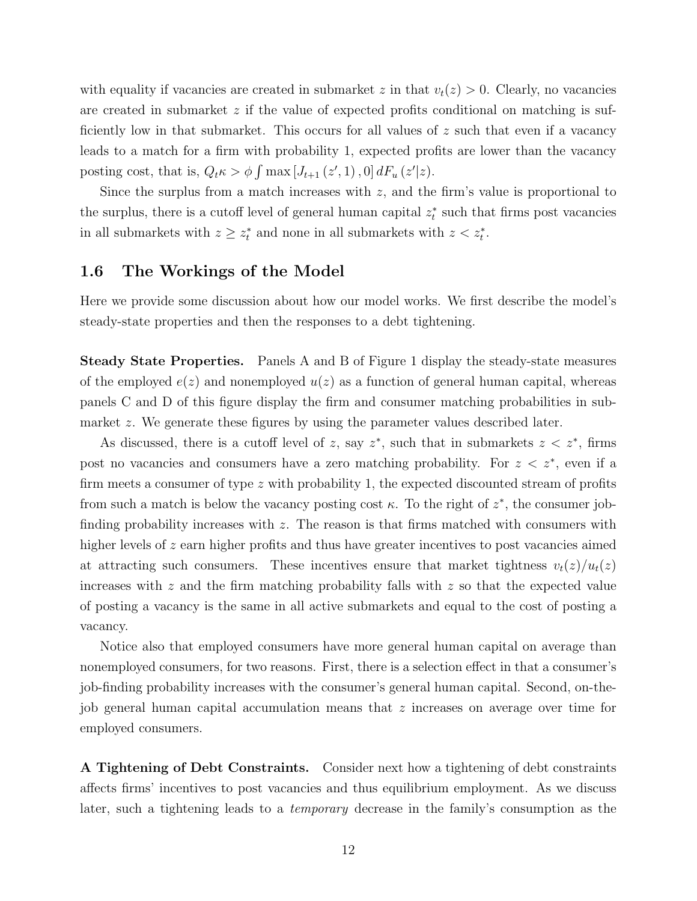with equality if vacancies are created in submarket z in that  $v_t(z) > 0$ . Clearly, no vacancies are created in submarket  $z$  if the value of expected profits conditional on matching is sufficiently low in that submarket. This occurs for all values of  $z$  such that even if a vacancy leads to a match for a firm with probability 1, expected profits are lower than the vacancy posting cost, that is,  $Q_t \kappa > \phi \int \max [J_{t+1}(z', 1), 0] dF_u(z'|z)$ .

Since the surplus from a match increases with  $z$ , and the firm's value is proportional to the surplus, there is a cutoff level of general human capital  $z_t^*$  such that firms post vacancies in all submarkets with  $z \geq z_t^*$  and none in all submarkets with  $z < z_t^*$ .

### 1.6 The Workings of the Model

Here we provide some discussion about how our model works. We first describe the model's steady-state properties and then the responses to a debt tightening.

Steady State Properties. Panels A and B of Figure 1 display the steady-state measures of the employed  $e(z)$  and nonemployed  $u(z)$  as a function of general human capital, whereas panels C and D of this figure display the firm and consumer matching probabilities in submarket z. We generate these figures by using the parameter values described later.

As discussed, there is a cutoff level of z, say  $z^*$ , such that in submarkets  $z \leq z^*$ , firms post no vacancies and consumers have a zero matching probability. For  $z \leq z^*$ , even if a firm meets a consumer of type  $z$  with probability 1, the expected discounted stream of profits from such a match is below the vacancy posting cost  $\kappa$ . To the right of  $z^*$ , the consumer jobfinding probability increases with  $z$ . The reason is that firms matched with consumers with higher levels of  $z$  earn higher profits and thus have greater incentives to post vacancies aimed at attracting such consumers. These incentives ensure that market tightness  $v_t(z)/u_t(z)$ increases with  $z$  and the firm matching probability falls with  $z$  so that the expected value of posting a vacancy is the same in all active submarkets and equal to the cost of posting a vacancy.

Notice also that employed consumers have more general human capital on average than nonemployed consumers, for two reasons. First, there is a selection effect in that a consumer's job-finding probability increases with the consumer's general human capital. Second, on-thejob general human capital accumulation means that z increases on average over time for employed consumers.

A Tightening of Debt Constraints. Consider next how a tightening of debt constraints affects firms' incentives to post vacancies and thus equilibrium employment. As we discuss later, such a tightening leads to a temporary decrease in the family's consumption as the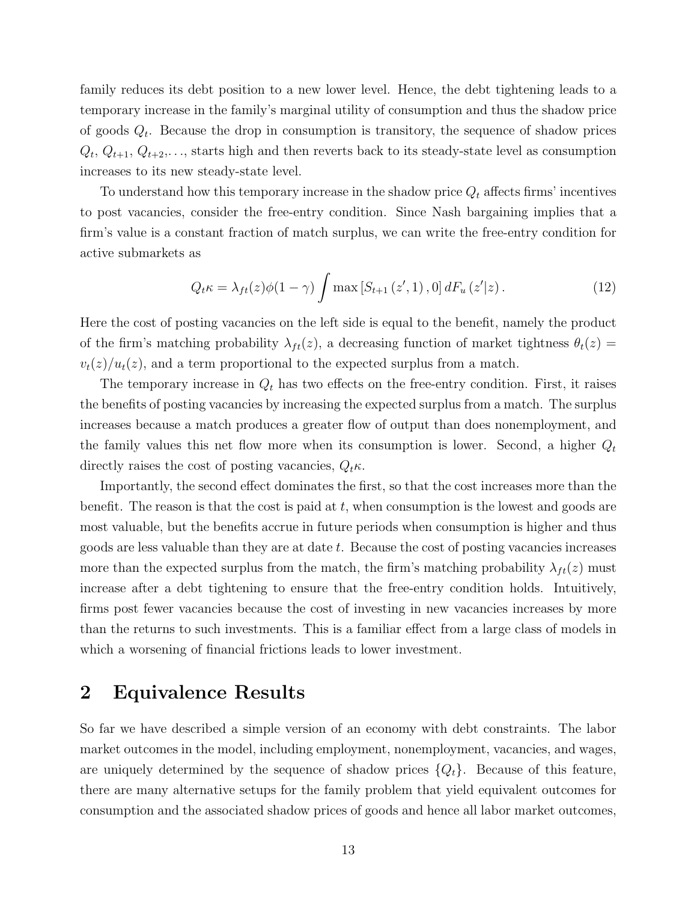family reduces its debt position to a new lower level. Hence, the debt tightening leads to a temporary increase in the family's marginal utility of consumption and thus the shadow price of goods  $Q_t$ . Because the drop in consumption is transitory, the sequence of shadow prices  $Q_t, Q_{t+1}, Q_{t+2}, \ldots$ , starts high and then reverts back to its steady-state level as consumption increases to its new steady-state level.

To understand how this temporary increase in the shadow price  $Q_t$  affects firms' incentives to post vacancies, consider the free-entry condition. Since Nash bargaining implies that a firm's value is a constant fraction of match surplus, we can write the free-entry condition for active submarkets as

$$
Q_t \kappa = \lambda_{ft}(z)\phi(1-\gamma) \int \max\left[S_{t+1}\left(z', 1\right), 0\right] dF_u\left(z'|z\right). \tag{12}
$$

Here the cost of posting vacancies on the left side is equal to the benefit, namely the product of the firm's matching probability  $\lambda_{ft}(z)$ , a decreasing function of market tightness  $\theta_t(z)$  =  $v_t(z)/u_t(z)$ , and a term proportional to the expected surplus from a match.

The temporary increase in  $Q_t$  has two effects on the free-entry condition. First, it raises the benefits of posting vacancies by increasing the expected surplus from a match. The surplus increases because a match produces a greater flow of output than does nonemployment, and the family values this net flow more when its consumption is lower. Second, a higher  $Q_t$ directly raises the cost of posting vacancies,  $Q_t \kappa$ .

Importantly, the second effect dominates the first, so that the cost increases more than the benefit. The reason is that the cost is paid at t, when consumption is the lowest and goods are most valuable, but the benefits accrue in future periods when consumption is higher and thus goods are less valuable than they are at date t. Because the cost of posting vacancies increases more than the expected surplus from the match, the firm's matching probability  $\lambda_{ft}(z)$  must increase after a debt tightening to ensure that the free-entry condition holds. Intuitively, firms post fewer vacancies because the cost of investing in new vacancies increases by more than the returns to such investments. This is a familiar effect from a large class of models in which a worsening of financial frictions leads to lower investment.

# 2 Equivalence Results

So far we have described a simple version of an economy with debt constraints. The labor market outcomes in the model, including employment, nonemployment, vacancies, and wages, are uniquely determined by the sequence of shadow prices  $\{Q_t\}$ . Because of this feature, there are many alternative setups for the family problem that yield equivalent outcomes for consumption and the associated shadow prices of goods and hence all labor market outcomes,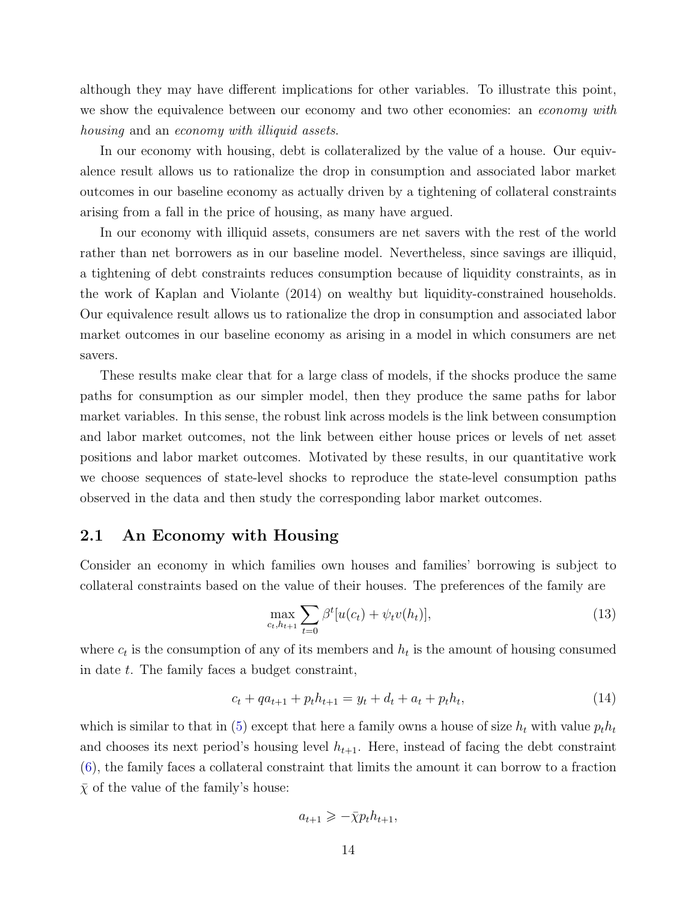although they may have different implications for other variables. To illustrate this point, we show the equivalence between our economy and two other economies: an *economy with* housing and an economy with illiquid assets.

In our economy with housing, debt is collateralized by the value of a house. Our equivalence result allows us to rationalize the drop in consumption and associated labor market outcomes in our baseline economy as actually driven by a tightening of collateral constraints arising from a fall in the price of housing, as many have argued.

In our economy with illiquid assets, consumers are net savers with the rest of the world rather than net borrowers as in our baseline model. Nevertheless, since savings are illiquid, a tightening of debt constraints reduces consumption because of liquidity constraints, as in the work of Kaplan and Violante (2014) on wealthy but liquidity-constrained households. Our equivalence result allows us to rationalize the drop in consumption and associated labor market outcomes in our baseline economy as arising in a model in which consumers are net savers.

These results make clear that for a large class of models, if the shocks produce the same paths for consumption as our simpler model, then they produce the same paths for labor market variables. In this sense, the robust link across models is the link between consumption and labor market outcomes, not the link between either house prices or levels of net asset positions and labor market outcomes. Motivated by these results, in our quantitative work we choose sequences of state-level shocks to reproduce the state-level consumption paths observed in the data and then study the corresponding labor market outcomes.

### 2.1 An Economy with Housing

Consider an economy in which families own houses and families' borrowing is subject to collateral constraints based on the value of their houses. The preferences of the family are

<span id="page-15-0"></span>
$$
\max_{c_t, h_{t+1}} \sum_{t=0} \beta^t [u(c_t) + \psi_t v(h_t)], \qquad (13)
$$

where  $c_t$  is the consumption of any of its members and  $h_t$  is the amount of housing consumed in date t. The family faces a budget constraint,

$$
c_t + qa_{t+1} + p_t h_{t+1} = y_t + d_t + a_t + p_t h_t, \tag{14}
$$

which is similar to that in [\(5\)](#page-9-1) except that here a family owns a house of size  $h_t$  with value  $p_th_t$ and chooses its next period's housing level  $h_{t+1}$ . Here, instead of facing the debt constraint [\(6\)](#page-9-2), the family faces a collateral constraint that limits the amount it can borrow to a fraction  $\bar{\chi}$  of the value of the family's house:

$$
a_{t+1} \geqslant -\bar{\chi} p_t h_{t+1},
$$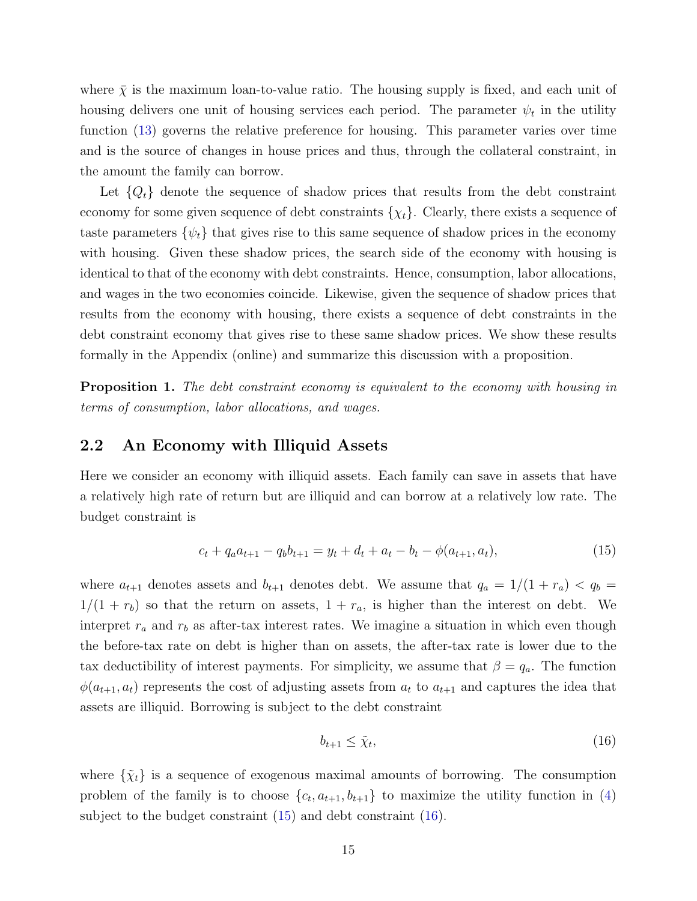where  $\bar{\chi}$  is the maximum loan-to-value ratio. The housing supply is fixed, and each unit of housing delivers one unit of housing services each period. The parameter  $\psi_t$  in the utility function [\(13\)](#page-15-0) governs the relative preference for housing. This parameter varies over time and is the source of changes in house prices and thus, through the collateral constraint, in the amount the family can borrow.

Let  $\{Q_t\}$  denote the sequence of shadow prices that results from the debt constraint economy for some given sequence of debt constraints  $\{\chi_t\}$ . Clearly, there exists a sequence of taste parameters  $\{\psi_t\}$  that gives rise to this same sequence of shadow prices in the economy with housing. Given these shadow prices, the search side of the economy with housing is identical to that of the economy with debt constraints. Hence, consumption, labor allocations, and wages in the two economies coincide. Likewise, given the sequence of shadow prices that results from the economy with housing, there exists a sequence of debt constraints in the debt constraint economy that gives rise to these same shadow prices. We show these results formally in the Appendix (online) and summarize this discussion with a proposition.

**Proposition 1.** The debt constraint economy is equivalent to the economy with housing in terms of consumption, labor allocations, and wages.

### 2.2 An Economy with Illiquid Assets

Here we consider an economy with illiquid assets. Each family can save in assets that have a relatively high rate of return but are illiquid and can borrow at a relatively low rate. The budget constraint is

<span id="page-16-0"></span>
$$
c_t + q_a a_{t+1} - q_b b_{t+1} = y_t + d_t + a_t - b_t - \phi(a_{t+1}, a_t),
$$
\n
$$
(15)
$$

where  $a_{t+1}$  denotes assets and  $b_{t+1}$  denotes debt. We assume that  $q_a = 1/(1 + r_a) < q_b$  $1/(1 + r_b)$  so that the return on assets,  $1 + r_a$ , is higher than the interest on debt. We interpret  $r_a$  and  $r_b$  as after-tax interest rates. We imagine a situation in which even though the before-tax rate on debt is higher than on assets, the after-tax rate is lower due to the tax deductibility of interest payments. For simplicity, we assume that  $\beta = q_a$ . The function  $\phi(a_{t+1}, a_t)$  represents the cost of adjusting assets from  $a_t$  to  $a_{t+1}$  and captures the idea that assets are illiquid. Borrowing is subject to the debt constraint

<span id="page-16-1"></span>
$$
b_{t+1} \le \tilde{\chi}_t,\tag{16}
$$

where  $\{\tilde{\chi}_t\}$  is a sequence of exogenous maximal amounts of borrowing. The consumption problem of the family is to choose  $\{c_t, a_{t+1}, b_{t+1}\}$  to maximize the utility function in [\(4\)](#page-9-3) subject to the budget constraint [\(15\)](#page-16-0) and debt constraint [\(16\)](#page-16-1).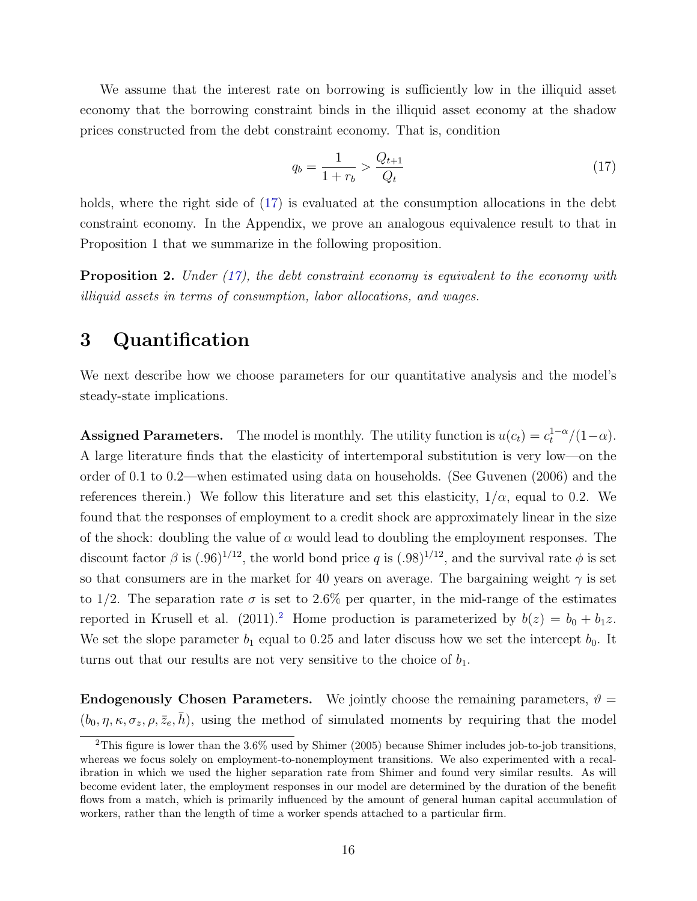We assume that the interest rate on borrowing is sufficiently low in the illiquid asset economy that the borrowing constraint binds in the illiquid asset economy at the shadow prices constructed from the debt constraint economy. That is, condition

<span id="page-17-0"></span>
$$
q_b = \frac{1}{1+r_b} > \frac{Q_{t+1}}{Q_t} \tag{17}
$$

holds, where the right side of  $(17)$  is evaluated at the consumption allocations in the debt constraint economy. In the Appendix, we prove an analogous equivalence result to that in Proposition 1 that we summarize in the following proposition.

**Proposition 2.** Under  $(17)$ , the debt constraint economy is equivalent to the economy with illiquid assets in terms of consumption, labor allocations, and wages.

## 3 Quantification

We next describe how we choose parameters for our quantitative analysis and the model's steady-state implications.

Assigned Parameters. The model is monthly. The utility function is  $u(c_t) = c_t^{1-\alpha}/(1-\alpha)$ . A large literature finds that the elasticity of intertemporal substitution is very low—on the order of 0.1 to 0.2—when estimated using data on households. (See Guvenen (2006) and the references therein.) We follow this literature and set this elasticity,  $1/\alpha$ , equal to 0.2. We found that the responses of employment to a credit shock are approximately linear in the size of the shock: doubling the value of  $\alpha$  would lead to doubling the employment responses. The discount factor  $\beta$  is  $(.96)^{1/12}$ , the world bond price q is  $(.98)^{1/12}$ , and the survival rate  $\phi$  is set so that consumers are in the market for 40 years on average. The bargaining weight  $\gamma$  is set to 1/2. The separation rate  $\sigma$  is set to 2.6% per quarter, in the mid-range of the estimates reported in Krusell et al. ([2](#page-17-1)011).<sup>2</sup> Home production is parameterized by  $b(z) = b_0 + b_1z$ . We set the slope parameter  $b_1$  equal to 0.25 and later discuss how we set the intercept  $b_0$ . It turns out that our results are not very sensitive to the choice of  $b_1$ .

**Endogenously Chosen Parameters.** We jointly choose the remaining parameters,  $\vartheta$  =  $(b_0, \eta, \kappa, \sigma_z, \rho, \bar{z}_e, \bar{h})$ , using the method of simulated moments by requiring that the model

<span id="page-17-1"></span> $2$ This figure is lower than the 3.6% used by Shimer (2005) because Shimer includes job-to-job transitions, whereas we focus solely on employment-to-nonemployment transitions. We also experimented with a recalibration in which we used the higher separation rate from Shimer and found very similar results. As will become evident later, the employment responses in our model are determined by the duration of the benefit flows from a match, which is primarily influenced by the amount of general human capital accumulation of workers, rather than the length of time a worker spends attached to a particular firm.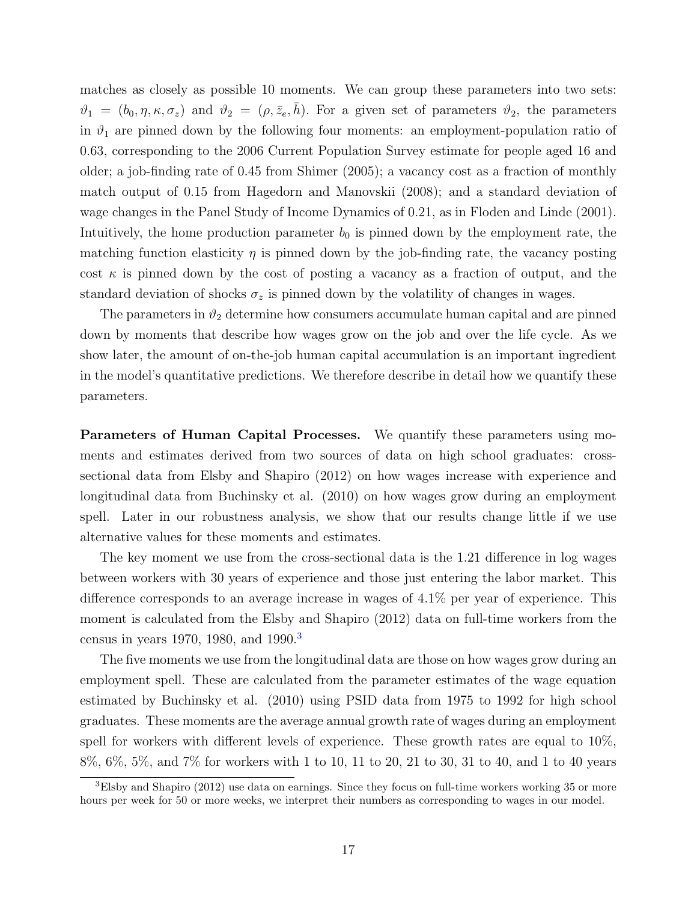matches as closely as possible 10 moments. We can group these parameters into two sets:  $\vartheta_1 = (b_0, \eta, \kappa, \sigma_z)$  and  $\vartheta_2 = (\rho, \bar{z}_e, \bar{h})$ . For a given set of parameters  $\vartheta_2$ , the parameters in  $\vartheta_1$  are pinned down by the following four moments: an employment-population ratio of 0.63, corresponding to the 2006 Current Population Survey estimate for people aged 16 and older; a job-finding rate of 0.45 from Shimer (2005); a vacancy cost as a fraction of monthly match output of 0.15 from Hagedorn and Manovskii (2008); and a standard deviation of wage changes in the Panel Study of Income Dynamics of 0.21, as in Floden and Linde (2001). Intuitively, the home production parameter  $b_0$  is pinned down by the employment rate, the matching function elasticity  $\eta$  is pinned down by the job-finding rate, the vacancy posting cost  $\kappa$  is pinned down by the cost of posting a vacancy as a fraction of output, and the standard deviation of shocks  $\sigma_z$  is pinned down by the volatility of changes in wages.

The parameters in  $\vartheta_2$  determine how consumers accumulate human capital and are pinned down by moments that describe how wages grow on the job and over the life cycle. As we show later, the amount of on-the-job human capital accumulation is an important ingredient in the model's quantitative predictions. We therefore describe in detail how we quantify these parameters.

Parameters of Human Capital Processes. We quantify these parameters using moments and estimates derived from two sources of data on high school graduates: crosssectional data from Elsby and Shapiro (2012) on how wages increase with experience and longitudinal data from Buchinsky et al. (2010) on how wages grow during an employment spell. Later in our robustness analysis, we show that our results change little if we use alternative values for these moments and estimates.

The key moment we use from the cross-sectional data is the 1.21 difference in log wages between workers with 30 years of experience and those just entering the labor market. This difference corresponds to an average increase in wages of 4.1% per year of experience. This moment is calculated from the Elsby and Shapiro (2012) data on full-time workers from the census in years 1970, 1980, and 1990.<sup>[3](#page-18-0)</sup>

The five moments we use from the longitudinal data are those on how wages grow during an employment spell. These are calculated from the parameter estimates of the wage equation estimated by Buchinsky et al. (2010) using PSID data from 1975 to 1992 for high school graduates. These moments are the average annual growth rate of wages during an employment spell for workers with different levels of experience. These growth rates are equal to 10%, 8%, 6%, 5%, and 7% for workers with 1 to 10, 11 to 20, 21 to 30, 31 to 40, and 1 to 40 years

<span id="page-18-0"></span><sup>3</sup>Elsby and Shapiro (2012) use data on earnings. Since they focus on full-time workers working 35 or more hours per week for 50 or more weeks, we interpret their numbers as corresponding to wages in our model.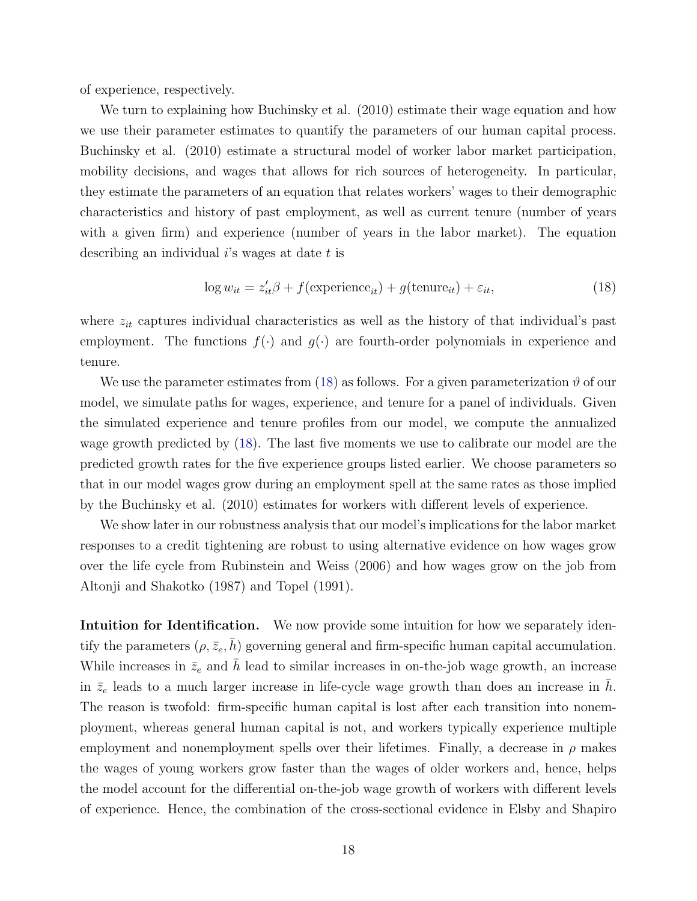of experience, respectively.

We turn to explaining how Buchinsky et al.  $(2010)$  estimate their wage equation and how we use their parameter estimates to quantify the parameters of our human capital process. Buchinsky et al. (2010) estimate a structural model of worker labor market participation, mobility decisions, and wages that allows for rich sources of heterogeneity. In particular, they estimate the parameters of an equation that relates workers' wages to their demographic characteristics and history of past employment, as well as current tenure (number of years with a given firm) and experience (number of years in the labor market). The equation describing an individual  $i$ 's wages at date  $t$  is

<span id="page-19-0"></span>
$$
\log w_{it} = z_{it}'\beta + f(\text{experience}_{it}) + g(\text{tenure}_{it}) + \varepsilon_{it},\tag{18}
$$

where  $z_{it}$  captures individual characteristics as well as the history of that individual's past employment. The functions  $f(\cdot)$  and  $g(\cdot)$  are fourth-order polynomials in experience and tenure.

We use the parameter estimates from [\(18\)](#page-19-0) as follows. For a given parameterization  $\vartheta$  of our model, we simulate paths for wages, experience, and tenure for a panel of individuals. Given the simulated experience and tenure profiles from our model, we compute the annualized wage growth predicted by [\(18\)](#page-19-0). The last five moments we use to calibrate our model are the predicted growth rates for the five experience groups listed earlier. We choose parameters so that in our model wages grow during an employment spell at the same rates as those implied by the Buchinsky et al. (2010) estimates for workers with different levels of experience.

We show later in our robustness analysis that our model's implications for the labor market responses to a credit tightening are robust to using alternative evidence on how wages grow over the life cycle from Rubinstein and Weiss (2006) and how wages grow on the job from Altonji and Shakotko (1987) and Topel (1991).

Intuition for Identification. We now provide some intuition for how we separately identify the parameters  $(\rho, \bar{z}_e, h)$  governing general and firm-specific human capital accumulation. While increases in  $\bar{z}_e$  and  $\bar{h}$  lead to similar increases in on-the-job wage growth, an increase in  $\bar{z}_e$  leads to a much larger increase in life-cycle wage growth than does an increase in h. The reason is twofold: firm-specific human capital is lost after each transition into nonemployment, whereas general human capital is not, and workers typically experience multiple employment and nonemployment spells over their lifetimes. Finally, a decrease in  $\rho$  makes the wages of young workers grow faster than the wages of older workers and, hence, helps the model account for the differential on-the-job wage growth of workers with different levels of experience. Hence, the combination of the cross-sectional evidence in Elsby and Shapiro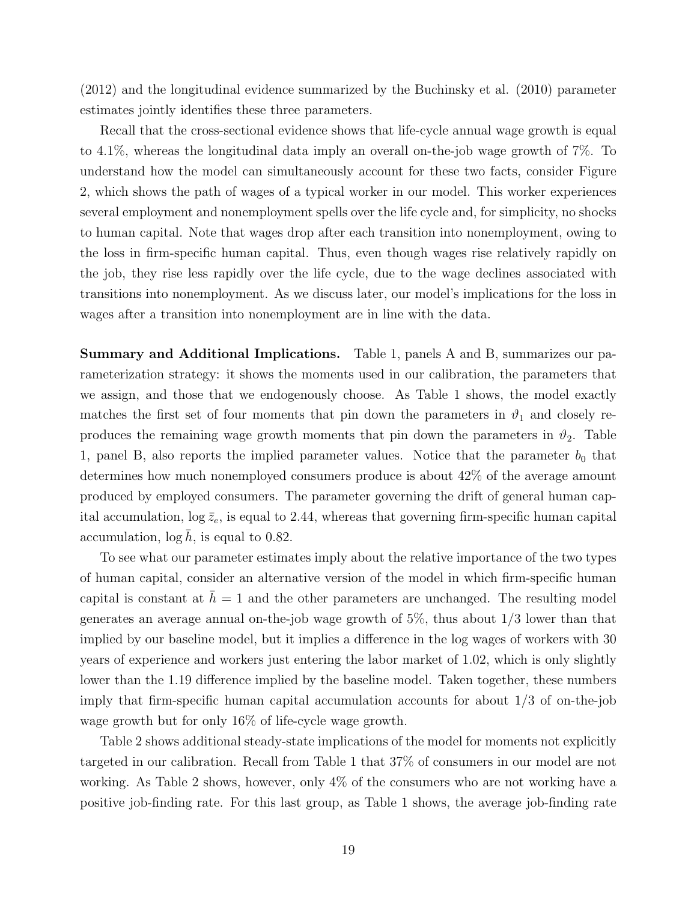(2012) and the longitudinal evidence summarized by the Buchinsky et al. (2010) parameter estimates jointly identifies these three parameters.

Recall that the cross-sectional evidence shows that life-cycle annual wage growth is equal to 4.1%, whereas the longitudinal data imply an overall on-the-job wage growth of 7%. To understand how the model can simultaneously account for these two facts, consider Figure 2, which shows the path of wages of a typical worker in our model. This worker experiences several employment and nonemployment spells over the life cycle and, for simplicity, no shocks to human capital. Note that wages drop after each transition into nonemployment, owing to the loss in firm-specific human capital. Thus, even though wages rise relatively rapidly on the job, they rise less rapidly over the life cycle, due to the wage declines associated with transitions into nonemployment. As we discuss later, our model's implications for the loss in wages after a transition into nonemployment are in line with the data.

Summary and Additional Implications. Table 1, panels A and B, summarizes our parameterization strategy: it shows the moments used in our calibration, the parameters that we assign, and those that we endogenously choose. As Table 1 shows, the model exactly matches the first set of four moments that pin down the parameters in  $\vartheta_1$  and closely reproduces the remaining wage growth moments that pin down the parameters in  $\vartheta_2$ . Table 1, panel B, also reports the implied parameter values. Notice that the parameter  $b_0$  that determines how much nonemployed consumers produce is about 42% of the average amount produced by employed consumers. The parameter governing the drift of general human capital accumulation,  $\log \bar{z}_e$ , is equal to 2.44, whereas that governing firm-specific human capital accumulation,  $\log h$ , is equal to 0.82.

To see what our parameter estimates imply about the relative importance of the two types of human capital, consider an alternative version of the model in which firm-specific human capital is constant at  $\bar{h} = 1$  and the other parameters are unchanged. The resulting model generates an average annual on-the-job wage growth of 5%, thus about 1/3 lower than that implied by our baseline model, but it implies a difference in the log wages of workers with 30 years of experience and workers just entering the labor market of 1.02, which is only slightly lower than the 1.19 difference implied by the baseline model. Taken together, these numbers imply that firm-specific human capital accumulation accounts for about 1/3 of on-the-job wage growth but for only 16% of life-cycle wage growth.

Table 2 shows additional steady-state implications of the model for moments not explicitly targeted in our calibration. Recall from Table 1 that 37% of consumers in our model are not working. As Table 2 shows, however, only 4% of the consumers who are not working have a positive job-finding rate. For this last group, as Table 1 shows, the average job-finding rate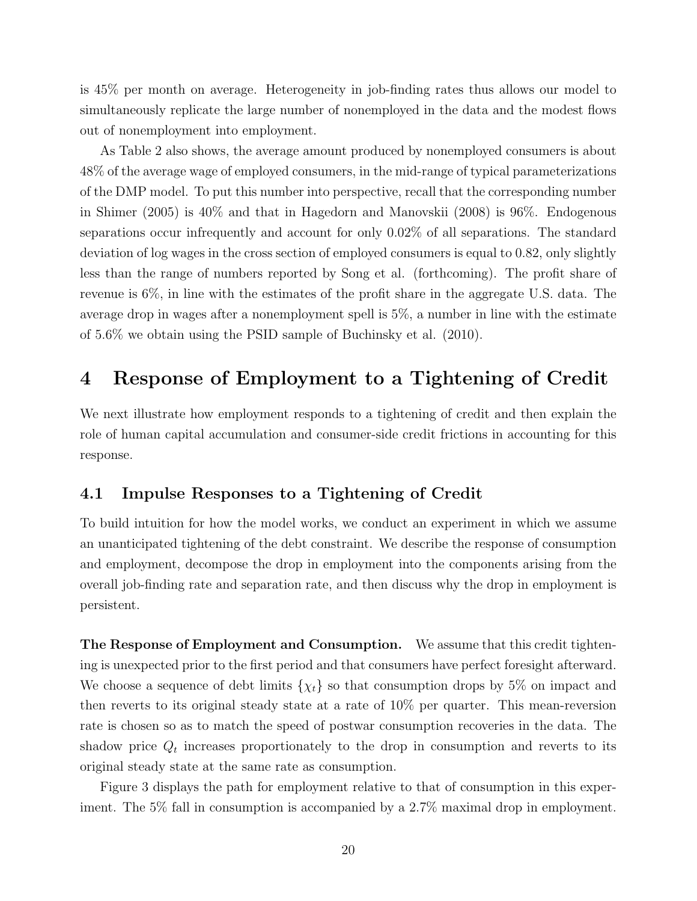is 45% per month on average. Heterogeneity in job-finding rates thus allows our model to simultaneously replicate the large number of nonemployed in the data and the modest flows out of nonemployment into employment.

As Table 2 also shows, the average amount produced by nonemployed consumers is about 48% of the average wage of employed consumers, in the mid-range of typical parameterizations of the DMP model. To put this number into perspective, recall that the corresponding number in Shimer (2005) is 40% and that in Hagedorn and Manovskii (2008) is 96%. Endogenous separations occur infrequently and account for only 0.02% of all separations. The standard deviation of log wages in the cross section of employed consumers is equal to 0.82, only slightly less than the range of numbers reported by Song et al. (forthcoming). The profit share of revenue is 6%, in line with the estimates of the profit share in the aggregate U.S. data. The average drop in wages after a nonemployment spell is 5%, a number in line with the estimate of 5.6% we obtain using the PSID sample of Buchinsky et al. (2010).

## 4 Response of Employment to a Tightening of Credit

We next illustrate how employment responds to a tightening of credit and then explain the role of human capital accumulation and consumer-side credit frictions in accounting for this response.

## 4.1 Impulse Responses to a Tightening of Credit

To build intuition for how the model works, we conduct an experiment in which we assume an unanticipated tightening of the debt constraint. We describe the response of consumption and employment, decompose the drop in employment into the components arising from the overall job-finding rate and separation rate, and then discuss why the drop in employment is persistent.

The Response of Employment and Consumption. We assume that this credit tightening is unexpected prior to the first period and that consumers have perfect foresight afterward. We choose a sequence of debt limits  $\{\chi_t\}$  so that consumption drops by 5% on impact and then reverts to its original steady state at a rate of 10% per quarter. This mean-reversion rate is chosen so as to match the speed of postwar consumption recoveries in the data. The shadow price  $Q_t$  increases proportionately to the drop in consumption and reverts to its original steady state at the same rate as consumption.

Figure 3 displays the path for employment relative to that of consumption in this experiment. The 5% fall in consumption is accompanied by a 2.7% maximal drop in employment.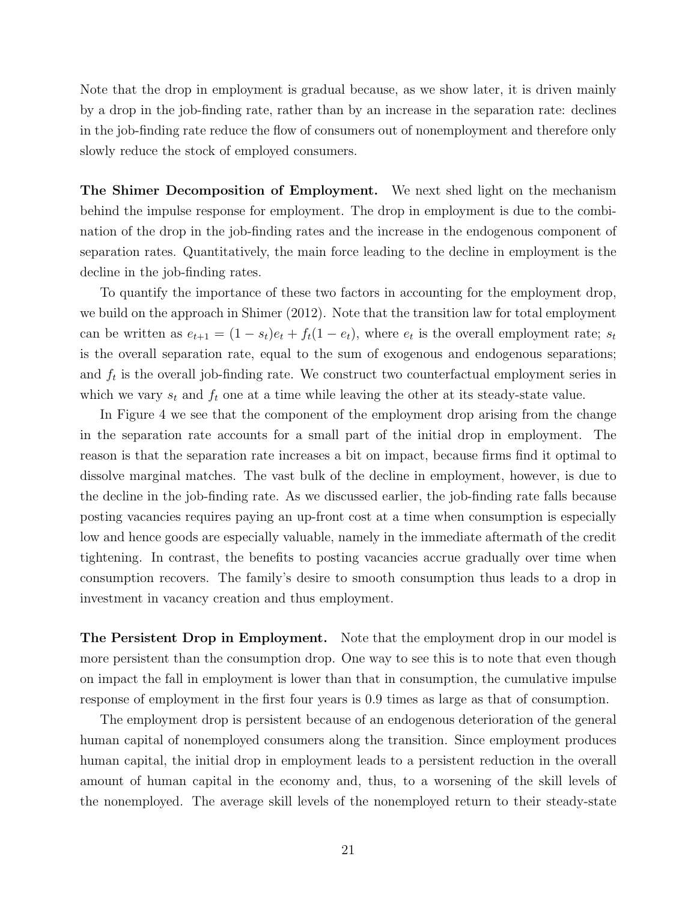Note that the drop in employment is gradual because, as we show later, it is driven mainly by a drop in the job-finding rate, rather than by an increase in the separation rate: declines in the job-finding rate reduce the flow of consumers out of nonemployment and therefore only slowly reduce the stock of employed consumers.

The Shimer Decomposition of Employment. We next shed light on the mechanism behind the impulse response for employment. The drop in employment is due to the combination of the drop in the job-finding rates and the increase in the endogenous component of separation rates. Quantitatively, the main force leading to the decline in employment is the decline in the job-finding rates.

To quantify the importance of these two factors in accounting for the employment drop, we build on the approach in Shimer (2012). Note that the transition law for total employment can be written as  $e_{t+1} = (1 - s_t)e_t + f_t(1 - e_t)$ , where  $e_t$  is the overall employment rate;  $s_t$ is the overall separation rate, equal to the sum of exogenous and endogenous separations; and  $f_t$  is the overall job-finding rate. We construct two counterfactual employment series in which we vary  $s_t$  and  $f_t$  one at a time while leaving the other at its steady-state value.

In Figure 4 we see that the component of the employment drop arising from the change in the separation rate accounts for a small part of the initial drop in employment. The reason is that the separation rate increases a bit on impact, because firms find it optimal to dissolve marginal matches. The vast bulk of the decline in employment, however, is due to the decline in the job-finding rate. As we discussed earlier, the job-finding rate falls because posting vacancies requires paying an up-front cost at a time when consumption is especially low and hence goods are especially valuable, namely in the immediate aftermath of the credit tightening. In contrast, the benefits to posting vacancies accrue gradually over time when consumption recovers. The family's desire to smooth consumption thus leads to a drop in investment in vacancy creation and thus employment.

The Persistent Drop in Employment. Note that the employment drop in our model is more persistent than the consumption drop. One way to see this is to note that even though on impact the fall in employment is lower than that in consumption, the cumulative impulse response of employment in the first four years is 0.9 times as large as that of consumption.

The employment drop is persistent because of an endogenous deterioration of the general human capital of nonemployed consumers along the transition. Since employment produces human capital, the initial drop in employment leads to a persistent reduction in the overall amount of human capital in the economy and, thus, to a worsening of the skill levels of the nonemployed. The average skill levels of the nonemployed return to their steady-state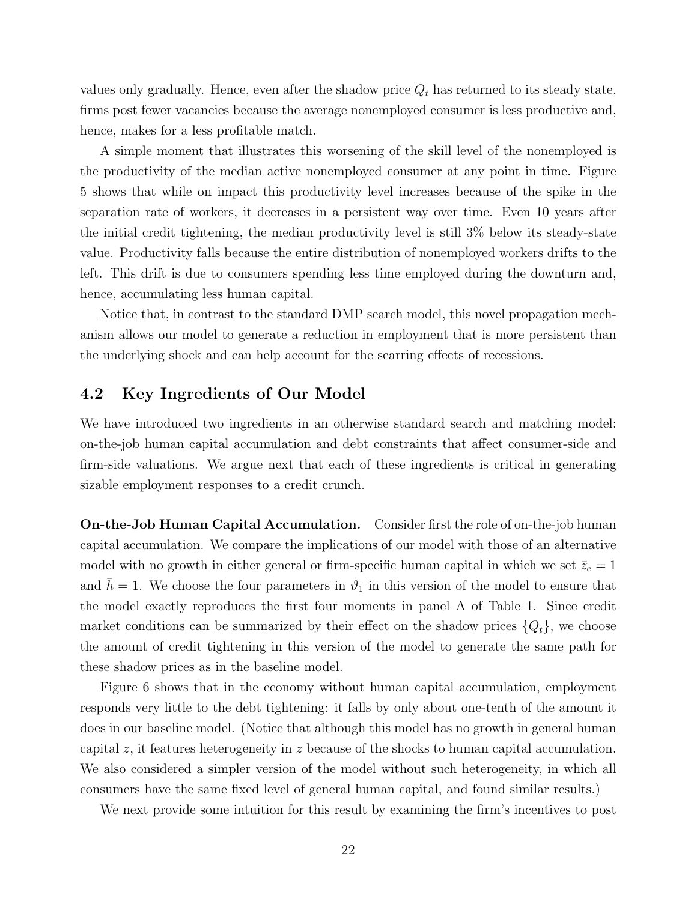values only gradually. Hence, even after the shadow price  $Q_t$  has returned to its steady state, firms post fewer vacancies because the average nonemployed consumer is less productive and, hence, makes for a less profitable match.

A simple moment that illustrates this worsening of the skill level of the nonemployed is the productivity of the median active nonemployed consumer at any point in time. Figure 5 shows that while on impact this productivity level increases because of the spike in the separation rate of workers, it decreases in a persistent way over time. Even 10 years after the initial credit tightening, the median productivity level is still 3% below its steady-state value. Productivity falls because the entire distribution of nonemployed workers drifts to the left. This drift is due to consumers spending less time employed during the downturn and, hence, accumulating less human capital.

Notice that, in contrast to the standard DMP search model, this novel propagation mechanism allows our model to generate a reduction in employment that is more persistent than the underlying shock and can help account for the scarring effects of recessions.

### 4.2 Key Ingredients of Our Model

We have introduced two ingredients in an otherwise standard search and matching model: on-the-job human capital accumulation and debt constraints that affect consumer-side and firm-side valuations. We argue next that each of these ingredients is critical in generating sizable employment responses to a credit crunch.

On-the-Job Human Capital Accumulation. Consider first the role of on-the-job human capital accumulation. We compare the implications of our model with those of an alternative model with no growth in either general or firm-specific human capital in which we set  $\bar{z}_e = 1$ and  $\bar{h} = 1$ . We choose the four parameters in  $\vartheta_1$  in this version of the model to ensure that the model exactly reproduces the first four moments in panel A of Table 1. Since credit market conditions can be summarized by their effect on the shadow prices  $\{Q_t\}$ , we choose the amount of credit tightening in this version of the model to generate the same path for these shadow prices as in the baseline model.

Figure 6 shows that in the economy without human capital accumulation, employment responds very little to the debt tightening: it falls by only about one-tenth of the amount it does in our baseline model. (Notice that although this model has no growth in general human capital z, it features heterogeneity in z because of the shocks to human capital accumulation. We also considered a simpler version of the model without such heterogeneity, in which all consumers have the same fixed level of general human capital, and found similar results.)

We next provide some intuition for this result by examining the firm's incentives to post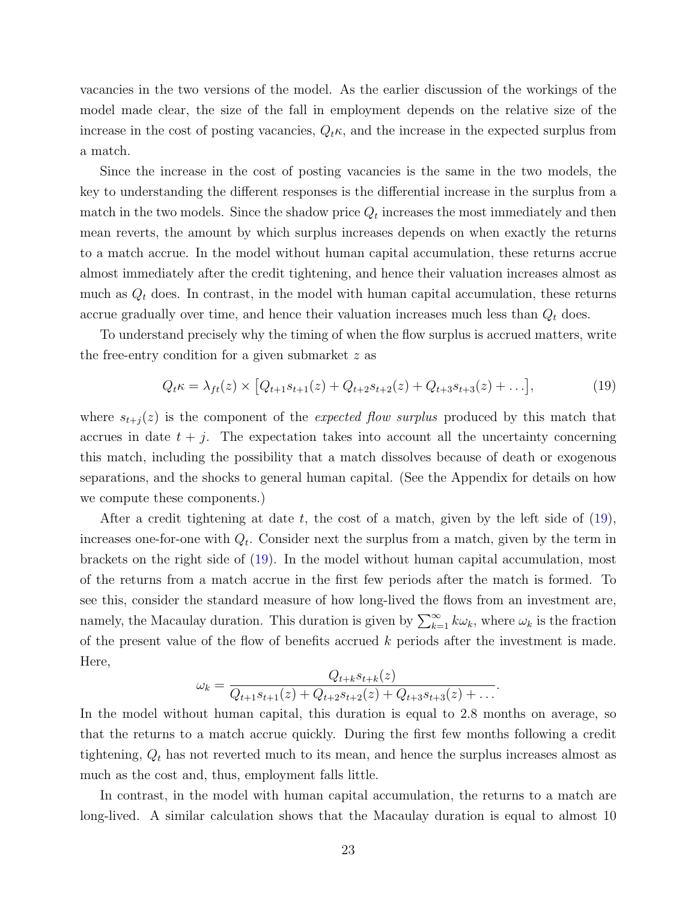vacancies in the two versions of the model. As the earlier discussion of the workings of the model made clear, the size of the fall in employment depends on the relative size of the increase in the cost of posting vacancies,  $Q_t \kappa$ , and the increase in the expected surplus from a match.

Since the increase in the cost of posting vacancies is the same in the two models, the key to understanding the different responses is the differential increase in the surplus from a match in the two models. Since the shadow price  $Q_t$  increases the most immediately and then mean reverts, the amount by which surplus increases depends on when exactly the returns to a match accrue. In the model without human capital accumulation, these returns accrue almost immediately after the credit tightening, and hence their valuation increases almost as much as  $Q_t$  does. In contrast, in the model with human capital accumulation, these returns accrue gradually over time, and hence their valuation increases much less than  $Q_t$  does.

To understand precisely why the timing of when the flow surplus is accrued matters, write the free-entry condition for a given submarket z as

<span id="page-24-0"></span>
$$
Q_t \kappa = \lambda_{ft}(z) \times \left[ Q_{t+1} s_{t+1}(z) + Q_{t+2} s_{t+2}(z) + Q_{t+3} s_{t+3}(z) + \ldots \right],\tag{19}
$$

where  $s_{t+j}(z)$  is the component of the *expected flow surplus* produced by this match that accrues in date  $t + j$ . The expectation takes into account all the uncertainty concerning this match, including the possibility that a match dissolves because of death or exogenous separations, and the shocks to general human capital. (See the Appendix for details on how we compute these components.)

After a credit tightening at date t, the cost of a match, given by the left side of  $(19)$ , increases one-for-one with  $Q_t$ . Consider next the surplus from a match, given by the term in brackets on the right side of [\(19\)](#page-24-0). In the model without human capital accumulation, most of the returns from a match accrue in the first few periods after the match is formed. To see this, consider the standard measure of how long-lived the flows from an investment are, namely, the Macaulay duration. This duration is given by  $\sum_{k=1}^{\infty} k \omega_k$ , where  $\omega_k$  is the fraction of the present value of the flow of benefits accrued  $k$  periods after the investment is made. Here,

$$
\omega_k = \frac{Q_{t+k} s_{t+k}(z)}{Q_{t+1} s_{t+1}(z) + Q_{t+2} s_{t+2}(z) + Q_{t+3} s_{t+3}(z) + \dots}.
$$

In the model without human capital, this duration is equal to 2.8 months on average, so that the returns to a match accrue quickly. During the first few months following a credit tightening,  $Q_t$  has not reverted much to its mean, and hence the surplus increases almost as much as the cost and, thus, employment falls little.

In contrast, in the model with human capital accumulation, the returns to a match are long-lived. A similar calculation shows that the Macaulay duration is equal to almost 10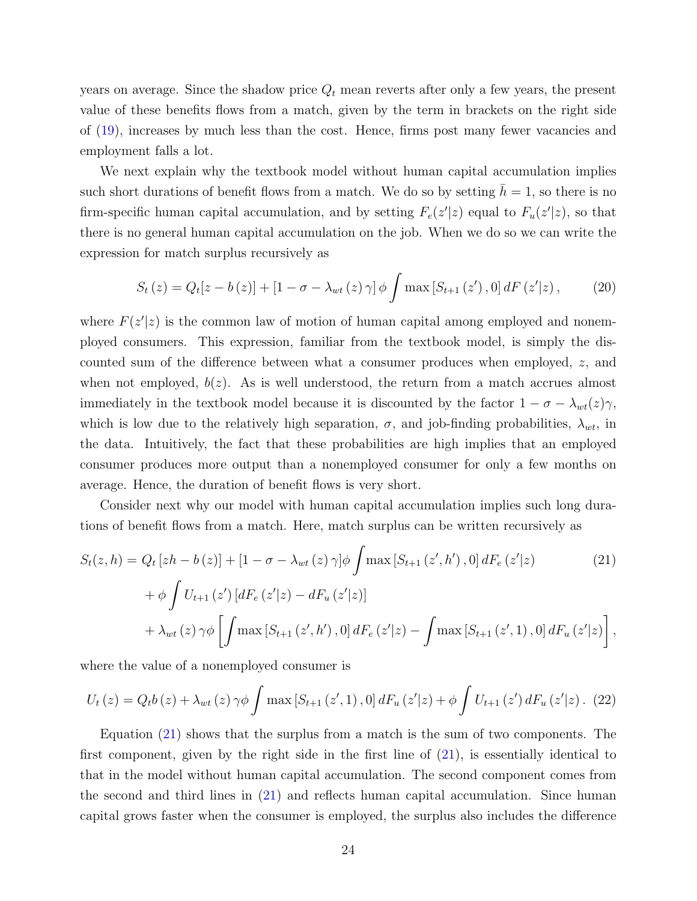years on average. Since the shadow price  $Q_t$  mean reverts after only a few years, the present value of these benefits flows from a match, given by the term in brackets on the right side of [\(19\)](#page-24-0), increases by much less than the cost. Hence, firms post many fewer vacancies and employment falls a lot.

We next explain why the textbook model without human capital accumulation implies such short durations of benefit flows from a match. We do so by setting  $\bar{h} = 1$ , so there is no firm-specific human capital accumulation, and by setting  $F_e(z'|z)$  equal to  $F_u(z'|z)$ , so that there is no general human capital accumulation on the job. When we do so we can write the expression for match surplus recursively as

$$
S_t(z) = Q_t[z - b(z)] + [1 - \sigma - \lambda_{wt}(z) \gamma] \phi \int \max[S_{t+1}(z'), 0] dF(z'|z), \quad (20)
$$

where  $F(z'|z)$  is the common law of motion of human capital among employed and nonemployed consumers. This expression, familiar from the textbook model, is simply the discounted sum of the difference between what a consumer produces when employed, z, and when not employed,  $b(z)$ . As is well understood, the return from a match accrues almost immediately in the textbook model because it is discounted by the factor  $1 - \sigma - \lambda_{wt}(z)\gamma$ , which is low due to the relatively high separation,  $\sigma$ , and job-finding probabilities,  $\lambda_{wt}$ , in the data. Intuitively, the fact that these probabilities are high implies that an employed consumer produces more output than a nonemployed consumer for only a few months on average. Hence, the duration of benefit flows is very short.

Consider next why our model with human capital accumulation implies such long durations of benefit flows from a match. Here, match surplus can be written recursively as

<span id="page-25-0"></span>
$$
S_{t}(z,h) = Q_{t}[zh - b(z)] + [1 - \sigma - \lambda_{wt}(z)\gamma]\phi \int \max\left[S_{t+1}(z',h'),0\right]dF_{e}(z'|z)
$$
\n
$$
+ \phi \int U_{t+1}(z')\left[dF_{e}(z'|z) - dF_{u}(z'|z)\right]
$$
\n
$$
+ \lambda_{wt}(z)\gamma\phi \left[\int \max\left[S_{t+1}(z',h'),0\right]dF_{e}(z'|z) - \int \max\left[S_{t+1}(z',1),0\right]dF_{u}(z'|z)\right],
$$
\n(21)

where the value of a nonemployed consumer is

$$
U_{t}(z) = Q_{t}b(z) + \lambda_{wt}(z)\,\gamma\phi\int\max\left[S_{t+1}(z',1),0\right]dF_{u}(z'|z) + \phi\int U_{t+1}(z')\,dF_{u}(z'|z). \tag{22}
$$

Equation [\(21\)](#page-25-0) shows that the surplus from a match is the sum of two components. The first component, given by the right side in the first line of [\(21\)](#page-25-0), is essentially identical to that in the model without human capital accumulation. The second component comes from the second and third lines in [\(21\)](#page-25-0) and reflects human capital accumulation. Since human capital grows faster when the consumer is employed, the surplus also includes the difference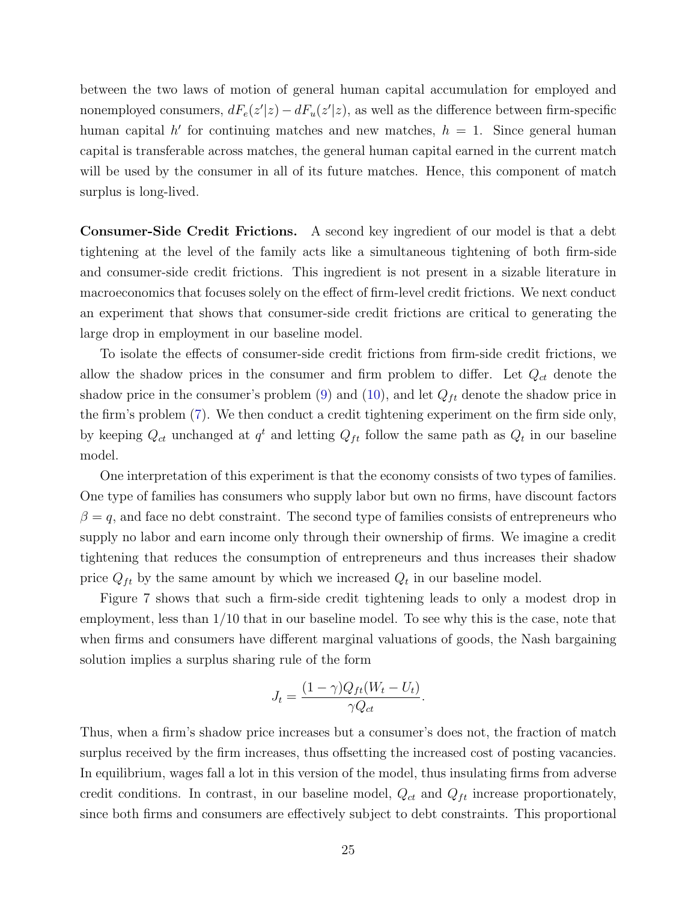between the two laws of motion of general human capital accumulation for employed and nonemployed consumers,  $dF_e(z'|z) - dF_u(z'|z)$ , as well as the difference between firm-specific human capital  $h'$  for continuing matches and new matches,  $h = 1$ . Since general human capital is transferable across matches, the general human capital earned in the current match will be used by the consumer in all of its future matches. Hence, this component of match surplus is long-lived.

Consumer-Side Credit Frictions. A second key ingredient of our model is that a debt tightening at the level of the family acts like a simultaneous tightening of both firm-side and consumer-side credit frictions. This ingredient is not present in a sizable literature in macroeconomics that focuses solely on the effect of firm-level credit frictions. We next conduct an experiment that shows that consumer-side credit frictions are critical to generating the large drop in employment in our baseline model.

To isolate the effects of consumer-side credit frictions from firm-side credit frictions, we allow the shadow prices in the consumer and firm problem to differ. Let  $Q_{ct}$  denote the shadow price in the consumer's problem [\(9\)](#page-11-0) and [\(10\)](#page-11-1), and let  $Q_{ft}$  denote the shadow price in the firm's problem [\(7\)](#page-10-0). We then conduct a credit tightening experiment on the firm side only, by keeping  $Q_{ct}$  unchanged at  $q^t$  and letting  $Q_{ft}$  follow the same path as  $Q_t$  in our baseline model.

One interpretation of this experiment is that the economy consists of two types of families. One type of families has consumers who supply labor but own no firms, have discount factors  $\beta = q$ , and face no debt constraint. The second type of families consists of entrepreneurs who supply no labor and earn income only through their ownership of firms. We imagine a credit tightening that reduces the consumption of entrepreneurs and thus increases their shadow price  $Q_{ft}$  by the same amount by which we increased  $Q_t$  in our baseline model.

Figure 7 shows that such a firm-side credit tightening leads to only a modest drop in employment, less than 1/10 that in our baseline model. To see why this is the case, note that when firms and consumers have different marginal valuations of goods, the Nash bargaining solution implies a surplus sharing rule of the form

$$
J_t = \frac{(1 - \gamma)Q_{ft}(W_t - U_t)}{\gamma Q_{ct}}.
$$

Thus, when a firm's shadow price increases but a consumer's does not, the fraction of match surplus received by the firm increases, thus offsetting the increased cost of posting vacancies. In equilibrium, wages fall a lot in this version of the model, thus insulating firms from adverse credit conditions. In contrast, in our baseline model,  $Q_{ct}$  and  $Q_{ft}$  increase proportionately, since both firms and consumers are effectively subject to debt constraints. This proportional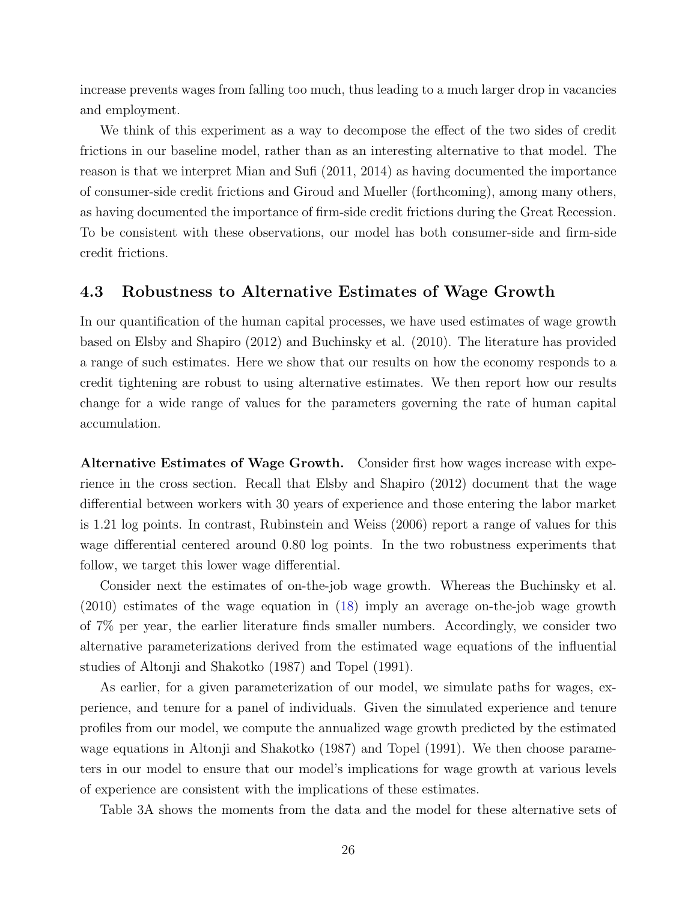increase prevents wages from falling too much, thus leading to a much larger drop in vacancies and employment.

We think of this experiment as a way to decompose the effect of the two sides of credit frictions in our baseline model, rather than as an interesting alternative to that model. The reason is that we interpret Mian and Sufi (2011, 2014) as having documented the importance of consumer-side credit frictions and Giroud and Mueller (forthcoming), among many others, as having documented the importance of firm-side credit frictions during the Great Recession. To be consistent with these observations, our model has both consumer-side and firm-side credit frictions.

#### 4.3 Robustness to Alternative Estimates of Wage Growth

In our quantification of the human capital processes, we have used estimates of wage growth based on Elsby and Shapiro (2012) and Buchinsky et al. (2010). The literature has provided a range of such estimates. Here we show that our results on how the economy responds to a credit tightening are robust to using alternative estimates. We then report how our results change for a wide range of values for the parameters governing the rate of human capital accumulation.

Alternative Estimates of Wage Growth. Consider first how wages increase with experience in the cross section. Recall that Elsby and Shapiro (2012) document that the wage differential between workers with 30 years of experience and those entering the labor market is 1.21 log points. In contrast, Rubinstein and Weiss (2006) report a range of values for this wage differential centered around 0.80 log points. In the two robustness experiments that follow, we target this lower wage differential.

Consider next the estimates of on-the-job wage growth. Whereas the Buchinsky et al. (2010) estimates of the wage equation in [\(18\)](#page-19-0) imply an average on-the-job wage growth of 7% per year, the earlier literature finds smaller numbers. Accordingly, we consider two alternative parameterizations derived from the estimated wage equations of the influential studies of Altonji and Shakotko (1987) and Topel (1991).

As earlier, for a given parameterization of our model, we simulate paths for wages, experience, and tenure for a panel of individuals. Given the simulated experience and tenure profiles from our model, we compute the annualized wage growth predicted by the estimated wage equations in Altonji and Shakotko (1987) and Topel (1991). We then choose parameters in our model to ensure that our model's implications for wage growth at various levels of experience are consistent with the implications of these estimates.

Table 3A shows the moments from the data and the model for these alternative sets of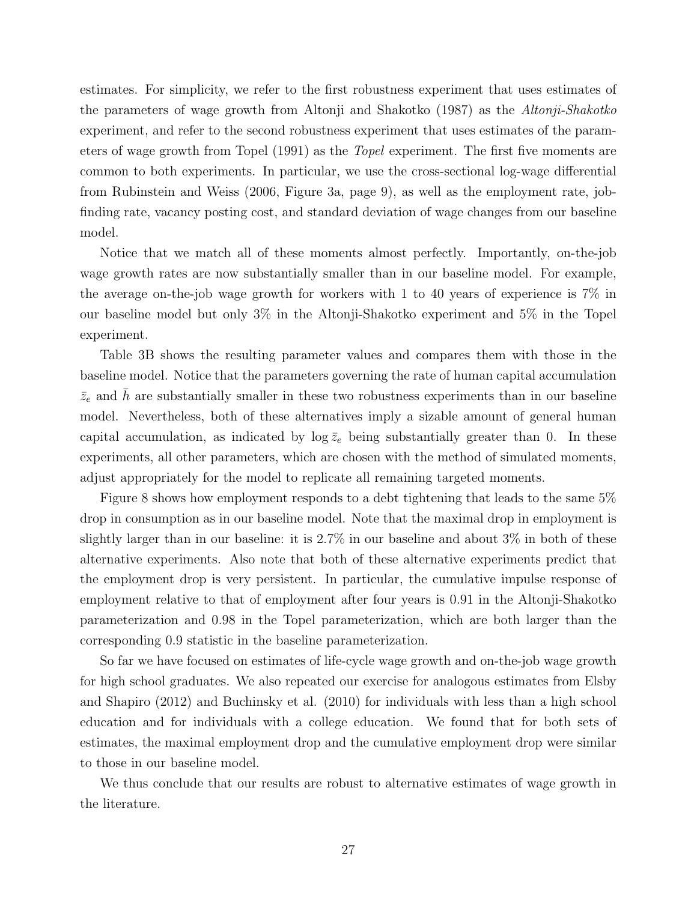estimates. For simplicity, we refer to the first robustness experiment that uses estimates of the parameters of wage growth from Altonji and Shakotko (1987) as the Altonji-Shakotko experiment, and refer to the second robustness experiment that uses estimates of the parameters of wage growth from Topel (1991) as the Topel experiment. The first five moments are common to both experiments. In particular, we use the cross-sectional log-wage differential from Rubinstein and Weiss (2006, Figure 3a, page 9), as well as the employment rate, jobfinding rate, vacancy posting cost, and standard deviation of wage changes from our baseline model.

Notice that we match all of these moments almost perfectly. Importantly, on-the-job wage growth rates are now substantially smaller than in our baseline model. For example, the average on-the-job wage growth for workers with 1 to 40 years of experience is 7% in our baseline model but only 3% in the Altonji-Shakotko experiment and 5% in the Topel experiment.

Table 3B shows the resulting parameter values and compares them with those in the baseline model. Notice that the parameters governing the rate of human capital accumulation  $\bar{z}_e$  and  $\bar{h}$  are substantially smaller in these two robustness experiments than in our baseline model. Nevertheless, both of these alternatives imply a sizable amount of general human capital accumulation, as indicated by  $\log \bar{z}_e$  being substantially greater than 0. In these experiments, all other parameters, which are chosen with the method of simulated moments, adjust appropriately for the model to replicate all remaining targeted moments.

Figure 8 shows how employment responds to a debt tightening that leads to the same 5% drop in consumption as in our baseline model. Note that the maximal drop in employment is slightly larger than in our baseline: it is 2.7% in our baseline and about 3% in both of these alternative experiments. Also note that both of these alternative experiments predict that the employment drop is very persistent. In particular, the cumulative impulse response of employment relative to that of employment after four years is 0.91 in the Altonji-Shakotko parameterization and 0.98 in the Topel parameterization, which are both larger than the corresponding 0.9 statistic in the baseline parameterization.

So far we have focused on estimates of life-cycle wage growth and on-the-job wage growth for high school graduates. We also repeated our exercise for analogous estimates from Elsby and Shapiro (2012) and Buchinsky et al. (2010) for individuals with less than a high school education and for individuals with a college education. We found that for both sets of estimates, the maximal employment drop and the cumulative employment drop were similar to those in our baseline model.

We thus conclude that our results are robust to alternative estimates of wage growth in the literature.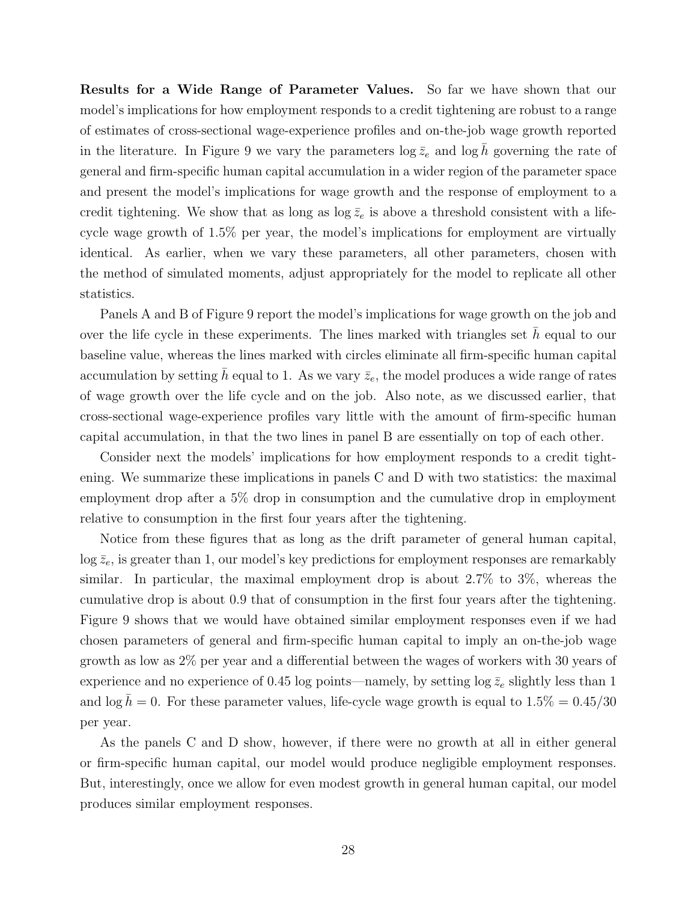Results for a Wide Range of Parameter Values. So far we have shown that our model's implications for how employment responds to a credit tightening are robust to a range of estimates of cross-sectional wage-experience profiles and on-the-job wage growth reported in the literature. In Figure 9 we vary the parameters  $\log \bar{z}_e$  and  $\log h$  governing the rate of general and firm-specific human capital accumulation in a wider region of the parameter space and present the model's implications for wage growth and the response of employment to a credit tightening. We show that as long as  $\log \bar{z}_e$  is above a threshold consistent with a lifecycle wage growth of 1.5% per year, the model's implications for employment are virtually identical. As earlier, when we vary these parameters, all other parameters, chosen with the method of simulated moments, adjust appropriately for the model to replicate all other statistics.

Panels A and B of Figure 9 report the model's implications for wage growth on the job and over the life cycle in these experiments. The lines marked with triangles set  $h$  equal to our baseline value, whereas the lines marked with circles eliminate all firm-specific human capital accumulation by setting h equal to 1. As we vary  $\bar{z}_e$ , the model produces a wide range of rates of wage growth over the life cycle and on the job. Also note, as we discussed earlier, that cross-sectional wage-experience profiles vary little with the amount of firm-specific human capital accumulation, in that the two lines in panel B are essentially on top of each other.

Consider next the models' implications for how employment responds to a credit tightening. We summarize these implications in panels C and D with two statistics: the maximal employment drop after a 5% drop in consumption and the cumulative drop in employment relative to consumption in the first four years after the tightening.

Notice from these figures that as long as the drift parameter of general human capital,  $\log \bar{z}_e$ , is greater than 1, our model's key predictions for employment responses are remarkably similar. In particular, the maximal employment drop is about 2.7% to 3%, whereas the cumulative drop is about 0.9 that of consumption in the first four years after the tightening. Figure 9 shows that we would have obtained similar employment responses even if we had chosen parameters of general and firm-specific human capital to imply an on-the-job wage growth as low as 2% per year and a differential between the wages of workers with 30 years of experience and no experience of 0.45 log points—namely, by setting log  $\bar{z}_e$  slightly less than 1 and  $\log \bar{h} = 0$ . For these parameter values, life-cycle wage growth is equal to  $1.5\% = 0.45/30$ per year.

As the panels C and D show, however, if there were no growth at all in either general or firm-specific human capital, our model would produce negligible employment responses. But, interestingly, once we allow for even modest growth in general human capital, our model produces similar employment responses.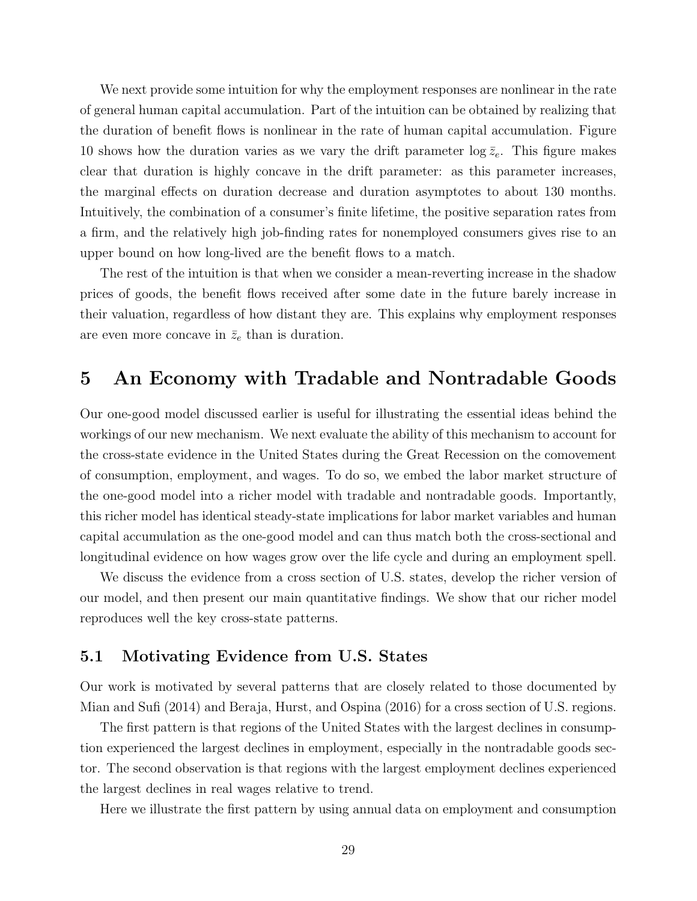We next provide some intuition for why the employment responses are nonlinear in the rate of general human capital accumulation. Part of the intuition can be obtained by realizing that the duration of benefit flows is nonlinear in the rate of human capital accumulation. Figure 10 shows how the duration varies as we vary the drift parameter  $\log \bar{z}_e$ . This figure makes clear that duration is highly concave in the drift parameter: as this parameter increases, the marginal effects on duration decrease and duration asymptotes to about 130 months. Intuitively, the combination of a consumer's finite lifetime, the positive separation rates from a firm, and the relatively high job-finding rates for nonemployed consumers gives rise to an upper bound on how long-lived are the benefit flows to a match.

The rest of the intuition is that when we consider a mean-reverting increase in the shadow prices of goods, the benefit flows received after some date in the future barely increase in their valuation, regardless of how distant they are. This explains why employment responses are even more concave in  $\bar{z}_e$  than is duration.

## 5 An Economy with Tradable and Nontradable Goods

Our one-good model discussed earlier is useful for illustrating the essential ideas behind the workings of our new mechanism. We next evaluate the ability of this mechanism to account for the cross-state evidence in the United States during the Great Recession on the comovement of consumption, employment, and wages. To do so, we embed the labor market structure of the one-good model into a richer model with tradable and nontradable goods. Importantly, this richer model has identical steady-state implications for labor market variables and human capital accumulation as the one-good model and can thus match both the cross-sectional and longitudinal evidence on how wages grow over the life cycle and during an employment spell.

We discuss the evidence from a cross section of U.S. states, develop the richer version of our model, and then present our main quantitative findings. We show that our richer model reproduces well the key cross-state patterns.

### 5.1 Motivating Evidence from U.S. States

Our work is motivated by several patterns that are closely related to those documented by Mian and Sufi (2014) and Beraja, Hurst, and Ospina (2016) for a cross section of U.S. regions.

The first pattern is that regions of the United States with the largest declines in consumption experienced the largest declines in employment, especially in the nontradable goods sector. The second observation is that regions with the largest employment declines experienced the largest declines in real wages relative to trend.

Here we illustrate the first pattern by using annual data on employment and consumption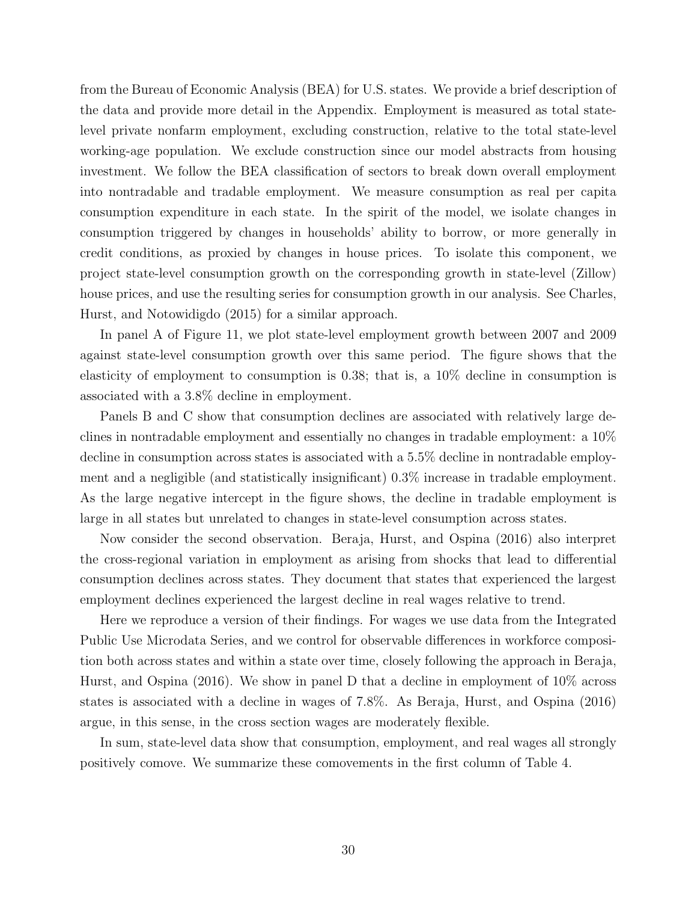from the Bureau of Economic Analysis (BEA) for U.S. states. We provide a brief description of the data and provide more detail in the Appendix. Employment is measured as total statelevel private nonfarm employment, excluding construction, relative to the total state-level working-age population. We exclude construction since our model abstracts from housing investment. We follow the BEA classification of sectors to break down overall employment into nontradable and tradable employment. We measure consumption as real per capita consumption expenditure in each state. In the spirit of the model, we isolate changes in consumption triggered by changes in households' ability to borrow, or more generally in credit conditions, as proxied by changes in house prices. To isolate this component, we project state-level consumption growth on the corresponding growth in state-level (Zillow) house prices, and use the resulting series for consumption growth in our analysis. See Charles, Hurst, and Notowidigdo (2015) for a similar approach.

In panel A of Figure 11, we plot state-level employment growth between 2007 and 2009 against state-level consumption growth over this same period. The figure shows that the elasticity of employment to consumption is 0.38; that is, a 10% decline in consumption is associated with a 3.8% decline in employment.

Panels B and C show that consumption declines are associated with relatively large declines in nontradable employment and essentially no changes in tradable employment: a 10% decline in consumption across states is associated with a 5.5% decline in nontradable employment and a negligible (and statistically insignificant) 0.3% increase in tradable employment. As the large negative intercept in the figure shows, the decline in tradable employment is large in all states but unrelated to changes in state-level consumption across states.

Now consider the second observation. Beraja, Hurst, and Ospina (2016) also interpret the cross-regional variation in employment as arising from shocks that lead to differential consumption declines across states. They document that states that experienced the largest employment declines experienced the largest decline in real wages relative to trend.

Here we reproduce a version of their findings. For wages we use data from the Integrated Public Use Microdata Series, and we control for observable differences in workforce composition both across states and within a state over time, closely following the approach in Beraja, Hurst, and Ospina (2016). We show in panel D that a decline in employment of 10% across states is associated with a decline in wages of 7.8%. As Beraja, Hurst, and Ospina (2016) argue, in this sense, in the cross section wages are moderately flexible.

In sum, state-level data show that consumption, employment, and real wages all strongly positively comove. We summarize these comovements in the first column of Table 4.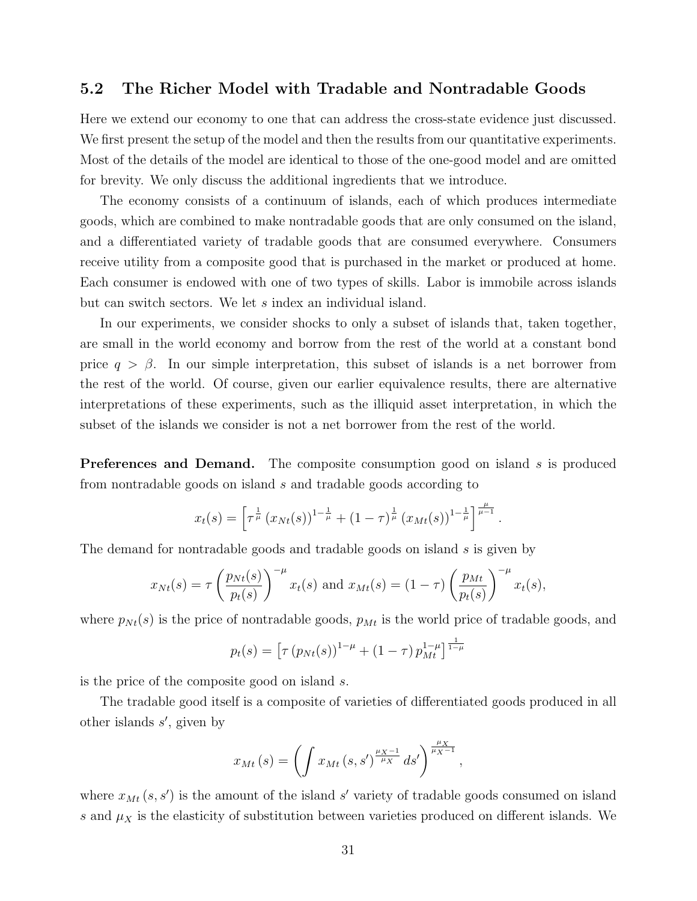### 5.2 The Richer Model with Tradable and Nontradable Goods

Here we extend our economy to one that can address the cross-state evidence just discussed. We first present the setup of the model and then the results from our quantitative experiments. Most of the details of the model are identical to those of the one-good model and are omitted for brevity. We only discuss the additional ingredients that we introduce.

The economy consists of a continuum of islands, each of which produces intermediate goods, which are combined to make nontradable goods that are only consumed on the island, and a differentiated variety of tradable goods that are consumed everywhere. Consumers receive utility from a composite good that is purchased in the market or produced at home. Each consumer is endowed with one of two types of skills. Labor is immobile across islands but can switch sectors. We let s index an individual island.

In our experiments, we consider shocks to only a subset of islands that, taken together, are small in the world economy and borrow from the rest of the world at a constant bond price  $q > \beta$ . In our simple interpretation, this subset of islands is a net borrower from the rest of the world. Of course, given our earlier equivalence results, there are alternative interpretations of these experiments, such as the illiquid asset interpretation, in which the subset of the islands we consider is not a net borrower from the rest of the world.

**Preferences and Demand.** The composite consumption good on island s is produced from nontradable goods on island s and tradable goods according to

$$
x_t(s) = \left[ \tau^{\frac{1}{\mu}} (x_{Nt}(s))^{1-\frac{1}{\mu}} + (1-\tau)^{\frac{1}{\mu}} (x_{Mt}(s))^{1-\frac{1}{\mu}} \right]^{\frac{\mu}{\mu-1}}.
$$

The demand for nontradable goods and tradable goods on island s is given by

$$
x_{Nt}(s) = \tau \left(\frac{p_{Nt}(s)}{p_t(s)}\right)^{-\mu} x_t(s) \text{ and } x_{Mt}(s) = (1-\tau) \left(\frac{p_{Mt}}{p_t(s)}\right)^{-\mu} x_t(s),
$$

where  $p_{Nt}(s)$  is the price of nontradable goods,  $p_{Mt}$  is the world price of tradable goods, and

$$
p_t(s) = \left[ \tau (p_{Nt}(s))^{1-\mu} + (1-\tau) p_{Mt}^{1-\mu} \right]^{\frac{1}{1-\mu}}
$$

is the price of the composite good on island s.

The tradable good itself is a composite of varieties of differentiated goods produced in all other islands  $s'$ , given by

$$
x_{Mt}(s) = \left(\int x_{Mt}(s,s')^{\frac{\mu_X - 1}{\mu_X}} ds'\right)^{\frac{\mu_X}{\mu_X - 1}},
$$

where  $x_{Mt}(s, s')$  is the amount of the island s' variety of tradable goods consumed on island s and  $\mu_X$  is the elasticity of substitution between varieties produced on different islands. We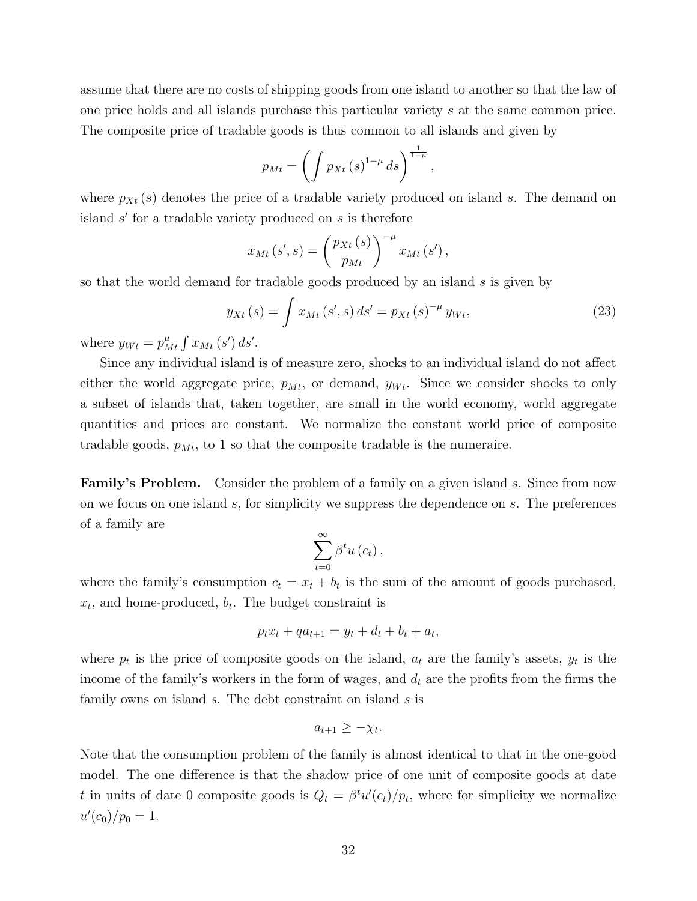assume that there are no costs of shipping goods from one island to another so that the law of one price holds and all islands purchase this particular variety s at the same common price. The composite price of tradable goods is thus common to all islands and given by

$$
p_{Mt} = \left(\int p_{Xt} \left(s\right)^{1-\mu} ds\right)^{\frac{1}{1-\mu}}
$$

where  $p_{Xt}(s)$  denotes the price of a tradable variety produced on island s. The demand on island  $s'$  for a tradable variety produced on  $s$  is therefore

$$
x_{Mt}(s',s) = \left(\frac{p_{Xt}(s)}{p_{Mt}}\right)^{-\mu} x_{Mt}(s'),
$$

so that the world demand for tradable goods produced by an island s is given by

<span id="page-33-0"></span>
$$
y_{Xt}(s) = \int x_{Mt}(s', s) ds' = p_{Xt}(s)^{-\mu} y_{Wt},
$$
\n(23)

,

where  $y_{Wt} = p_{Mt}^{\mu} \int x_{Mt} (s') ds'.$ 

Since any individual island is of measure zero, shocks to an individual island do not affect either the world aggregate price,  $p_{Mt}$ , or demand,  $y_{Wt}$ . Since we consider shocks to only a subset of islands that, taken together, are small in the world economy, world aggregate quantities and prices are constant. We normalize the constant world price of composite tradable goods,  $p_{Mt}$ , to 1 so that the composite tradable is the numeraire.

**Family's Problem.** Consider the problem of a family on a given island s. Since from now on we focus on one island s, for simplicity we suppress the dependence on s. The preferences of a family are

$$
\sum_{t=0}^{\infty} \beta^t u\left(c_t\right),\,
$$

where the family's consumption  $c_t = x_t + b_t$  is the sum of the amount of goods purchased,  $x_t$ , and home-produced,  $b_t$ . The budget constraint is

$$
p_t x_t + q a_{t+1} = y_t + d_t + b_t + a_t,
$$

where  $p_t$  is the price of composite goods on the island,  $a_t$  are the family's assets,  $y_t$  is the income of the family's workers in the form of wages, and  $d_t$  are the profits from the firms the family owns on island s. The debt constraint on island s is

$$
a_{t+1} \geq -\chi_t.
$$

Note that the consumption problem of the family is almost identical to that in the one-good model. The one difference is that the shadow price of one unit of composite goods at date t in units of date 0 composite goods is  $Q_t = \beta^t u'(c_t)/p_t$ , where for simplicity we normalize  $u'(c_0)/p_0=1.$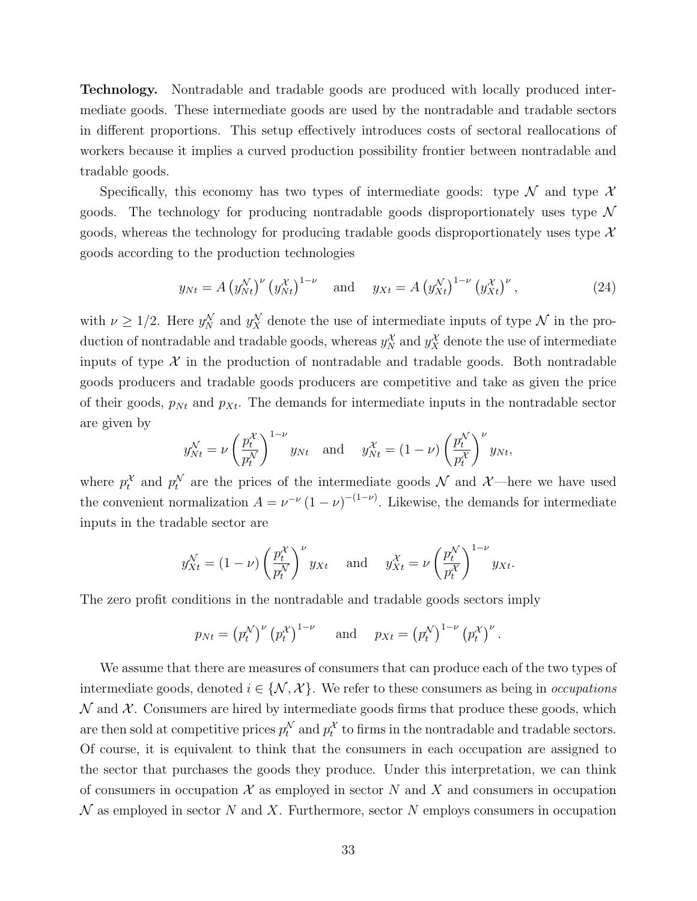Technology. Nontradable and tradable goods are produced with locally produced intermediate goods. These intermediate goods are used by the nontradable and tradable sectors in different proportions. This setup effectively introduces costs of sectoral reallocations of workers because it implies a curved production possibility frontier between nontradable and tradable goods.

Specifically, this economy has two types of intermediate goods: type  $\mathcal N$  and type  $\mathcal X$ goods. The technology for producing nontradable goods disproportionately uses type  $\mathcal N$ goods, whereas the technology for producing tradable goods disproportionately uses type  $\mathcal{X}$ goods according to the production technologies

<span id="page-34-0"></span>
$$
y_{Nt} = A (y_{Nt}^N)^{\nu} (y_{Nt}^{\chi})^{1-\nu}
$$
 and  $y_{Xt} = A (y_{Xt}^N)^{1-\nu} (y_{Xt}^{\chi})^{\nu}$ , (24)

with  $\nu \geq 1/2$ . Here  $y_N^{\mathcal{N}}$  and  $y_X^{\mathcal{N}}$  denote the use of intermediate inputs of type  $\mathcal{N}$  in the production of nontradable and tradable goods, whereas  $y_N^{\mathcal{X}}$  and  $y_X^{\mathcal{X}}$  denote the use of intermediate inputs of type  $\mathcal X$  in the production of nontradable and tradable goods. Both nontradable goods producers and tradable goods producers are competitive and take as given the price of their goods,  $p_{Nt}$  and  $p_{Xt}$ . The demands for intermediate inputs in the nontradable sector are given by

$$
y_{Nt}^{\mathcal{N}} = \nu \left(\frac{p_t^{\mathcal{X}}}{p_t^{\mathcal{N}}}\right)^{1-\nu} y_{Nt} \text{ and } y_{Nt}^{\mathcal{X}} = (1-\nu) \left(\frac{p_t^{\mathcal{N}}}{p_t^{\mathcal{X}}}\right)^{\nu} y_{Nt},
$$

where  $p_t^{\mathcal{X}}$  and  $p_t^{\mathcal{N}}$  are the prices of the intermediate goods  $\mathcal{N}$  and  $\mathcal{X}$ —here we have used the convenient normalization  $A = \nu^{-\nu} (1 - \nu)^{-(1 - \nu)}$ . Likewise, the demands for intermediate inputs in the tradable sector are

$$
y_{Xt}^{\mathcal{N}} = (1 - \nu) \left(\frac{p_t^{\mathcal{X}}}{p_t^{\mathcal{N}}}\right)^{\nu} y_{Xt} \quad \text{and} \quad y_{Xt}^{\mathcal{X}} = \nu \left(\frac{p_t^{\mathcal{N}}}{p_t^{\mathcal{X}}}\right)^{1-\nu} y_{Xt}.
$$

The zero profit conditions in the nontradable and tradable goods sectors imply

$$
p_{Nt} = (p_t^{\mathcal{N}})^{\nu} (p_t^{\mathcal{X}})^{1-\nu}
$$
 and  $p_{Xt} = (p_t^{\mathcal{N}})^{1-\nu} (p_t^{\mathcal{X}})^{\nu}$ .

We assume that there are measures of consumers that can produce each of the two types of intermediate goods, denoted  $i \in \{N, \mathcal{X}\}\$ . We refer to these consumers as being in *occupations*  $\mathcal N$  and  $\mathcal X$ . Consumers are hired by intermediate goods firms that produce these goods, which are then sold at competitive prices  $p_t^{\mathcal{N}}$  and  $p_t^{\mathcal{X}}$  to firms in the nontradable and tradable sectors. Of course, it is equivalent to think that the consumers in each occupation are assigned to the sector that purchases the goods they produce. Under this interpretation, we can think of consumers in occupation  $\mathcal X$  as employed in sector N and X and consumers in occupation  $\mathcal N$  as employed in sector N and X. Furthermore, sector N employs consumers in occupation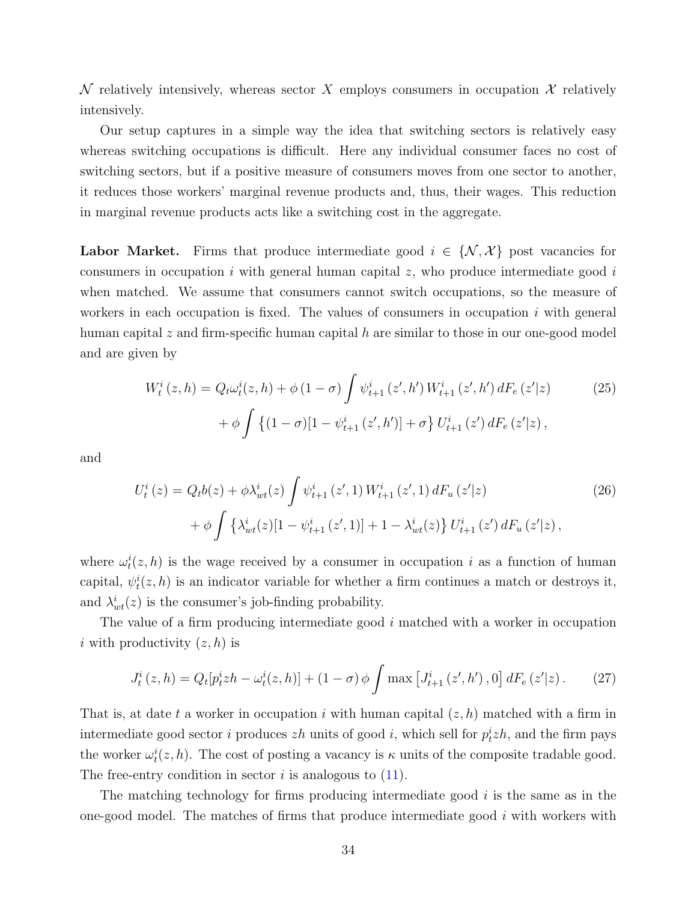$\mathcal N$  relatively intensively, whereas sector X employs consumers in occupation  $\mathcal X$  relatively intensively.

Our setup captures in a simple way the idea that switching sectors is relatively easy whereas switching occupations is difficult. Here any individual consumer faces no cost of switching sectors, but if a positive measure of consumers moves from one sector to another, it reduces those workers' marginal revenue products and, thus, their wages. This reduction in marginal revenue products acts like a switching cost in the aggregate.

**Labor Market.** Firms that produce intermediate good  $i \in \{N, \mathcal{X}\}$  post vacancies for consumers in occupation i with general human capital  $z$ , who produce intermediate good i when matched. We assume that consumers cannot switch occupations, so the measure of workers in each occupation is fixed. The values of consumers in occupation  $i$  with general human capital  $z$  and firm-specific human capital  $h$  are similar to those in our one-good model and are given by

$$
W_t^i(z, h) = Q_t \omega_t^i(z, h) + \phi(1 - \sigma) \int \psi_{t+1}^i(z', h') W_{t+1}^i(z', h') dF_e(z'|z)
$$
  
+ 
$$
\phi \int \left\{ (1 - \sigma)[1 - \psi_{t+1}^i(z', h')] + \sigma \right\} U_{t+1}^i(z') dF_e(z'|z),
$$
 (25)

and

$$
U_t^i(z) = Q_t b(z) + \phi \lambda_{wt}^i(z) \int \psi_{t+1}^i(z', 1) W_{t+1}^i(z', 1) dF_u(z'|z)
$$
  
+ 
$$
\phi \int {\lambda_{wt}^i(z)[1 - \psi_{t+1}^i(z', 1)] + 1 - \lambda_{wt}^i(z)} U_{t+1}^i(z') dF_u(z'|z),
$$
 (26)

where  $\omega_t^i(z, h)$  is the wage received by a consumer in occupation i as a function of human capital,  $\psi_t^i(z, h)$  is an indicator variable for whether a firm continues a match or destroys it, and  $\lambda_{wt}^i(z)$  is the consumer's job-finding probability.

The value of a firm producing intermediate good i matched with a worker in occupation i with productivity  $(z, h)$  is

$$
J_t^i(z,h) = Q_t[p_t^i z h - \omega_t^i(z,h)] + (1-\sigma)\phi \int \max\left[J_{t+1}^i(z',h'),0\right] dF_e(z'|z). \tag{27}
$$

That is, at date t a worker in occupation i with human capital  $(z, h)$  matched with a firm in intermediate good sector *i* produces  $zh$  units of good *i*, which sell for  $p_t^i zh$ , and the firm pays the worker  $\omega_t^i(z, h)$ . The cost of posting a vacancy is  $\kappa$  units of the composite tradable good. The free-entry condition in sector  $i$  is analogous to  $(11)$ .

The matching technology for firms producing intermediate good  $i$  is the same as in the one-good model. The matches of firms that produce intermediate good  $i$  with workers with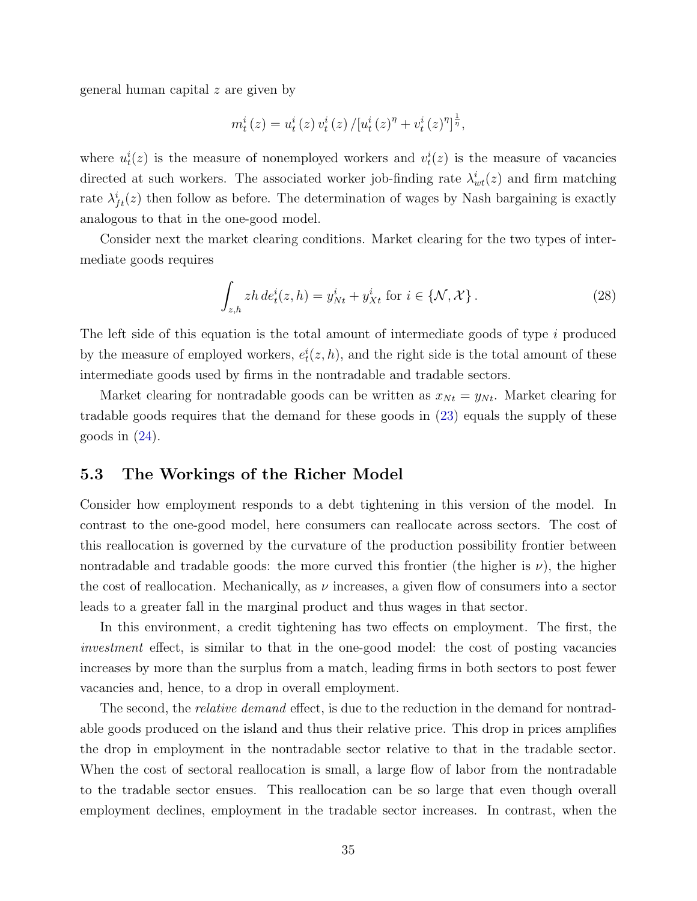general human capital z are given by

$$
m_t^{i}(z) = u_t^{i}(z) v_t^{i}(z) / [u_t^{i}(z)^{\eta} + v_t^{i}(z)^{\eta}]^{\frac{1}{\eta}},
$$

where  $u_t^i(z)$  is the measure of nonemployed workers and  $v_t^i(z)$  is the measure of vacancies directed at such workers. The associated worker job-finding rate  $\lambda_{wt}^{i}(z)$  and firm matching rate  $\lambda_{ft}^{i}(z)$  then follow as before. The determination of wages by Nash bargaining is exactly analogous to that in the one-good model.

Consider next the market clearing conditions. Market clearing for the two types of intermediate goods requires

$$
\int_{z,h} zh \, de_t^i(z,h) = y_{Nt}^i + y_{Xt}^i \text{ for } i \in \{\mathcal{N}, \mathcal{X}\}.
$$
 (28)

The left side of this equation is the total amount of intermediate goods of type i produced by the measure of employed workers,  $e_t^i(z, h)$ , and the right side is the total amount of these intermediate goods used by firms in the nontradable and tradable sectors.

Market clearing for nontradable goods can be written as  $x_{N_t} = y_{N_t}$ . Market clearing for tradable goods requires that the demand for these goods in [\(23\)](#page-33-0) equals the supply of these goods in  $(24)$ .

## 5.3 The Workings of the Richer Model

Consider how employment responds to a debt tightening in this version of the model. In contrast to the one-good model, here consumers can reallocate across sectors. The cost of this reallocation is governed by the curvature of the production possibility frontier between nontradable and tradable goods: the more curved this frontier (the higher is  $\nu$ ), the higher the cost of reallocation. Mechanically, as  $\nu$  increases, a given flow of consumers into a sector leads to a greater fall in the marginal product and thus wages in that sector.

In this environment, a credit tightening has two effects on employment. The first, the investment effect, is similar to that in the one-good model: the cost of posting vacancies increases by more than the surplus from a match, leading firms in both sectors to post fewer vacancies and, hence, to a drop in overall employment.

The second, the *relative demand* effect, is due to the reduction in the demand for nontradable goods produced on the island and thus their relative price. This drop in prices amplifies the drop in employment in the nontradable sector relative to that in the tradable sector. When the cost of sectoral reallocation is small, a large flow of labor from the nontradable to the tradable sector ensues. This reallocation can be so large that even though overall employment declines, employment in the tradable sector increases. In contrast, when the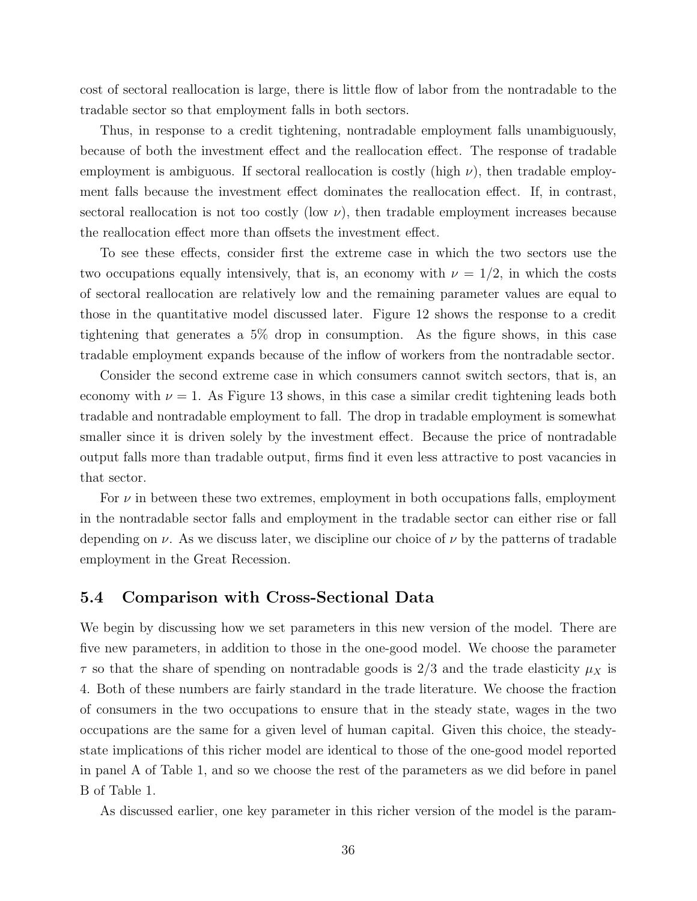cost of sectoral reallocation is large, there is little flow of labor from the nontradable to the tradable sector so that employment falls in both sectors.

Thus, in response to a credit tightening, nontradable employment falls unambiguously, because of both the investment effect and the reallocation effect. The response of tradable employment is ambiguous. If sectoral reallocation is costly (high  $\nu$ ), then tradable employment falls because the investment effect dominates the reallocation effect. If, in contrast, sectoral reallocation is not too costly (low  $\nu$ ), then tradable employment increases because the reallocation effect more than offsets the investment effect.

To see these effects, consider first the extreme case in which the two sectors use the two occupations equally intensively, that is, an economy with  $\nu = 1/2$ , in which the costs of sectoral reallocation are relatively low and the remaining parameter values are equal to those in the quantitative model discussed later. Figure 12 shows the response to a credit tightening that generates a 5% drop in consumption. As the figure shows, in this case tradable employment expands because of the inflow of workers from the nontradable sector.

Consider the second extreme case in which consumers cannot switch sectors, that is, an economy with  $\nu = 1$ . As Figure 13 shows, in this case a similar credit tightening leads both tradable and nontradable employment to fall. The drop in tradable employment is somewhat smaller since it is driven solely by the investment effect. Because the price of nontradable output falls more than tradable output, firms find it even less attractive to post vacancies in that sector.

For  $\nu$  in between these two extremes, employment in both occupations falls, employment in the nontradable sector falls and employment in the tradable sector can either rise or fall depending on  $\nu$ . As we discuss later, we discipline our choice of  $\nu$  by the patterns of tradable employment in the Great Recession.

#### 5.4 Comparison with Cross-Sectional Data

We begin by discussing how we set parameters in this new version of the model. There are five new parameters, in addition to those in the one-good model. We choose the parameter  $\tau$  so that the share of spending on nontradable goods is 2/3 and the trade elasticity  $\mu_X$  is 4. Both of these numbers are fairly standard in the trade literature. We choose the fraction of consumers in the two occupations to ensure that in the steady state, wages in the two occupations are the same for a given level of human capital. Given this choice, the steadystate implications of this richer model are identical to those of the one-good model reported in panel A of Table 1, and so we choose the rest of the parameters as we did before in panel B of Table 1.

As discussed earlier, one key parameter in this richer version of the model is the param-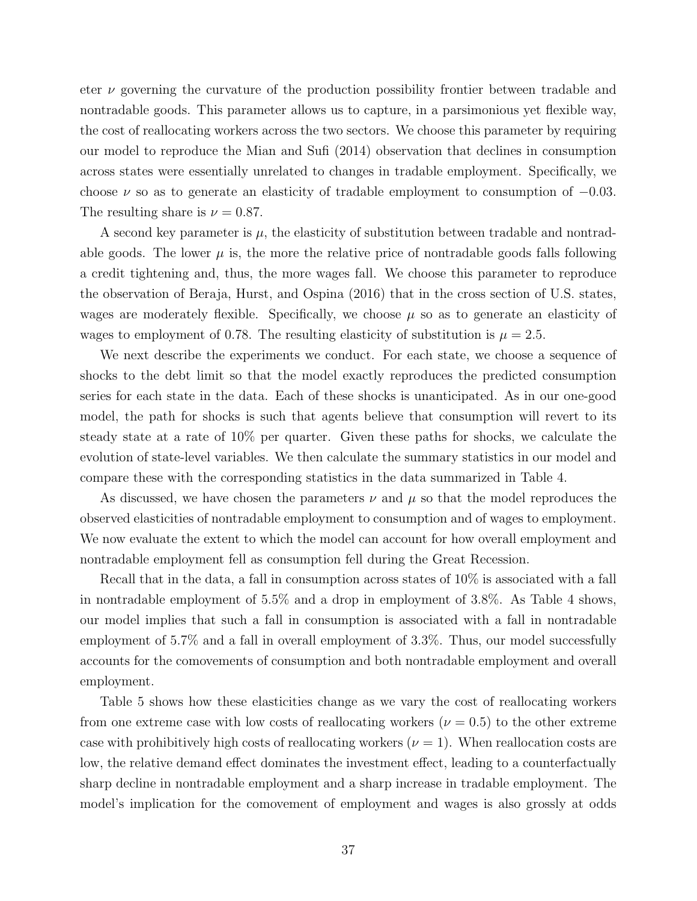eter  $\nu$  governing the curvature of the production possibility frontier between tradable and nontradable goods. This parameter allows us to capture, in a parsimonious yet flexible way, the cost of reallocating workers across the two sectors. We choose this parameter by requiring our model to reproduce the Mian and Sufi (2014) observation that declines in consumption across states were essentially unrelated to changes in tradable employment. Specifically, we choose  $\nu$  so as to generate an elasticity of tradable employment to consumption of  $-0.03$ . The resulting share is  $\nu = 0.87$ .

A second key parameter is  $\mu$ , the elasticity of substitution between tradable and nontradable goods. The lower  $\mu$  is, the more the relative price of nontradable goods falls following a credit tightening and, thus, the more wages fall. We choose this parameter to reproduce the observation of Beraja, Hurst, and Ospina (2016) that in the cross section of U.S. states, wages are moderately flexible. Specifically, we choose  $\mu$  so as to generate an elasticity of wages to employment of 0.78. The resulting elasticity of substitution is  $\mu = 2.5$ .

We next describe the experiments we conduct. For each state, we choose a sequence of shocks to the debt limit so that the model exactly reproduces the predicted consumption series for each state in the data. Each of these shocks is unanticipated. As in our one-good model, the path for shocks is such that agents believe that consumption will revert to its steady state at a rate of 10% per quarter. Given these paths for shocks, we calculate the evolution of state-level variables. We then calculate the summary statistics in our model and compare these with the corresponding statistics in the data summarized in Table 4.

As discussed, we have chosen the parameters  $\nu$  and  $\mu$  so that the model reproduces the observed elasticities of nontradable employment to consumption and of wages to employment. We now evaluate the extent to which the model can account for how overall employment and nontradable employment fell as consumption fell during the Great Recession.

Recall that in the data, a fall in consumption across states of 10% is associated with a fall in nontradable employment of 5.5% and a drop in employment of 3.8%. As Table 4 shows, our model implies that such a fall in consumption is associated with a fall in nontradable employment of 5.7% and a fall in overall employment of 3.3%. Thus, our model successfully accounts for the comovements of consumption and both nontradable employment and overall employment.

Table 5 shows how these elasticities change as we vary the cost of reallocating workers from one extreme case with low costs of reallocating workers ( $\nu = 0.5$ ) to the other extreme case with prohibitively high costs of reallocating workers  $(\nu = 1)$ . When reallocation costs are low, the relative demand effect dominates the investment effect, leading to a counterfactually sharp decline in nontradable employment and a sharp increase in tradable employment. The model's implication for the comovement of employment and wages is also grossly at odds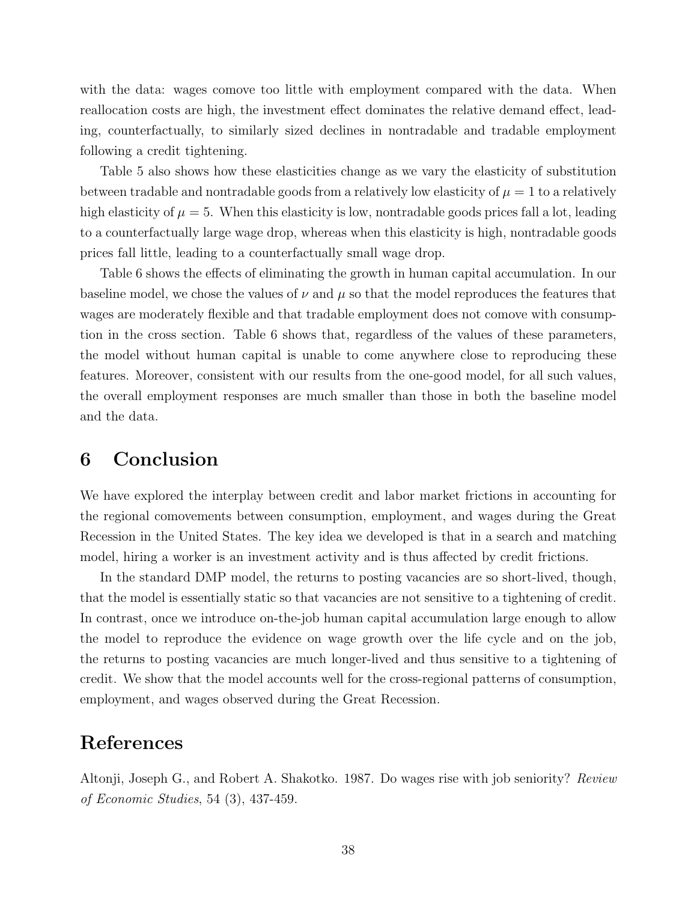with the data: wages comove too little with employment compared with the data. When reallocation costs are high, the investment effect dominates the relative demand effect, leading, counterfactually, to similarly sized declines in nontradable and tradable employment following a credit tightening.

Table 5 also shows how these elasticities change as we vary the elasticity of substitution between tradable and nontradable goods from a relatively low elasticity of  $\mu = 1$  to a relatively high elasticity of  $\mu = 5$ . When this elasticity is low, nontradable goods prices fall a lot, leading to a counterfactually large wage drop, whereas when this elasticity is high, nontradable goods prices fall little, leading to a counterfactually small wage drop.

Table 6 shows the effects of eliminating the growth in human capital accumulation. In our baseline model, we chose the values of  $\nu$  and  $\mu$  so that the model reproduces the features that wages are moderately flexible and that tradable employment does not comove with consumption in the cross section. Table 6 shows that, regardless of the values of these parameters, the model without human capital is unable to come anywhere close to reproducing these features. Moreover, consistent with our results from the one-good model, for all such values, the overall employment responses are much smaller than those in both the baseline model and the data.

# 6 Conclusion

We have explored the interplay between credit and labor market frictions in accounting for the regional comovements between consumption, employment, and wages during the Great Recession in the United States. The key idea we developed is that in a search and matching model, hiring a worker is an investment activity and is thus affected by credit frictions.

In the standard DMP model, the returns to posting vacancies are so short-lived, though, that the model is essentially static so that vacancies are not sensitive to a tightening of credit. In contrast, once we introduce on-the-job human capital accumulation large enough to allow the model to reproduce the evidence on wage growth over the life cycle and on the job, the returns to posting vacancies are much longer-lived and thus sensitive to a tightening of credit. We show that the model accounts well for the cross-regional patterns of consumption, employment, and wages observed during the Great Recession.

## References

Altonji, Joseph G., and Robert A. Shakotko. 1987. Do wages rise with job seniority? Review of Economic Studies, 54 (3), 437-459.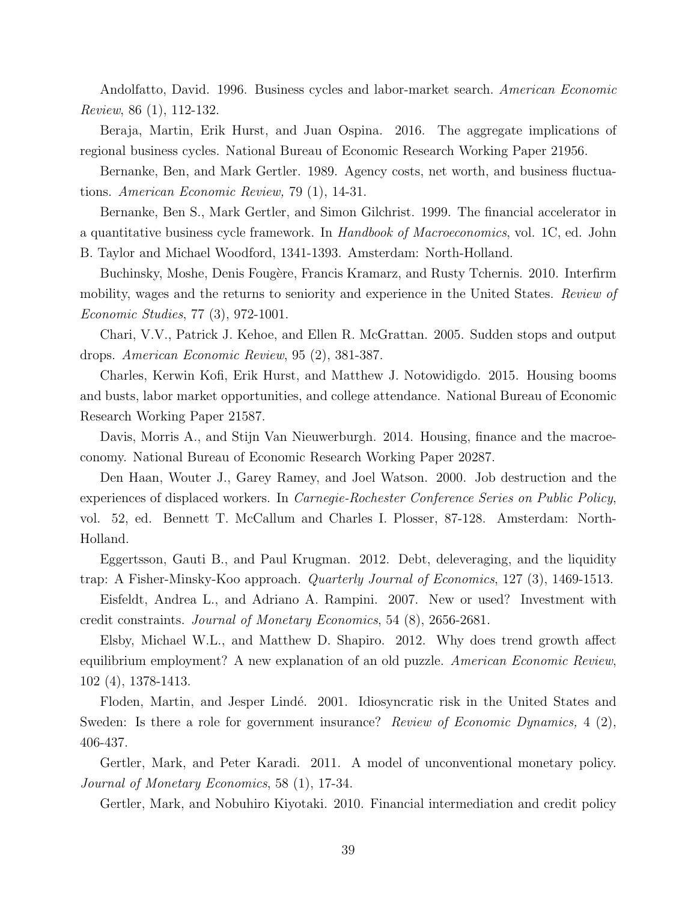Andolfatto, David. 1996. Business cycles and labor-market search. American Economic Review, 86 (1), 112-132.

Beraja, Martin, Erik Hurst, and Juan Ospina. 2016. The aggregate implications of regional business cycles. National Bureau of Economic Research Working Paper 21956.

Bernanke, Ben, and Mark Gertler. 1989. Agency costs, net worth, and business fluctuations. American Economic Review, 79 (1), 14-31.

Bernanke, Ben S., Mark Gertler, and Simon Gilchrist. 1999. The financial accelerator in a quantitative business cycle framework. In Handbook of Macroeconomics, vol. 1C, ed. John B. Taylor and Michael Woodford, 1341-1393. Amsterdam: North-Holland.

Buchinsky, Moshe, Denis Fougère, Francis Kramarz, and Rusty Tchernis. 2010. Interfirm mobility, wages and the returns to seniority and experience in the United States. Review of Economic Studies, 77 (3), 972-1001.

Chari, V.V., Patrick J. Kehoe, and Ellen R. McGrattan. 2005. Sudden stops and output drops. American Economic Review, 95 (2), 381-387.

Charles, Kerwin Kofi, Erik Hurst, and Matthew J. Notowidigdo. 2015. Housing booms and busts, labor market opportunities, and college attendance. National Bureau of Economic Research Working Paper 21587.

Davis, Morris A., and Stijn Van Nieuwerburgh. 2014. Housing, finance and the macroeconomy. National Bureau of Economic Research Working Paper 20287.

Den Haan, Wouter J., Garey Ramey, and Joel Watson. 2000. Job destruction and the experiences of displaced workers. In Carnegie-Rochester Conference Series on Public Policy, vol. 52, ed. Bennett T. McCallum and Charles I. Plosser, 87-128. Amsterdam: North-Holland.

Eggertsson, Gauti B., and Paul Krugman. 2012. Debt, deleveraging, and the liquidity trap: A Fisher-Minsky-Koo approach. Quarterly Journal of Economics, 127 (3), 1469-1513.

Eisfeldt, Andrea L., and Adriano A. Rampini. 2007. New or used? Investment with credit constraints. Journal of Monetary Economics, 54 (8), 2656-2681.

Elsby, Michael W.L., and Matthew D. Shapiro. 2012. Why does trend growth affect equilibrium employment? A new explanation of an old puzzle. American Economic Review, 102 (4), 1378-1413.

Floden, Martin, and Jesper Lindé. 2001. Idiosyncratic risk in the United States and Sweden: Is there a role for government insurance? Review of Economic Dynamics, 4 (2), 406-437.

Gertler, Mark, and Peter Karadi. 2011. A model of unconventional monetary policy. Journal of Monetary Economics, 58 (1), 17-34.

Gertler, Mark, and Nobuhiro Kiyotaki. 2010. Financial intermediation and credit policy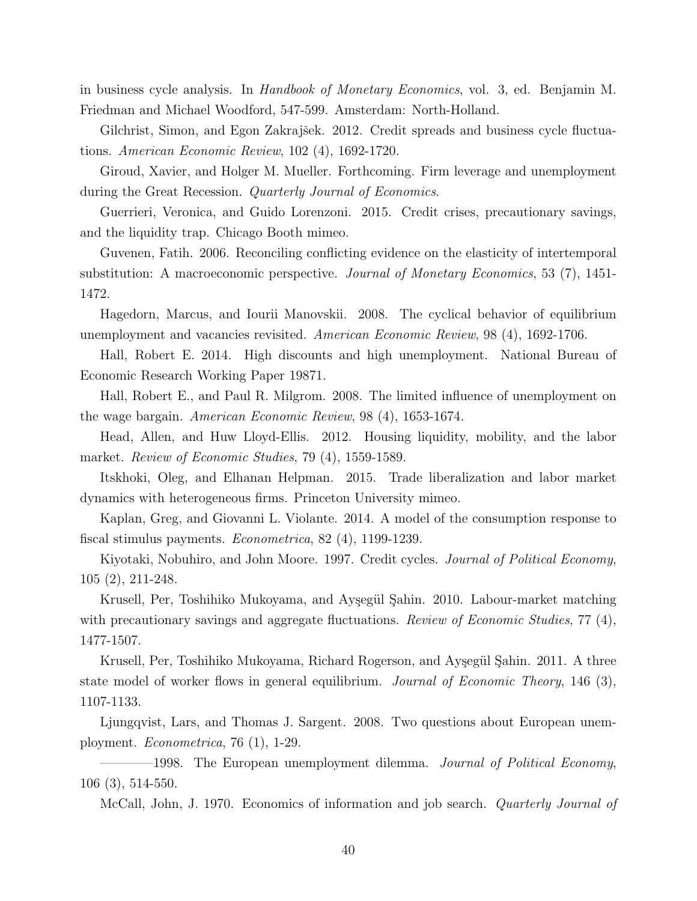in business cycle analysis. In *Handbook of Monetary Economics*, vol. 3, ed. Benjamin M. Friedman and Michael Woodford, 547-599. Amsterdam: North-Holland.

Gilchrist, Simon, and Egon Zakrajšek. 2012. Credit spreads and business cycle fluctuations. American Economic Review, 102 (4), 1692-1720.

Giroud, Xavier, and Holger M. Mueller. Forthcoming. Firm leverage and unemployment during the Great Recession. *Quarterly Journal of Economics*.

Guerrieri, Veronica, and Guido Lorenzoni. 2015. Credit crises, precautionary savings, and the liquidity trap. Chicago Booth mimeo.

Guvenen, Fatih. 2006. Reconciling conflicting evidence on the elasticity of intertemporal substitution: A macroeconomic perspective. Journal of Monetary Economics, 53 (7), 1451- 1472.

Hagedorn, Marcus, and Iourii Manovskii. 2008. The cyclical behavior of equilibrium unemployment and vacancies revisited. American Economic Review, 98 (4), 1692-1706.

Hall, Robert E. 2014. High discounts and high unemployment. National Bureau of Economic Research Working Paper 19871.

Hall, Robert E., and Paul R. Milgrom. 2008. The limited influence of unemployment on the wage bargain. American Economic Review, 98 (4), 1653-1674.

Head, Allen, and Huw Lloyd-Ellis. 2012. Housing liquidity, mobility, and the labor market. Review of Economic Studies, 79 (4), 1559-1589.

Itskhoki, Oleg, and Elhanan Helpman. 2015. Trade liberalization and labor market dynamics with heterogeneous firms. Princeton University mimeo.

Kaplan, Greg, and Giovanni L. Violante. 2014. A model of the consumption response to fiscal stimulus payments. Econometrica, 82 (4), 1199-1239.

Kiyotaki, Nobuhiro, and John Moore. 1997. Credit cycles. Journal of Political Economy, 105 (2), 211-248.

Krusell, Per, Toshihiko Mukoyama, and Ayşegül Şahin. 2010. Labour-market matching with precautionary savings and aggregate fluctuations. *Review of Economic Studies*, 77 (4), 1477-1507.

Krusell, Per, Toshihiko Mukoyama, Richard Rogerson, and Ayşegül Şahin. 2011. A three state model of worker flows in general equilibrium. Journal of Economic Theory, 146 (3), 1107-1133.

Ljungqvist, Lars, and Thomas J. Sargent. 2008. Two questions about European unemployment. Econometrica, 76 (1), 1-29.

-1998. The European unemployment dilemma. Journal of Political Economy, 106 (3), 514-550.

McCall, John, J. 1970. Economics of information and job search. Quarterly Journal of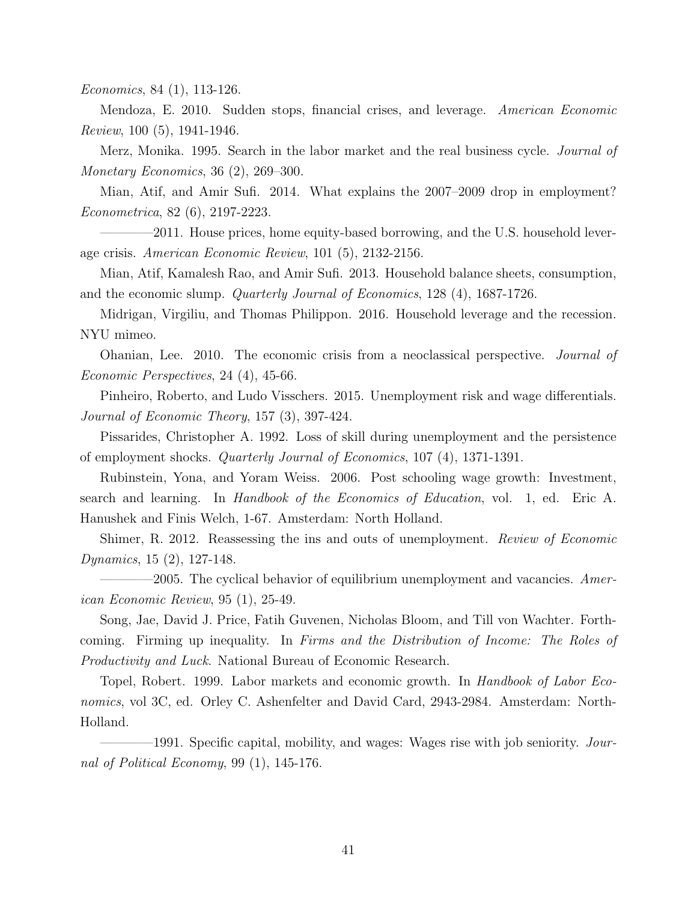Economics, 84 (1), 113-126.

Mendoza, E. 2010. Sudden stops, financial crises, and leverage. American Economic Review, 100 (5), 1941-1946.

Merz, Monika. 1995. Search in the labor market and the real business cycle. *Journal of* Monetary Economics, 36 (2), 269–300.

Mian, Atif, and Amir Sufi. 2014. What explains the 2007–2009 drop in employment? Econometrica, 82 (6), 2197-2223.

-2011. House prices, home equity-based borrowing, and the U.S. household leverage crisis. American Economic Review, 101 (5), 2132-2156.

Mian, Atif, Kamalesh Rao, and Amir Sufi. 2013. Household balance sheets, consumption, and the economic slump. Quarterly Journal of Economics, 128 (4), 1687-1726.

Midrigan, Virgiliu, and Thomas Philippon. 2016. Household leverage and the recession. NYU mimeo.

Ohanian, Lee. 2010. The economic crisis from a neoclassical perspective. Journal of Economic Perspectives, 24 (4), 45-66.

Pinheiro, Roberto, and Ludo Visschers. 2015. Unemployment risk and wage differentials. Journal of Economic Theory, 157 (3), 397-424.

Pissarides, Christopher A. 1992. Loss of skill during unemployment and the persistence of employment shocks. Quarterly Journal of Economics, 107 (4), 1371-1391.

Rubinstein, Yona, and Yoram Weiss. 2006. Post schooling wage growth: Investment, search and learning. In Handbook of the Economics of Education, vol. 1, ed. Eric A. Hanushek and Finis Welch, 1-67. Amsterdam: North Holland.

Shimer, R. 2012. Reassessing the ins and outs of unemployment. Review of Economic Dynamics, 15 (2), 127-148.

 $-2005$ . The cyclical behavior of equilibrium unemployment and vacancies. American Economic Review, 95 (1), 25-49.

Song, Jae, David J. Price, Fatih Guvenen, Nicholas Bloom, and Till von Wachter. Forthcoming. Firming up inequality. In Firms and the Distribution of Income: The Roles of Productivity and Luck. National Bureau of Economic Research.

Topel, Robert. 1999. Labor markets and economic growth. In Handbook of Labor Economics, vol 3C, ed. Orley C. Ashenfelter and David Card, 2943-2984. Amsterdam: North-Holland.

-1991. Specific capital, mobility, and wages: Wages rise with job seniority. Journal of Political Economy, 99 (1), 145-176.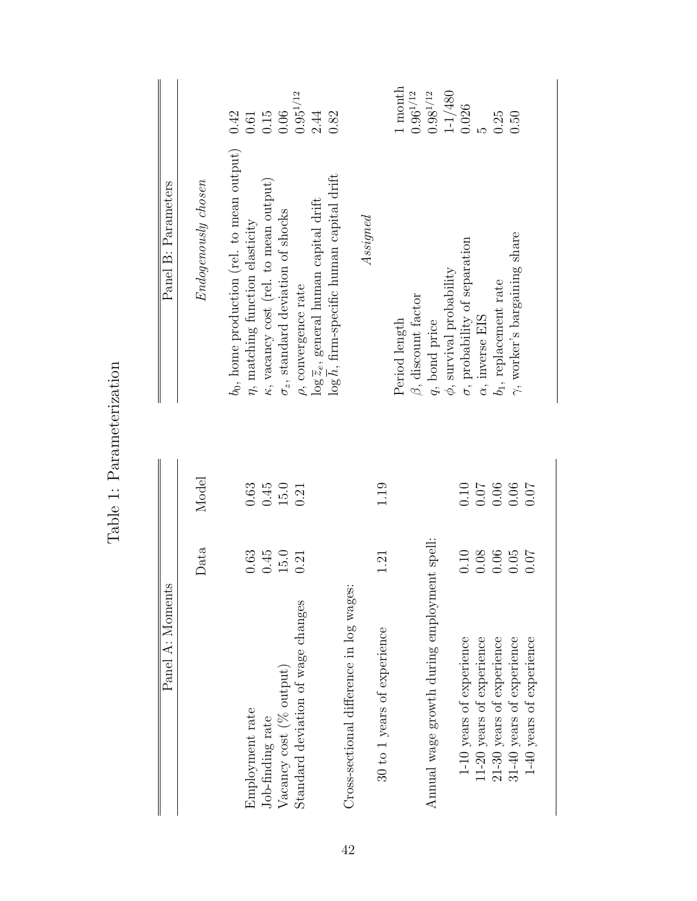| Panel A: Moments                            |                                             |            | Panel B: Parameters                                                                                 |                                             |
|---------------------------------------------|---------------------------------------------|------------|-----------------------------------------------------------------------------------------------------|---------------------------------------------|
|                                             | Data                                        | Model      | Endogenously chosen                                                                                 |                                             |
| Employment rate                             | $\,0.63$                                    | $\!0.63\!$ | $b_0$ , home production (rel. to mean output)<br>$\eta$ , matching function elasticity              | 0.42                                        |
| Job-finding rate                            | 0.45                                        | 0.45       | $\kappa$ , vacancy cost (rel. to mean output)                                                       | $\begin{array}{c} 0.61 \\ 0.15 \end{array}$ |
| Vacancy cost (% output)                     | $15.0\,$                                    | 15.0       | $\sigma_z$ , standard deviation of shocks                                                           | $0.06$                                      |
| Standard deviation of wage changes          | 0.21                                        | 0.21       | $\rho,$ convergence rate                                                                            | $0.95^{1/12}\,$                             |
|                                             |                                             |            | $\log h$ , firm-specific human capital drift<br>$\log \overline{z}_e$ , general human capital drift | 2.44<br>0.82                                |
| Cross-sectional difference in log wages:    |                                             |            |                                                                                                     |                                             |
|                                             |                                             |            | Assigned                                                                                            |                                             |
| 30 to 1 years of experience                 | 1.21                                        | 1.19       |                                                                                                     |                                             |
|                                             |                                             |            | Period length                                                                                       | 1 month                                     |
|                                             |                                             |            | $\beta,$ discount factor                                                                            | $0.96^{1/12}\,$                             |
| Annual wage growth during employment spell: |                                             |            | $q$ , bond price                                                                                    | $0.98^{1/12}\,$                             |
|                                             |                                             |            | $\phi,$ survival probability                                                                        | $1 - 1/480$                                 |
| 1-10 years of experience                    |                                             |            | $\sigma$ , probability of separation                                                                | 0.026                                       |
| 11-20 years of experience                   | $\begin{array}{c} 0.10 \\ 0.08 \end{array}$ |            | $\alpha,$ inverse EIS                                                                               |                                             |
| 21-30 years of experience                   | $0.06$<br>$0.05$                            | 0.06       | $b_1$ , replacement rate                                                                            | 0.25                                        |
| 31-40 years of experience                   |                                             | 0.06       | $\gamma$ , worker's bargaining share                                                                | 0.50                                        |
| 1-40 years of experience                    | 0.07                                        | 0.07       |                                                                                                     |                                             |

Table 1: Parameterization Table 1: Parameterization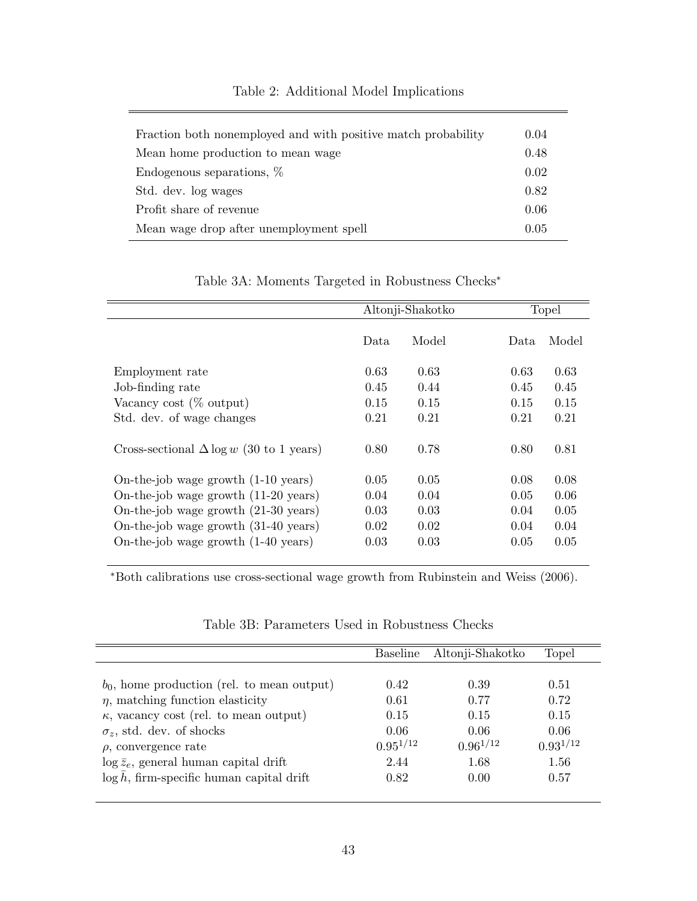| Fraction both nonemployed and with positive match probability | 0.04 |
|---------------------------------------------------------------|------|
| Mean home production to mean wage                             | 0.48 |
| Endogenous separations, %                                     | 0.02 |
| Std. dev. log wages                                           | 0.82 |
| Profit share of revenue                                       | 0.06 |
| Mean wage drop after unemployment spell                       | 0.05 |

## Table 2: Additional Model Implications

Table 3A: Moments Targeted in Robustness Checks<sup>∗</sup>

|                                                 | Altonji-Shakotko |       | Topel |       |
|-------------------------------------------------|------------------|-------|-------|-------|
|                                                 | Data             | Model | Data. | Model |
| Employment rate                                 | 0.63             | 0.63  | 0.63  | 0.63  |
| Job-finding rate                                | 0.45             | 0.44  | 0.45  | 0.45  |
| Vacancy cost $(\%$ output)                      | 0.15             | 0.15  | 0.15  | 0.15  |
| Std. dev. of wage changes                       | 0.21             | 0.21  | 0.21  | 0.21  |
| Cross-sectional $\Delta \log w$ (30 to 1 years) | 0.80             | 0.78  | 0.80  | 0.81  |
| On-the-job wage growth (1-10 years)             | 0.05             | 0.05  | 0.08  | 0.08  |
| On-the-job wage growth (11-20 years)            | 0.04             | 0.04  | 0.05  | 0.06  |
| On-the-job wage growth (21-30 years)            | 0.03             | 0.03  | 0.04  | 0.05  |
| On-the-job wage growth (31-40 years)            | 0.02             | 0.02  | 0.04  | 0.04  |
| On-the-job wage growth (1-40 years)             | 0.03             | 0.03  | 0.05  | 0.05  |

<sup>∗</sup>Both calibrations use cross-sectional wage growth from Rubinstein and Weiss (2006).

|                                                | <b>Baseline</b> | Altonji-Shakotko | Topel         |
|------------------------------------------------|-----------------|------------------|---------------|
|                                                |                 |                  |               |
| $b_0$ , home production (rel. to mean output)  | 0.42            | 0.39             | 0.51          |
| $\eta$ , matching function elasticity          | 0.61            | 0.77             | 0.72          |
| $\kappa$ , vacancy cost (rel. to mean output)  | 0.15            | 0.15             | 0.15          |
| $\sigma_z$ , std. dev. of shocks               | 0.06            | 0.06             | 0.06          |
| $\rho$ , convergence rate                      | $0.95^{1/12}$   | $0.96^{1/12}$    | $0.93^{1/12}$ |
| $\log \bar{z}_e$ , general human capital drift | 2.44            | 1.68             | 1.56          |
| $\log h$ , firm-specific human capital drift   | 0.82            | 0.00             | 0.57          |
|                                                |                 |                  |               |

Table 3B: Parameters Used in Robustness Checks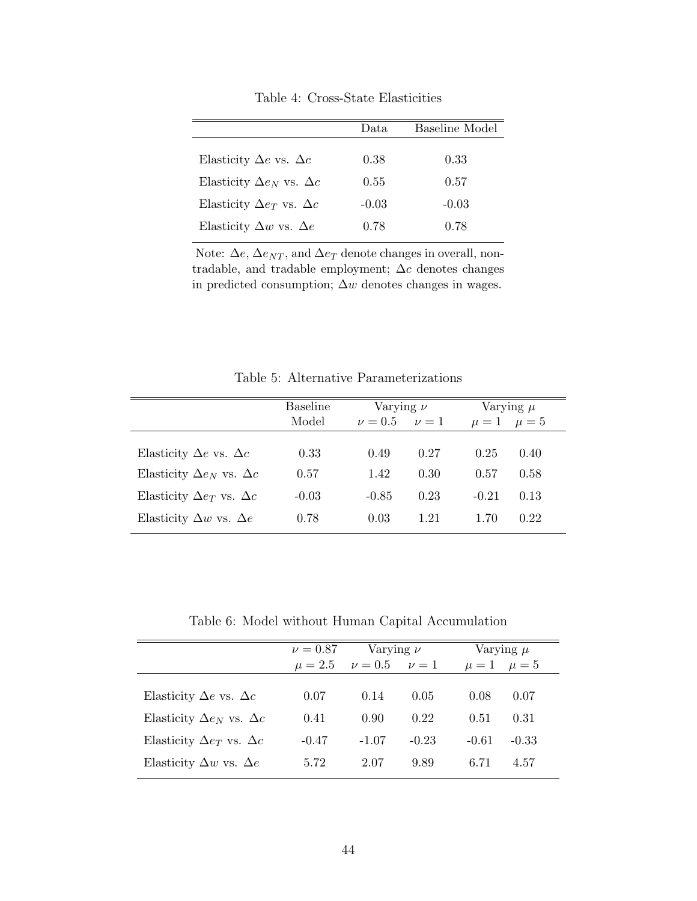|                                        | Data    | Baseline Model |
|----------------------------------------|---------|----------------|
| Elasticity $\Delta e$ vs. $\Delta c$   | 0.38    | 0.33           |
| Elasticity $\Delta e_N$ vs. $\Delta c$ | 0.55    | 0.57           |
| Elasticity $\Delta e_T$ vs. $\Delta c$ | $-0.03$ | $-0.03$        |
| Elasticity $\Delta w$ vs. $\Delta e$   | 0.78    | 0.78           |

Table 4: Cross-State Elasticities

Note:  $\Delta e$ ,  $\Delta e_{NT}$ , and  $\Delta e_T$  denote changes in overall, nontradable, and tradable employment;  $\Delta c$  denotes changes in predicted consumption;  $\Delta w$  denotes changes in wages.

Table 5: Alternative Parameterizations

|                                        | <b>Baseline</b> | Varying $\nu$ |           |                     | Varying $\mu$ |
|----------------------------------------|-----------------|---------------|-----------|---------------------|---------------|
|                                        | Model           | $\nu = 0.5$   | $\nu = 1$ | $\mu = 1$ $\mu = 5$ |               |
|                                        |                 |               |           |                     |               |
| Elasticity $\Delta e$ vs. $\Delta c$   | 0.33            | 0.49          | 0.27      | 0.25                | 0.40          |
| Elasticity $\Delta e_N$ vs. $\Delta c$ | 0.57            | 1.42          | 0.30      | 0.57                | 0.58          |
| Elasticity $\Delta e_T$ vs. $\Delta c$ | $-0.03$         | $-0.85$       | 0.23      | $-0.21$             | 0.13          |
| Elasticity $\Delta w$ vs. $\Delta e$   | 0.78            | 0.03          | 1.21      | 1.70                | 0.22          |

Table 6: Model without Human Capital Accumulation

|                                        | $\nu = 0.87$ | Varying $\nu$         |         |                     | Varying $\mu$ |
|----------------------------------------|--------------|-----------------------|---------|---------------------|---------------|
|                                        | $\mu = 2.5$  | $\nu = 0.5$ $\nu = 1$ |         | $\mu = 1$ $\mu = 5$ |               |
| Elasticity $\Delta e$ vs. $\Delta c$   | 0.07         | 0.14                  | 0.05    | 0.08                | 0.07          |
| Elasticity $\Delta e_N$ vs. $\Delta c$ | 0.41         | 0.90                  | 0.22    | 0.51                | 0.31          |
| Elasticity $\Delta e_T$ vs. $\Delta c$ | $-0.47$      | $-1.07$               | $-0.23$ | $-0.61$             | $-0.33$       |
| Elasticity $\Delta w$ vs. $\Delta e$   | 5.72         | 2.07                  | 9.89    | 6.71                | 4.57          |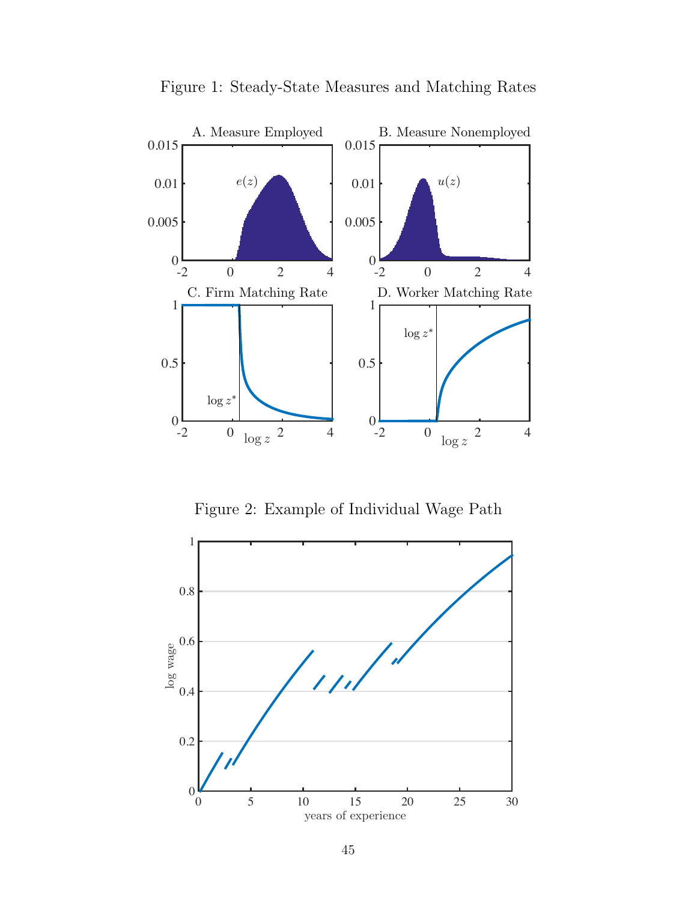

Figure 1: Steady-State Measures and Matching Rates

Figure 2: Example of Individual Wage Path

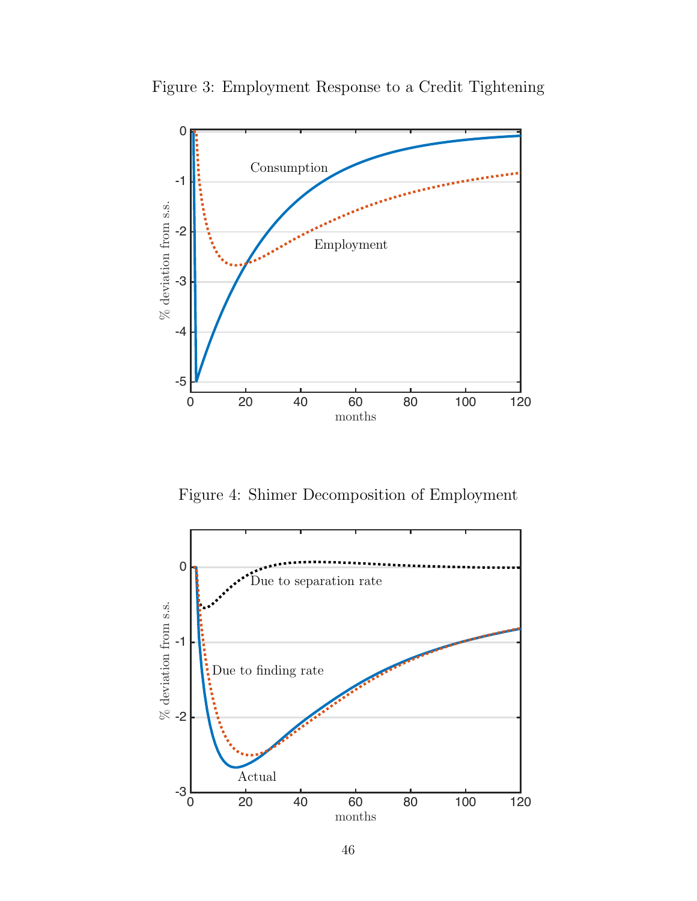

Figure 3: Employment Response to a Credit Tightening

Figure 4: Shimer Decomposition of Employment

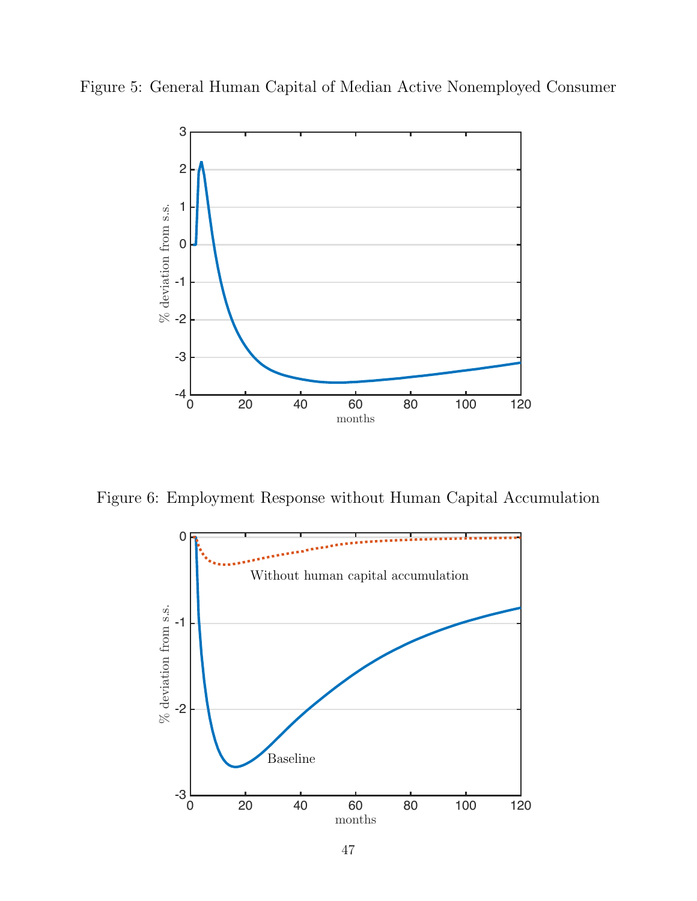



Figure 6: Employment Response without Human Capital Accumulation

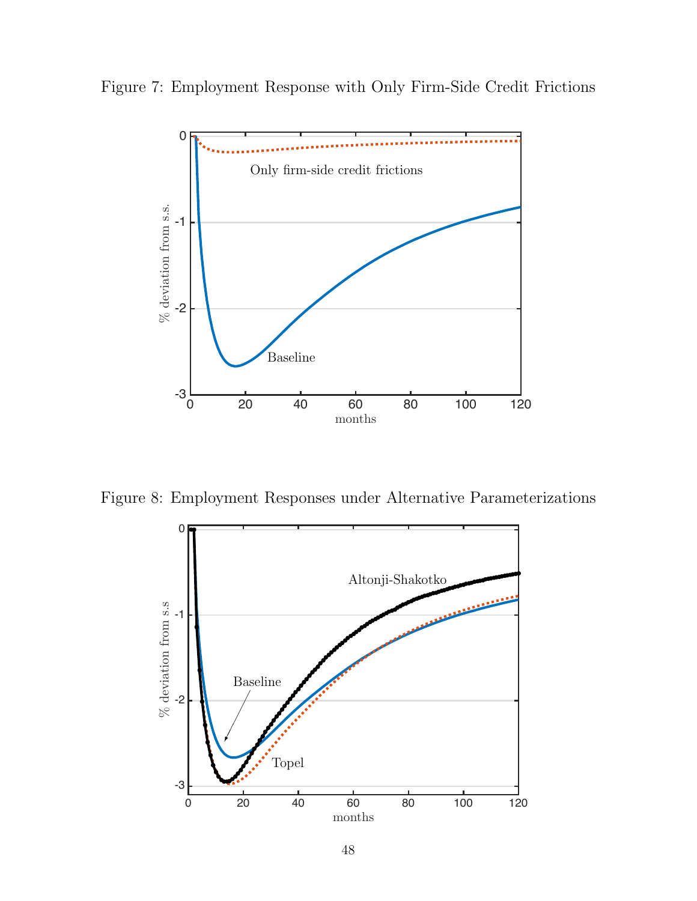Figure 7: Employment Response with Only Firm-Side Credit Frictions



Figure 8: Employment Responses under Alternative Parameterizations

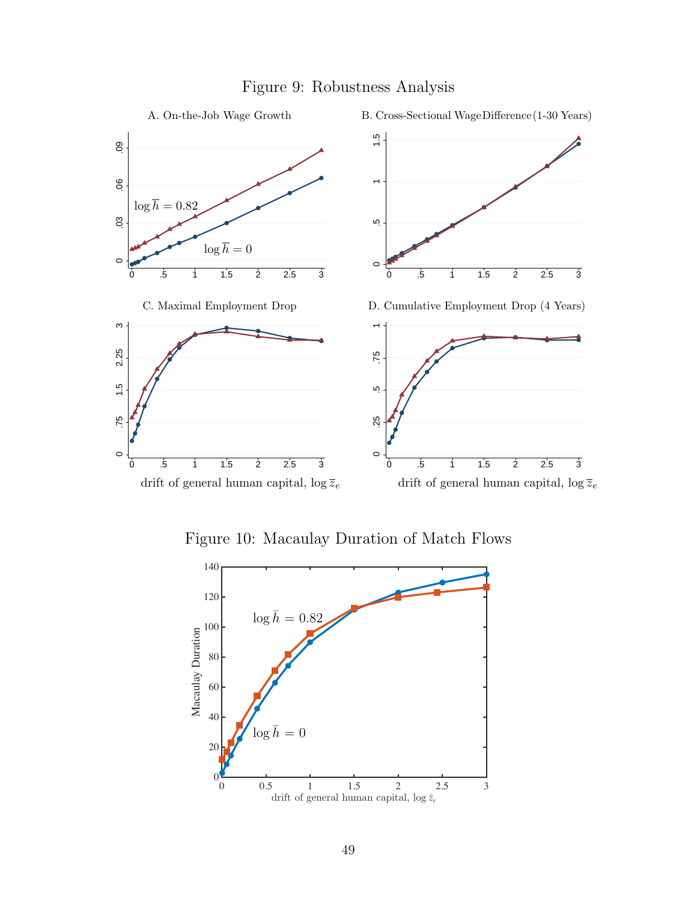

## Figure 9: Robustness Analysis

Figure 10: Macaulay Duration of Match Flows

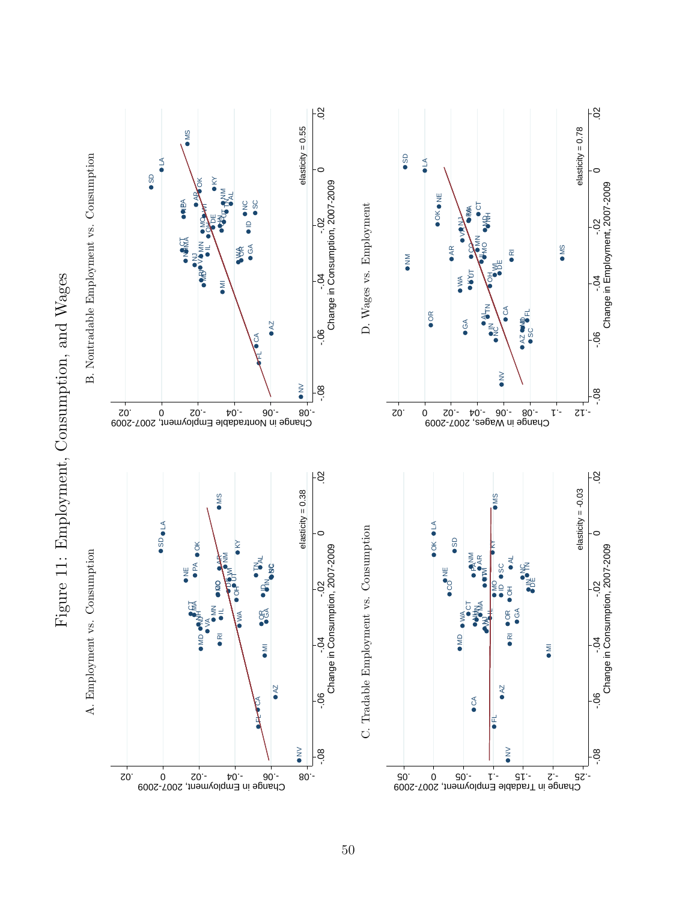